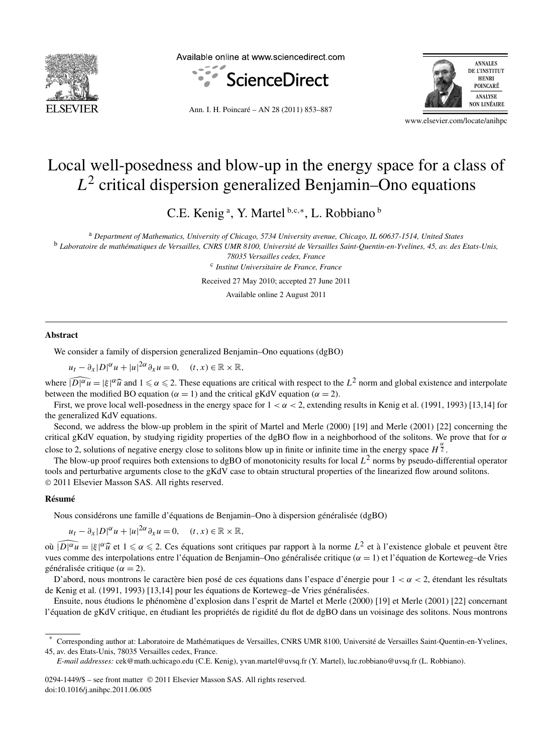

Available online at www.sciencedirect.com



Ann. I. H. Poincaré – AN 28 (2011) 853–887



www.elsevier.com/locate/anihpc

# Local well-posedness and blow-up in the energy space for a class of *L*<sup>2</sup> critical dispersion generalized Benjamin–Ono equations

C.E. Kenig<sup>a</sup>, Y. Martel<sup>b,c,∗</sup>, L. Robbiano<sup>b</sup>

<sup>a</sup> *Department of Mathematics, University of Chicago, 5734 University avenue, Chicago, IL 60637-1514, United States*

<sup>b</sup> *Laboratoire de mathématiques de Versailles, CNRS UMR 8100, Université de Versailles Saint-Quentin-en-Yvelines, 45, av. des Etats-Unis,*

*78035 Versailles cedex, France* <sup>c</sup> *Institut Universitaire de France, France*

Received 27 May 2010; accepted 27 June 2011

Available online 2 August 2011

#### **Abstract**

We consider a family of dispersion generalized Benjamin–Ono equations (dgBO)

 $u_t - \partial_x |D|^\alpha u + |u|^{2\alpha} \partial_x u = 0, \quad (t, x) \in \mathbb{R} \times \mathbb{R},$ 

where  $\widehat{D|^{a}u} = |\xi|^{\alpha} \widehat{u}$  and  $1 \leq \alpha \leq 2$ . These equations are critical with respect to the  $L^2$  norm and global existence and interpolate between the modified BO equation ( $\alpha = 1$ ) and the critical gKdV equation ( $\alpha = 2$ ).

First, we prove local well-posedness in the energy space for  $1 < \alpha < 2$ , extending results in Kenig et al. (1991, 1993) [13,14] for the generalized KdV equations.

Second, we address the blow-up problem in the spirit of Martel and Merle (2000) [19] and Merle (2001) [22] concerning the critical gKdV equation, by studying rigidity properties of the dgBO flow in a neighborhood of the solitons. We prove that for *α* close to 2, solutions of negative energy close to solitons blow up in finite or infinite time in the energy space  $H^{\frac{\alpha}{2}}$ .

The blow-up proof requires both extensions to dgBO of monotonicity results for local  $L^2$  norms by pseudo-differential operator tools and perturbative arguments close to the gKdV case to obtain structural properties of the linearized flow around solitons. © 2011 Elsevier Masson SAS. All rights reserved.

#### **Résumé**

Nous considérons une famille d'équations de Benjamin–Ono à dispersion généralisée (dgBO)

 $u_t - \partial_x |D|^\alpha u + |u|^{2\alpha} \partial_x u = 0, \quad (t, x) \in \mathbb{R} \times \mathbb{R},$ 

où  $\widehat{|D|^{\alpha}u} = |\xi|^{\alpha}\widehat{u}$  et  $1 \le \alpha \le 2$ . Ces équations sont critiques par rapport à la norme  $L^2$  et à l'existence globale et peuvent être vues comme des interpolations entre l'équation de Benjamin–Ono généralisée critique (*α* = 1) et l'équation de Korteweg–de Vries généralisée critique ( $\alpha = 2$ ).

D'abord, nous montrons le caractère bien posé de ces équations dans l'espace d'énergie pour 1 *<α<* 2, étendant les résultats de Kenig et al. (1991, 1993) [13,14] pour les équations de Korteweg–de Vries généralisées.

Ensuite, nous étudions le phénomène d'explosion dans l'esprit de Martel et Merle (2000) [19] et Merle (2001) [22] concernant l'équation de gKdV critique, en étudiant les propriétés de rigidité du flot de dgBO dans un voisinage des solitons. Nous montrons

<sup>\*</sup> Corresponding author at: Laboratoire de Mathématiques de Versailles, CNRS UMR 8100, Université de Versailles Saint-Quentin-en-Yvelines, 45, av. des Etats-Unis, 78035 Versailles cedex, France.

*E-mail addresses:* cek@math.uchicago.edu (C.E. Kenig), yvan.martel@uvsq.fr (Y. Martel), luc.robbiano@uvsq.fr (L. Robbiano).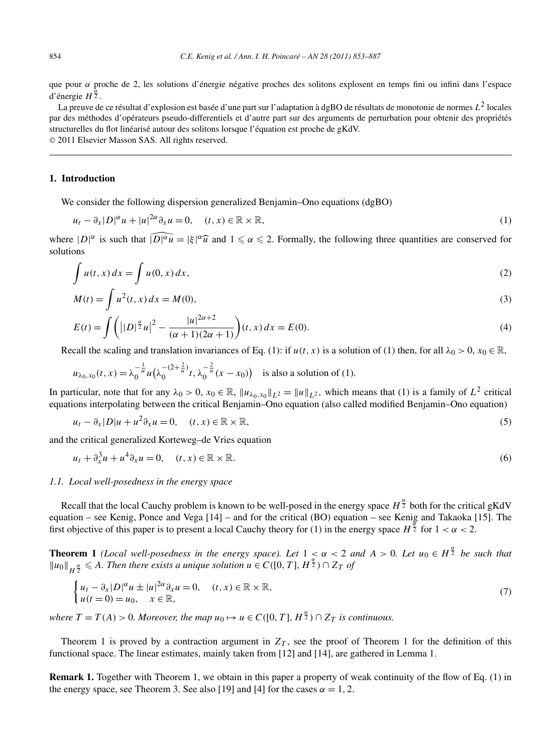que pour *α* proche de 2, les solutions d'énergie négative proches des solitons explosent en temps fini ou infini dans l'espace d'énergie  $H^{\frac{\alpha}{2}}$ .

La preuve de ce résultat d'explosion est basée d'une part sur l'adaptation à dgBO de résultats de monotonie de normes *L*<sup>2</sup> locales par des méthodes d'opérateurs pseudo-differentiels et d'autre part sur des arguments de perturbation pour obtenir des propriétés structurelles du flot linéarisé autour des solitons lorsque l'équation est proche de gKdV.

© 2011 Elsevier Masson SAS. All rights reserved.

# **1. Introduction**

We consider the following dispersion generalized Benjamin–Ono equations (dgBO)

$$
u_t - \partial_x |D|^\alpha u + |u|^{2\alpha} \partial_x u = 0, \quad (t, x) \in \mathbb{R} \times \mathbb{R}, \tag{1}
$$

where  $|D|^{\alpha}$  is such that  $\widehat{|D|^{\alpha}u} = |\xi|^{\alpha}\widehat{u}$  and  $1 \leq \alpha \leq 2$ . Formally, the following three quantities are conserved for solutions

$$
\int u(t,x) dx = \int u(0,x) dx,
$$
\n(2)

$$
M(t) = \int u^2(t, x) dx = M(0),
$$
\n(3)

$$
E(t) = \int \left( | |D|^{\frac{\alpha}{2}} u|^2 - \frac{|u|^{2\alpha + 2}}{(\alpha + 1)(2\alpha + 1)} \right) (t, x) dx = E(0).
$$
 (4)

Recall the scaling and translation invariances of Eq. (1): if  $u(t, x)$  is a solution of (1) then, for all  $\lambda_0 > 0$ ,  $x_0 \in \mathbb{R}$ ,

$$
u_{\lambda_0,x_0}(t,x)=\lambda_0^{-\frac{1}{\alpha}}u\big(\lambda_0^{-(2+\frac{2}{\alpha})}t,\lambda_0^{-\frac{2}{\alpha}}(x-x_0)\big) \text{ is also a solution of (1)}.
$$

In particular, note that for any  $\lambda_0 > 0$ ,  $x_0 \in \mathbb{R}$ ,  $||u_{\lambda_0,x_0}||_{L^2} = ||u||_{L^2}$ , which means that (1) is a family of  $L^2$  critical equations interpolating between the critical Benjamin–Ono equation (also called modified Benjamin–Ono equation)

$$
u_t - \partial_x |D| u + u^2 \partial_x u = 0, \quad (t, x) \in \mathbb{R} \times \mathbb{R}, \tag{5}
$$

and the critical generalized Korteweg–de Vries equation

$$
u_t + \partial_x^3 u + u^4 \partial_x u = 0, \quad (t, x) \in \mathbb{R} \times \mathbb{R}.
$$

# *1.1. Local well-posedness in the energy space*

Recall that the local Cauchy problem is known to be well-posed in the energy space  $H^{\frac{\alpha}{2}}$  both for the critical gKdV equation – see Kenig, Ponce and Vega [14] – and for the critical (BO) equation – see Kenig and Takaoka [15]. The first objective of this paper is to present a local Cauchy theory for (1) in the energy space  $H^{\frac{\alpha}{2}}$  for  $1 < \alpha < 2$ .

**Theorem 1** *(Local well-posedness in the energy space). Let*  $1 \leq \alpha < 2$  *and*  $A > 0$ . Let  $u_0 \in H^{\frac{\alpha}{2}}$  be such that  $\|u_0\|_{H^{\frac{\alpha}{2}}}$  ≤ *A. Then there exists a unique solution*  $u \in C([0, T], H^{\frac{\alpha}{2}}) \cap Z_T$  *of* 

$$
\begin{cases} u_t - \partial_x |D|^\alpha u \pm |u|^{2\alpha} \partial_x u = 0, & (t, x) \in \mathbb{R} \times \mathbb{R}, \\ u(t = 0) = u_0, & x \in \mathbb{R}, \end{cases}
$$
\n
$$
(7)
$$

*where*  $T = T(A) > 0$ *. Moreover, the map*  $u_0 \mapsto u \in C([0, T], H^{\frac{\alpha}{2}}) \cap Z_T$  *is continuous.* 

Theorem 1 is proved by a contraction argument in  $Z_T$ , see the proof of Theorem 1 for the definition of this functional space. The linear estimates, mainly taken from [12] and [14], are gathered in Lemma 1.

**Remark 1.** Together with Theorem 1, we obtain in this paper a property of weak continuity of the flow of Eq. (1) in the energy space, see Theorem 3. See also [19] and [4] for the cases  $\alpha = 1, 2$ .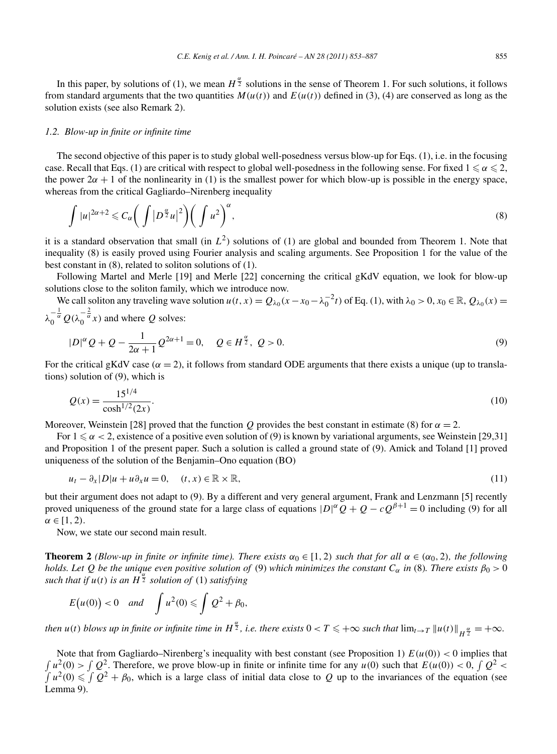In this paper, by solutions of (1), we mean  $H^{\frac{\alpha}{2}}$  solutions in the sense of Theorem 1. For such solutions, it follows from standard arguments that the two quantities  $M(u(t))$  and  $E(u(t))$  defined in (3), (4) are conserved as long as the solution exists (see also Remark 2).

#### *1.2. Blow-up in finite or infinite time*

The second objective of this paper is to study global well-posedness versus blow-up for Eqs. (1), i.e. in the focusing case. Recall that Eqs. (1) are critical with respect to global well-posedness in the following sense. For fixed  $1 \leqslant \alpha \leqslant 2,$ the power  $2\alpha + 1$  of the nonlinearity in (1) is the smallest power for which blow-up is possible in the energy space, whereas from the critical Gagliardo–Nirenberg inequality

$$
\int |u|^{2\alpha+2} \leq C_{\alpha} \bigg( \int |D^{\frac{\alpha}{2}} u|^2 \bigg) \bigg( \int u^2 \bigg)^{\alpha},\tag{8}
$$

it is a standard observation that small (in  $L^2$ ) solutions of (1) are global and bounded from Theorem 1. Note that inequality (8) is easily proved using Fourier analysis and scaling arguments. See Proposition 1 for the value of the best constant in (8), related to soliton solutions of (1).

Following Martel and Merle [19] and Merle [22] concerning the critical gKdV equation, we look for blow-up solutions close to the soliton family, which we introduce now.

We call soliton any traveling wave solution  $u(t, x) = Q_{\lambda_0}(x - x_0 - \lambda_0^{-2}t)$  of Eq. (1), with  $\lambda_0 > 0, x_0 \in \mathbb{R}, Q_{\lambda_0}(x) =$  $\lambda_0^{-\frac{1}{\alpha}} Q(\lambda_0^{-\frac{2}{\alpha}} x)$  and where *Q* solves:

$$
|D|^{\alpha}Q + Q - \frac{1}{2\alpha + 1}Q^{2\alpha + 1} = 0, \quad Q \in H^{\frac{\alpha}{2}}, \ Q > 0.
$$
\n<sup>(9)</sup>

For the critical gKdV case ( $\alpha = 2$ ), it follows from standard ODE arguments that there exists a unique (up to translations) solution of (9), which is

$$
Q(x) = \frac{15^{1/4}}{\cosh^{1/2}(2x)}.
$$
\n(10)

Moreover, Weinstein [28] proved that the function *Q* provides the best constant in estimate (8) for  $\alpha = 2$ .

For  $1 \leq \alpha < 2$ , existence of a positive even solution of (9) is known by variational arguments, see Weinstein [29,31] and Proposition 1 of the present paper. Such a solution is called a ground state of (9). Amick and Toland [1] proved uniqueness of the solution of the Benjamin–Ono equation (BO)

$$
u_t - \partial_x |D|u + u \partial_x u = 0, \quad (t, x) \in \mathbb{R} \times \mathbb{R}, \tag{11}
$$

but their argument does not adapt to (9). By a different and very general argument, Frank and Lenzmann [5] recently proved uniqueness of the ground state for a large class of equations  $|D|^\alpha Q + Q - cQ^{\beta+1} = 0$  including (9) for all  $\alpha \in [1, 2)$ .

Now, we state our second main result.

**Theorem 2** *(Blow-up in finite or infinite time). There exists*  $\alpha_0 \in [1, 2)$  *such that for all*  $\alpha \in (\alpha_0, 2)$ *, the following holds. Let Q be the unique even positive solution of* (9) *which minimizes the constant*  $C_\alpha$  *in* (8)*. There exists*  $\beta_0 > 0$ *such that if*  $u(t)$  *is an*  $H^{\frac{\alpha}{2}}$  *solution of* (1) *satisfying* 

$$
E(u(0)) < 0 \quad and \quad \int u^2(0) \leq \int Q^2 + \beta_0,
$$

*then*  $u(t)$  *blows up in finite or infinite time in*  $H^{\frac{\alpha}{2}}$ *, i.e. there exists*  $0 < T \leqslant +\infty$  *such that*  $\lim_{t\to T}||u(t)||_{H^{\frac{\alpha}{2}}} = +\infty$ *.* 

Note that from Gagliardo–Nirenberg's inequality with best constant (see Proposition 1)  $E(u(0)) < 0$  implies that  $\int u^2(0) > \int Q^2$ . Therefore, we prove blow-up in finite or infinite time for any  $u(0)$  such that  $E(u(0)) < 0$ ,  $\int Q^2 <$  $\int u^2(0) \leqslant \int Q^2 + \beta_0$ , which is a large class of initial data close to *Q* up to the invariances of the equation (see Lemma 9).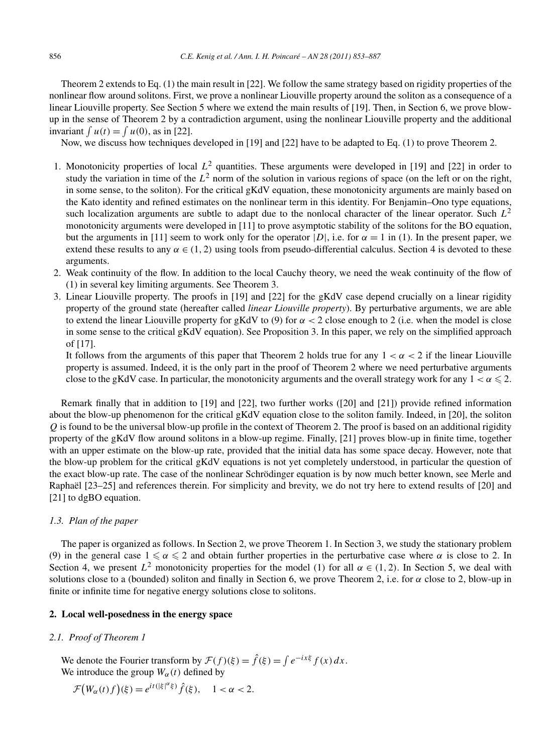Theorem 2 extends to Eq. (1) the main result in [22]. We follow the same strategy based on rigidity properties of the nonlinear flow around solitons. First, we prove a nonlinear Liouville property around the soliton as a consequence of a linear Liouville property. See Section 5 where we extend the main results of [19]. Then, in Section 6, we prove blowup in the sense of Theorem 2 by a contradiction argument, using the nonlinear Liouville property and the additional invariant  $\int u(t) = \int u(0)$ , as in [22].

Now, we discuss how techniques developed in [19] and [22] have to be adapted to Eq. (1) to prove Theorem 2.

- 1. Monotonicity properties of local  $L^2$  quantities. These arguments were developed in [19] and [22] in order to study the variation in time of the  $L^2$  norm of the solution in various regions of space (on the left or on the right, in some sense, to the soliton). For the critical gKdV equation, these monotonicity arguments are mainly based on the Kato identity and refined estimates on the nonlinear term in this identity. For Benjamin–Ono type equations, such localization arguments are subtle to adapt due to the nonlocal character of the linear operator. Such  $L^2$ monotonicity arguments were developed in [11] to prove asymptotic stability of the solitons for the BO equation, but the arguments in [11] seem to work only for the operator  $|D|$ , i.e. for  $\alpha = 1$  in (1). In the present paper, we extend these results to any  $\alpha \in (1, 2)$  using tools from pseudo-differential calculus. Section 4 is devoted to these arguments.
- 2. Weak continuity of the flow. In addition to the local Cauchy theory, we need the weak continuity of the flow of (1) in several key limiting arguments. See Theorem 3.
- 3. Linear Liouville property. The proofs in [19] and [22] for the gKdV case depend crucially on a linear rigidity property of the ground state (hereafter called *linear Liouville property*). By perturbative arguments, we are able to extend the linear Liouville property for gKdV to (9) for *α <* 2 close enough to 2 (i.e. when the model is close in some sense to the critical gKdV equation). See Proposition 3. In this paper, we rely on the simplified approach of [17].

It follows from the arguments of this paper that Theorem 2 holds true for any  $1 < \alpha < 2$  if the linear Liouville property is assumed. Indeed, it is the only part in the proof of Theorem 2 where we need perturbative arguments close to the gKdV case. In particular, the monotonicity arguments and the overall strategy work for any  $1 < \alpha \leqslant 2$ .

Remark finally that in addition to [19] and [22], two further works ([20] and [21]) provide refined information about the blow-up phenomenon for the critical gKdV equation close to the soliton family. Indeed, in [20], the soliton *Q* is found to be the universal blow-up profile in the context of Theorem 2. The proof is based on an additional rigidity property of the gKdV flow around solitons in a blow-up regime. Finally, [21] proves blow-up in finite time, together with an upper estimate on the blow-up rate, provided that the initial data has some space decay. However, note that the blow-up problem for the critical gKdV equations is not yet completely understood, in particular the question of the exact blow-up rate. The case of the nonlinear Schrödinger equation is by now much better known, see Merle and Raphaël [23–25] and references therein. For simplicity and brevity, we do not try here to extend results of [20] and [21] to dgBO equation.

# *1.3. Plan of the paper*

The paper is organized as follows. In Section 2, we prove Theorem 1. In Section 3, we study the stationary problem (9) in the general case  $1 \le \alpha \le 2$  and obtain further properties in the perturbative case where  $\alpha$  is close to 2. In Section 4, we present  $L^2$  monotonicity properties for the model (1) for all  $\alpha \in (1, 2)$ . In Section 5, we deal with solutions close to a (bounded) soliton and finally in Section 6, we prove Theorem 2, i.e. for *α* close to 2, blow-up in finite or infinite time for negative energy solutions close to solitons.

# **2. Local well-posedness in the energy space**

# *2.1. Proof of Theorem 1*

We denote the Fourier transform by  $\mathcal{F}(f)(\xi) = \hat{f}(\xi) = \int e^{-ix\xi} f(x) dx$ . We introduce the group  $W_\alpha(t)$  defined by

$$
\mathcal{F}\big(W_\alpha(t)f\big)(\xi) = e^{it\left(|\xi|^\alpha\xi\right)}\hat{f}(\xi), \quad 1 < \alpha < 2.
$$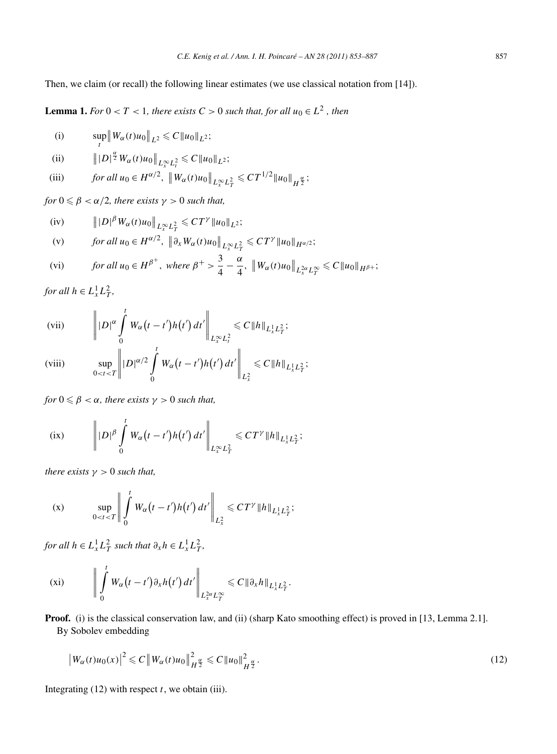Then, we claim (or recall) the following linear estimates (we use classical notation from [14]).

**Lemma 1.** *For*  $0 < T < 1$ *, there exists*  $C > 0$  *such that, for all*  $u_0 \in L^2$ *, then* 

(i) 
$$
\sup_t ||W_{\alpha}(t)u_0||_{L^2} \leq C ||u_0||_{L^2};
$$

(ii) 
$$
\| |D|^{\frac{\alpha}{2}} W_{\alpha}(t)u_0\|_{L^{\infty}_{x}L^2_t} \leq C \|u_0\|_{L^2};
$$

(iii) 
$$
\text{for all } u_0 \in H^{\alpha/2}, \ \left\|W_{\alpha}(t)u_0\right\|_{L^{\infty}_x L^2_T} \leq C T^{1/2} \|u_0\|_{H^{\frac{\alpha}{2}}};
$$

*for*  $0 \le \beta < \alpha/2$ , there exists  $\gamma > 0$  such that,

(iv) 
$$
\| |D|^{\beta} W_{\alpha}(t) u_0 \|_{L^{\infty}_{x} L^2_T} \leq C T^{\gamma} \| u_0 \|_{L^2};
$$

(v) *for all* 
$$
u_0 \in H^{\alpha/2}
$$
,  $\|\partial_x W_{\alpha}(t)u_0\|_{L^{\infty}_x L^2_T} \leq C T^{\gamma} \|u_0\|_{H^{\alpha/2}}$ ;

$$
\text{(vi)} \qquad \text{for all } u_0 \in H^{\beta^+}, \text{ where } \beta^+ > \frac{3}{4} - \frac{\alpha}{4}, \, \left\|W_\alpha(t)u_0\right\|_{L_x^{2\alpha}L_T^\infty} \leq C\|u_0\|_{H^{\beta+}};
$$

*for all*  $h \in L^1_x L^2_T$ ,

(vii) 
$$
\left\| |D|^{\alpha} \int_{0}^{t} W_{\alpha}(t-t')h(t') dt' \right\|_{L_{x}^{\infty} L_{t}^{2}} \leq C \|h\|_{L_{x}^{1} L_{T}^{2}};
$$

(viii) 
$$
\sup_{0 < t < T} \left\| |D|^{\alpha/2} \int_{0}^{t} W_{\alpha}(t-t')h(t') dt' \right\|_{L_{x}^{2}} \leq C \|h\|_{L_{x}^{1} L_{T}^{2}};
$$

*for*  $0 \leqslant \beta < \alpha$ *, there exists*  $\gamma > 0$  *such that,* 

(ix) 
$$
\left\| |D|^{\beta} \int\limits_{0}^{t} W_{\alpha}(t-t')h(t') dt' \right\|_{L_{x}^{\infty}L_{T}^{2}} \leq C T^{\gamma} \|h\|_{L_{x}^{1}L_{T}^{2}};
$$

*there exists*  $\gamma > 0$  *such that,* 

$$
(x) \qquad \sup_{0 < t < T} \left\| \int_{0}^{t} W_{\alpha}(t - t') h(t') dt' \right\|_{L_{x}^{2}} \leq C T^{\gamma} \|h\|_{L_{x}^{1} L_{T}^{2}};
$$

*for all*  $h \in L^1_x L^2_T$  *such that*  $\partial_x h \in L^1_x L^2_T$ ,

$$
\text{(xi)} \qquad \left\| \int\limits_0^t W_\alpha(t-t') \partial_x h(t') dt' \right\|_{L_x^{2\alpha} L_T^{\infty}} \leqslant C \|\partial_x h\|_{L_x^1 L_T^2}.
$$

**Proof.** (i) is the classical conservation law, and (ii) (sharp Kato smoothing effect) is proved in [13, Lemma 2.1]. By Sobolev embedding

$$
\left|W_{\alpha}(t)u_0(x)\right|^2 \leqslant C\left\|W_{\alpha}(t)u_0\right\|_{H^{\frac{\alpha}{2}}}^2 \leqslant C\left\|u_0\right\|_{H^{\frac{\alpha}{2}}}^2.
$$
\n
$$
(12)
$$

Integrating  $(12)$  with respect  $t$ , we obtain (iii).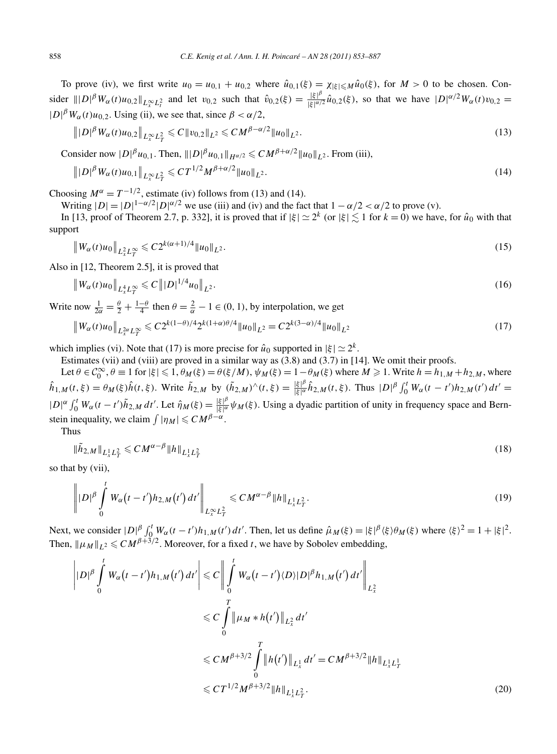To prove (iv), we first write  $u_0 = u_{0,1} + u_{0,2}$  where  $\hat{u}_{0,1}(\xi) = \chi_{|\xi| \le M} \hat{u}_0(\xi)$ , for  $M > 0$  to be chosen. Consider  $||D|^{\beta} W_{\alpha}(t)u_{0,2}||_{L^{\infty}_{x}L^{2}_{t}}$  and let  $v_{0,2}$  such that  $\hat{v}_{0,2}(\xi) = \frac{|\xi|^{\beta}}{|\xi|^{\alpha/2}}$  $\frac{|\xi|^p}{|\xi|^{\alpha/2}} \hat{u}_{0,2}(\xi)$ , so that we have  $|D|^{\alpha/2} W_\alpha(t) v_{0,2} =$  $|D|^{\beta}W_{\alpha}(t)u_{0,2}$ . Using (ii), we see that, since  $\beta < \alpha/2$ ,

$$
\| |D|^{\beta} W_{\alpha}(t) u_{0,2} \|_{L^{\infty}_{x} L^{2}_{T}} \leq C \| v_{0,2} \|_{L^{2}} \leq C M^{\beta - \alpha/2} \| u_{0} \|_{L^{2}}.
$$
\n
$$
(13)
$$

Consider now  $|D|^{\beta}u_{0,1}$ . Then,  $|||D|^{\beta}u_{0,1}||_{H^{\alpha/2}} \leq C M^{\beta+\alpha/2}||u_0||_{L^2}$ . From (iii),

$$
\| |D|^{\beta} W_{\alpha}(t) u_{0,1} \|_{L^{\infty}_{x} L^{2}_{T}} \leqslant C T^{1/2} M^{\beta + \alpha/2} \| u_{0} \|_{L^{2}}.
$$
\n(14)

Choosing  $M^{\alpha} = T^{-1/2}$ , estimate (iv) follows from (13) and (14).

Writing  $|D| = |D|^{1-\alpha/2}|D|^{\alpha/2}$  we use (iii) and (iv) and the fact that  $1 - \alpha/2 < \alpha/2$  to prove (v).

In [13, proof of Theorem 2.7, p. 332], it is proved that if  $|\xi| \simeq 2^k$  (or  $|\xi| \lesssim 1$  for  $k = 0$ ) we have, for  $\hat{u}_0$  with that support

$$
\|W_{\alpha}(t)u_0\|_{L^2_x L^\infty_T} \leqslant C2^{k(\alpha+1)/4} \|u_0\|_{L^2}.
$$
\n(15)

Also in [12, Theorem 2.5], it is proved that

$$
\|W_{\alpha}(t)u_0\|_{L^4_x L^\infty_T} \leq C \| |D|^{1/4} u_0\|_{L^2}.
$$
\n(16)

Write now  $\frac{1}{2\alpha} = \frac{\theta}{2} + \frac{1-\theta}{4}$  then  $\theta = \frac{2}{\alpha} - 1 \in (0, 1)$ , by interpolation, we get

$$
\|W_{\alpha}(t)u_0\|_{L^2_x L^{\infty}_T} \leq C2^{k(1-\theta)/4} 2^{k(1+\alpha)\theta/4} \|u_0\|_{L^2} = C2^{k(3-\alpha)/4} \|u_0\|_{L^2}
$$
\n(17)

which implies (vi). Note that (17) is more precise for  $\hat{u}_0$  supported in  $|\xi| \simeq 2^k$ .

Estimates (vii) and (viii) are proved in a similar way as (3.8) and (3.7) in [14]. We omit their proofs.

Let  $\theta \in C_0^{\infty}$ ,  $\theta \equiv 1$  for  $|\xi| \leq 1$ ,  $\theta_M(\xi) = \theta(\xi/M)$ ,  $\psi_M(\xi) = 1 - \theta_M(\xi)$  where  $M \geq 1$ . Write  $h = h_{1,M} + h_{2,M}$ , where  $\hat{h}_{1,M}(t,\xi) = \theta_M(\xi)\hat{h}(t,\xi)$ . Write  $\tilde{h}_{2,M}$  by  $(\tilde{h}_{2,M})^{\wedge}(t,\xi) = \frac{|\xi|^{\beta}}{|\xi|^{\beta}}$  $\frac{|\xi|^{\beta}}{|\xi|^{\alpha}} \hat{h}_{2,M}(t,\xi)$ . Thus  $|D|^{\beta} \int_0^t W_{\alpha}(t-t')h_{2,M}(t') dt' =$  $|D|^{\alpha} \int_0^t W_{\alpha}(t-t')\tilde{h}_{2,M} dt'$ . Let  $\hat{\eta}_M(\xi) = \frac{|\xi|^{\beta}}{|\xi|^{\alpha}}$ |*ξ* | *<sup>α</sup> ψM(ξ)*. Using a dyadic partition of unity in frequency space and Bernstein inequality, we claim  $\int |\eta_M| \leq C M^{\beta-\alpha}$ .

Thus

$$
\|\tilde{h}_{2,M}\|_{L^1_x L^2_T} \leqslant C M^{\alpha-\beta} \|h\|_{L^1_x L^2_T} \tag{18}
$$

so that by (vii),

$$
\left\| |D|^{\beta} \int_{0}^{t} W_{\alpha}(t-t') h_{2,M}(t') dt' \right\|_{L_{x}^{\infty} L_{T}^{2}} \leqslant C M^{\alpha-\beta} \|h\|_{L_{x}^{1} L_{T}^{2}}.
$$
\n(19)

Next, we consider  $|D|^{\beta} \int_0^t W_{\alpha}(t-t')h_{1,M}(t') dt'$ . Then, let us define  $\hat{\mu}_M(\xi) = |\xi|^{\beta} \langle \xi \rangle \theta_M(\xi)$  where  $\langle \xi \rangle^2 = 1 + |\xi|^2$ . Then,  $\|\mu_M\|_{L^2} \leqslant C M^{\beta+3/2}$ . Moreover, for a fixed *t*, we have by Sobolev embedding,

$$
\left| |D|^{\beta} \int_{0}^{t} W_{\alpha}(t-t')h_{1,M}(t') dt' \right| \leq C \left\| \int_{0}^{t} W_{\alpha}(t-t') \langle D \rangle |D|^{\beta} h_{1,M}(t') dt' \right\|_{L_{x}^{2}}
$$
  

$$
\leq C \int_{0}^{T} \left\| \mu_{M} * h(t') \right\|_{L_{x}^{2}} dt'
$$
  

$$
\leq C M^{\beta+3/2} \int_{0}^{T} \left\| h(t') \right\|_{L_{x}^{1}} dt' = C M^{\beta+3/2} \|h\|_{L_{x}^{1} L_{T}^{1}}
$$
  

$$
\leq C T^{1/2} M^{\beta+3/2} \|h\|_{L_{x}^{1} L_{T}^{2}}.
$$
 (20)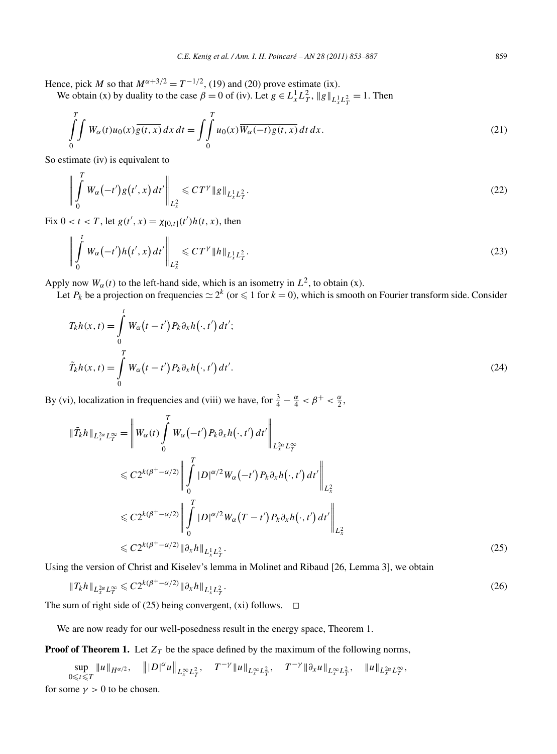Hence, pick *M* so that  $M^{\alpha+3/2} = T^{-1/2}$ , (19) and (20) prove estimate (ix).

We obtain (x) by duality to the case  $\beta = 0$  of (iv). Let  $g \in L_x^1 L_T^2$ ,  $||g||_{L_x^1 L_T^2} = 1$ . Then

$$
\int_{0}^{T} \int W_{\alpha}(t)u_0(x)\overline{g(t,x)} dx dt = \int_{0}^{T} u_0(x)\overline{W_{\alpha}(-t)g(t,x)} dt dx.
$$
\n(21)

So estimate (iv) is equivalent to

$$
\left\| \int_{0}^{T} W_{\alpha}(-t')g(t',x) dt' \right\|_{L_{x}^{2}} \leqslant C T^{\gamma} \|g\|_{L_{x}^{1} L_{T}^{2}}.
$$
\n(22)

Fix  $0 < t < T$ , let  $g(t', x) = \chi_{[0,t]}(t')h(t, x)$ , then

$$
\left\| \int_{0}^{t} W_{\alpha}(-t')h(t',x) dt' \right\|_{L_{x}^{2}} \leqslant C T^{\gamma} \|h\|_{L_{x}^{1}L_{T}^{2}}.
$$
\n(23)

Apply now  $W_\alpha(t)$  to the left-hand side, which is an isometry in  $L^2$ , to obtain (x).

Let  $P_k$  be a projection on frequencies  $\simeq 2^k$  (or  $\leqslant 1$  for  $k = 0$ ), which is smooth on Fourier transform side. Consider

$$
T_k h(x, t) = \int_0^t W_\alpha(t - t') P_k \partial_x h(\cdot, t') dt';
$$
  

$$
\tilde{T}_k h(x, t) = \int_0^T W_\alpha(t - t') P_k \partial_x h(\cdot, t') dt'.
$$
 (24)

By (vi), localization in frequencies and (viii) we have, for  $\frac{3}{4} - \frac{\alpha}{4} < \beta^+ < \frac{\alpha}{2}$ ,

$$
\begin{split}\n\|\tilde{T}_{k}h\|_{L_{x}^{2\alpha}L_{T}^{\infty}} &= \left\|W_{\alpha}(t)\int_{0}^{T}W_{\alpha}\left(-t^{\prime}\right)P_{k}\partial_{x}h\left(\cdot,t^{\prime}\right)dt^{\prime}\right\|_{L_{x}^{2\alpha}L_{T}^{\infty}} \\
&\leqslant C2^{k(\beta^{+}-\alpha/2)}\left\|\int_{0}^{T}\left|D\right|^{\alpha/2}W_{\alpha}\left(-t^{\prime}\right)P_{k}\partial_{x}h\left(\cdot,t^{\prime}\right)dt^{\prime}\right\|_{L_{x}^{2}} \\
&\leqslant C2^{k(\beta^{+}-\alpha/2)}\left\|\int_{0}^{T}\left|D\right|^{\alpha/2}W_{\alpha}\left(T-t^{\prime}\right)P_{k}\partial_{x}h\left(\cdot,t^{\prime}\right)dt^{\prime}\right\|_{L_{x}^{2}} \\
&\leqslant C2^{k(\beta^{+}-\alpha/2)}\left\|\partial_{x}h\right\|_{L_{x}^{1}L_{T}^{2}}.\n\end{split} \tag{25}
$$

Using the version of Christ and Kiselev's lemma in Molinet and Ribaud [26, Lemma 3], we obtain

$$
||T_k h||_{L_x^2 \alpha L_T^\infty} \leq C 2^{k(\beta^+ - \alpha/2)} ||\partial_x h||_{L_x^1 L_T^2}.
$$
\n(26)

The sum of right side of (25) being convergent, (xi) follows.  $\Box$ 

We are now ready for our well-posedness result in the energy space, Theorem 1.

**Proof of Theorem 1.** Let  $Z_T$  be the space defined by the maximum of the following norms,

sup  $\sup_{0\leq t\leq T}||u||_{H^{\alpha/2}}, \quad |||D|^{\alpha}u||_{L^{\infty}_xL^2_T}, \quad T^{-\gamma}||u||_{L^{\infty}_xL^2_T}, \quad T^{-\gamma}||\partial_xu||_{L^{\infty}_xL^2_T}, \quad ||u||_{L^{2\alpha}_xL^{\infty}_T},$ for some  $\gamma > 0$  to be chosen.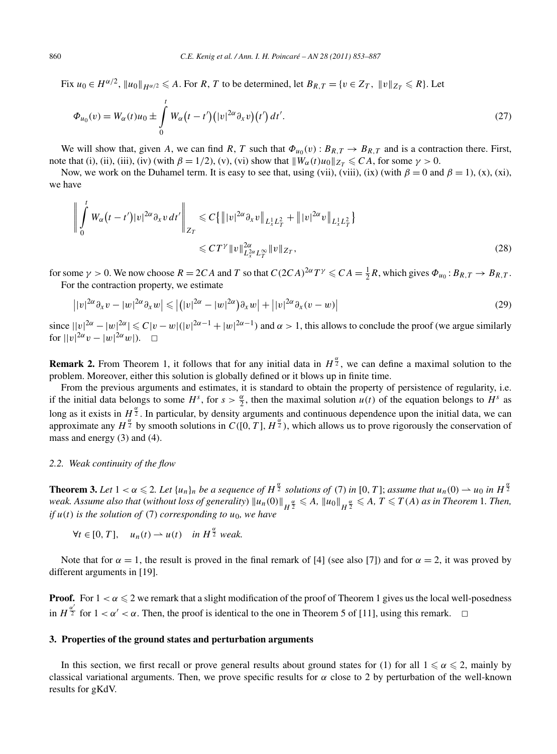$\text{Fix } u_0 \in H^{\alpha/2}, \, \|u_0\|_{H^{\alpha/2}} \leqslant A. \text{ For } R, T \text{ to be determined, let } B_{R,T} = \{v \in Z_T, \, \|v\|_{Z_T} \leqslant R\}.$  Let

$$
\Phi_{u_0}(v) = W_{\alpha}(t)u_0 \pm \int_0^t W_{\alpha}(t-t')(|v|^{2\alpha}\partial_x v)(t') dt'.
$$
\n(27)

We will show that, given *A*, we can find *R*, *T* such that  $\Phi_{u_0}(v)$ :  $B_{R,T} \to B_{R,T}$  and is a contraction there. First, note that (i), (iii), (iii), (iv) (with  $\beta = 1/2$ ), (v), (vi) show that  $||W_{\alpha}(t)u_0||_{Z_T} \leq C A$ , for some  $\gamma > 0$ .

Now, we work on the Duhamel term. It is easy to see that, using (vii), (viii), (ix) (with  $\beta = 0$  and  $\beta = 1$ ), (x), (xi), we have

$$
\left\| \int_{0}^{t} W_{\alpha}(t-t') |v|^{2\alpha} \partial_{x} v dt' \right\|_{Z_{T}} \leq C \{ \| |v|^{2\alpha} \partial_{x} v \|_{L_{x}^{1} L_{T}^{2}} + \| |v|^{2\alpha} v \|_{L_{x}^{1} L_{T}^{2}} \} \leq C T^{\gamma} \| v \|_{L_{x}^{2\alpha} L_{T}^{\infty}}^{2\alpha} \| v \|_{Z_{T}},
$$
\n(28)

for some  $\gamma > 0$ . We now choose  $R = 2CA$  and  $T$  so that  $C(2CA)^{2\alpha}T^{\gamma} \leq C A = \frac{1}{2}R$ , which gives  $\Phi_{u_0} : B_{R,T} \to B_{R,T}$ . For the contraction property, we estimate

$$
||v|^{2\alpha}\partial_x v - |w|^{2\alpha}\partial_x w| \leq |(|v|^{2\alpha} - |w|^{2\alpha})\partial_x w| + |v|^{2\alpha}\partial_x (v - w)|
$$
\n(29)

since  $||v|^{2\alpha} - |w|^{2\alpha} \le C|v - w|(|v|^{2\alpha - 1} + |w|^{2\alpha - 1})$  and  $\alpha > 1$ , this allows to conclude the proof (we argue similarly for  $||v|^{2\alpha}v - |w|^{2\alpha}w|$ ).  $\Box$ 

**Remark 2.** From Theorem 1, it follows that for any initial data in  $H^{\frac{\alpha}{2}}$ , we can define a maximal solution to the problem. Moreover, either this solution is globally defined or it blows up in finite time.

From the previous arguments and estimates, it is standard to obtain the property of persistence of regularity, i.e. if the initial data belongs to some  $H^s$ , for  $s > \frac{\alpha}{2}$ , then the maximal solution  $u(t)$  of the equation belongs to  $H^s$  as long as it exists in  $H^{\frac{\alpha}{2}}$ . In particular, by density arguments and continuous dependence upon the initial data, we can approximate any  $H^{\frac{\alpha}{2}}$  by smooth solutions in  $C([0, T], H^{\frac{\alpha}{2}})$ , which allows us to prove rigorously the conservation of mass and energy (3) and (4).

#### *2.2. Weak continuity of the flow*

**Theorem 3.** Let  $1 < \alpha \leq 2$ . Let  $\{u_n\}_n$  be a sequence of  $H^{\frac{\alpha}{2}}$  solutions of (7) in [0, T]; assume that  $u_n(0) \to u_0$  in  $H^{\frac{\alpha}{2}}$ weak. Assume also that (without loss of generality)  $\|u_n(0)\|_{H^{\frac{\alpha}{2}}}\leqslant A$ ,  $\|u_0\|_{H^{\frac{\alpha}{2}}}\leqslant A$ ,  $T\leqslant T(A)$  as in Theorem 1. Then, *if*  $u(t)$  *is the solution of* (7) *corresponding to*  $u_0$ *, we have* 

 $\forall t \in [0, T], \quad u_n(t) \rightarrow u(t) \quad \text{in } H^{\frac{\alpha}{2}} \text{ weak.}$ 

Note that for  $\alpha = 1$ , the result is proved in the final remark of [4] (see also [7]) and for  $\alpha = 2$ , it was proved by different arguments in [19].

**Proof.** For  $1 < \alpha \leq 2$  we remark that a slight modification of the proof of Theorem 1 gives us the local well-posedness in  $H^{\frac{\alpha'}{2}}$  for  $1 < \alpha' < \alpha$ . Then, the proof is identical to the one in Theorem 5 of [11], using this remark.  $\Box$ 

# **3. Properties of the ground states and perturbation arguments**

In this section, we first recall or prove general results about ground states for (1) for all  $1 \le \alpha \le 2$ , mainly by classical variational arguments. Then, we prove specific results for *α* close to 2 by perturbation of the well-known results for gKdV.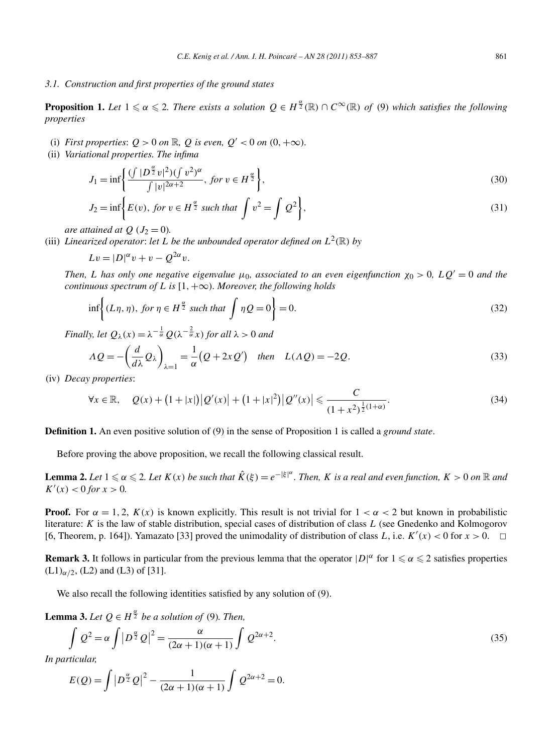## *3.1. Construction and first properties of the ground states*

**Proposition 1.** Let  $1 \le \alpha \le 2$ . There exists a solution  $Q \in H^{\frac{\alpha}{2}}(\mathbb{R}) \cap C^{\infty}(\mathbb{R})$  of (9) which satisfies the following *properties*

- (i) *First properties*:  $Q > 0$  *on*  $\mathbb{R}$ *, Q is even,*  $Q' < 0$  *on*  $(0, +\infty)$ *.*
- (ii) *Variational properties. The infima*

$$
J_1 = \inf \left\{ \frac{(\int |D^{\frac{\alpha}{2}}v|^2)(\int v^2)^{\alpha}}{\int |v|^{2\alpha+2}}, \text{ for } v \in H^{\frac{\alpha}{2}} \right\},\tag{30}
$$

$$
J_2 = \inf \left\{ E(v), \text{ for } v \in H^{\frac{\alpha}{2}} \text{ such that } \int v^2 = \int Q^2 \right\},\tag{31}
$$

*are attained at*  $Q$  ( $J_2 = 0$ ).

(iii) *Linearized operator: let L be the unbounded operator defined on*  $L^2(\mathbb{R})$  *by* 

$$
Lv = |D|^{\alpha}v + v - Q^{2\alpha}v.
$$

*Then, L* has only one negative eigenvalue  $\mu_0$ , associated to an even eigenfunction  $\chi_0 > 0$ ,  $LQ' = 0$  and the *continuous spectrum of L is*  $[1, +\infty)$ *. Moreover, the following holds* 

$$
\inf \left\{ (L\eta, \eta), \text{ for } \eta \in H^{\frac{\alpha}{2}} \text{ such that } \int \eta Q = 0 \right\} = 0. \tag{32}
$$

*Finally, let*  $Q_{\lambda}(x) = \lambda^{-\frac{1}{\alpha}} Q(\lambda^{-\frac{2}{\alpha}} x)$  *for all*  $\lambda > 0$  *and* 

$$
\Lambda Q = -\left(\frac{d}{d\lambda}Q_{\lambda}\right)_{\lambda=1} = \frac{1}{\alpha}(Q + 2xQ') \quad \text{then} \quad L(\Lambda Q) = -2Q. \tag{33}
$$

(iv) *Decay properties*:

$$
\forall x \in \mathbb{R}, \quad Q(x) + (1+|x|) |Q'(x)| + (1+|x|^2) |Q''(x)| \leqslant \frac{C}{(1+x^2)^{\frac{1}{2}(1+\alpha)}}.
$$
\n(34)

**Definition 1.** An even positive solution of (9) in the sense of Proposition 1 is called a *ground state*.

Before proving the above proposition, we recall the following classical result.

**Lemma 2.** Let  $1 \leq \alpha \leq 2$ . Let  $K(x)$  be such that  $\hat{K}(\xi) = e^{-|\xi|^\alpha}$ . Then, K is a real and even function,  $K > 0$  on  $\R$  and  $K'(x) < 0$  *for*  $x > 0$ *.* 

**Proof.** For  $\alpha = 1, 2, K(x)$  is known explicitly. This result is not trivial for  $1 < \alpha < 2$  but known in probabilistic literature: *K* is the law of stable distribution, special cases of distribution of class *L* (see Gnedenko and Kolmogorov [6, Theorem, p. 164]). Yamazato [33] proved the unimodality of distribution of class *L*, i.e.  $K'(x) < 0$  for  $x > 0$ .  $\Box$ 

**Remark 3.** It follows in particular from the previous lemma that the operator  $|D|^{\alpha}$  for  $1 \le \alpha \le 2$  satisfies properties  $(L1)_{\alpha/2}$ ,  $(L2)$  and  $(L3)$  of [31].

We also recall the following identities satisfied by any solution of (9).

**Lemma 3.** *Let*  $Q \in H^{\frac{\alpha}{2}}$  *be a solution of* (9)*. Then,* 

$$
\int Q^2 = \alpha \int |D^{\frac{\alpha}{2}}Q|^2 = \frac{\alpha}{(2\alpha+1)(\alpha+1)} \int Q^{2\alpha+2}.
$$
\n(35)

*In particular,*

$$
E(Q) = \int |D^{\alpha} Q|^2 - \frac{1}{(2\alpha + 1)(\alpha + 1)} \int Q^{2\alpha + 2} = 0.
$$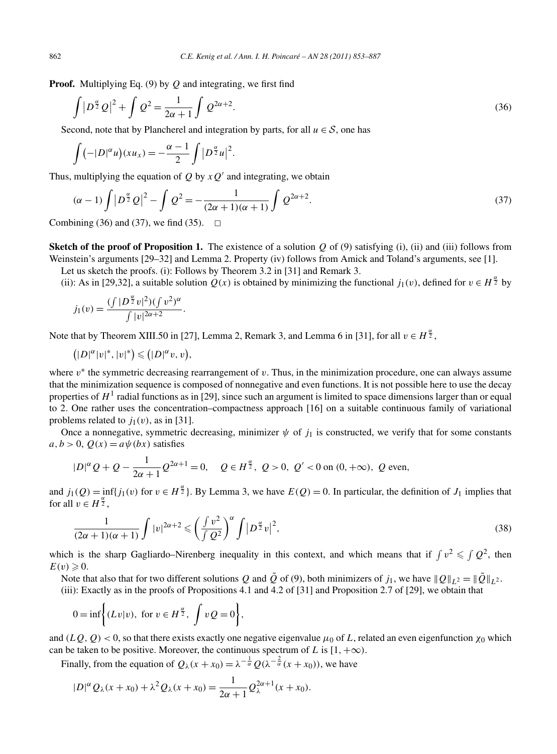**Proof.** Multiplying Eq. (9) by *Q* and integrating, we first find

$$
\int |D^{\frac{\alpha}{2}}Q|^2 + \int Q^2 = \frac{1}{2\alpha + 1} \int Q^{2\alpha + 2}.
$$
\n(36)

Second, note that by Plancherel and integration by parts, for all  $u \in S$ , one has

$$
\int (-|D|^{\alpha}u)(xu_x)=-\frac{\alpha-1}{2}\int |D^{\frac{\alpha}{2}}u|^2.
$$

Thus, multiplying the equation of *Q* by  $xQ'$  and integrating, we obtain

$$
(\alpha - 1) \int |D^{\frac{\alpha}{2}}Q|^2 - \int Q^2 = -\frac{1}{(2\alpha + 1)(\alpha + 1)} \int Q^{2\alpha + 2}.
$$
 (37)

Combining (36) and (37), we find (35).  $\Box$ 

**Sketch of the proof of Proposition 1.** The existence of a solution  $Q$  of  $(9)$  satisfying  $(i)$ ,  $(ii)$  and  $(iii)$  follows from Weinstein's arguments [29–32] and Lemma 2. Property (iv) follows from Amick and Toland's arguments, see [1].

Let us sketch the proofs. (i): Follows by Theorem 3.2 in [31] and Remark 3.

(ii): As in [29,32], a suitable solution  $Q(x)$  is obtained by minimizing the functional  $j_1(v)$ , defined for  $v \in H^{\frac{\alpha}{2}}$  by

$$
j_1(v) = \frac{(\int |D^{\frac{\alpha}{2}}v|^2)(\int v^2)^{\alpha}}{\int |v|^{2\alpha+2}}.
$$

Note that by Theorem XIII.50 in [27], Lemma 2, Remark 3, and Lemma 6 in [31], for all  $v \in H^{\frac{\alpha}{2}}$ ,

$$
\left(|D|^{\alpha}|v|^*,|v|^*\right)\leq (|D|^{\alpha}v,v),
$$

where *v*<sup>∗</sup> the symmetric decreasing rearrangement of *v*. Thus, in the minimization procedure, one can always assume that the minimization sequence is composed of nonnegative and even functions. It is not possible here to use the decay properties of  $H<sup>1</sup>$  radial functions as in [29], since such an argument is limited to space dimensions larger than or equal to 2. One rather uses the concentration–compactness approach [16] on a suitable continuous family of variational problems related to  $j_1(v)$ , as in [31].

Once a nonnegative, symmetric decreasing, minimizer  $\psi$  of  $j_1$  is constructed, we verify that for some constants  $a, b > 0$ ,  $Q(x) = a\psi(bx)$  satisfies

$$
|D|^{\alpha}Q + Q - \frac{1}{2\alpha + 1}Q^{2\alpha + 1} = 0, \quad Q \in H^{\frac{\alpha}{2}}, \ Q > 0, \ Q' < 0 \text{ on } (0, +\infty), \ Q \text{ even},
$$

and  $j_1(Q) = \inf\{j_1(v) \text{ for } v \in H^{\frac{\alpha}{2}}\}$ . By Lemma 3, we have  $E(Q) = 0$ . In particular, the definition of  $J_1$  implies that for all  $v \in H^{\frac{\alpha}{2}}$ ,

$$
\frac{1}{(2\alpha+1)(\alpha+1)}\int |v|^{2\alpha+2} \leqslant \left(\frac{\int v^2}{\int Q^2}\right)^{\alpha}\int |D^{\frac{\alpha}{2}}v|^2,
$$
\n(38)

which is the sharp Gagliardo–Nirenberg inequality in this context, and which means that if  $\int v^2 \leqslant \int Q^2$ , then  $E(v) \geqslant 0.$ 

Note that also that for two different solutions *Q* and  $\tilde{Q}$  of (9), both minimizers of *j*<sub>1</sub>, we have  $||Q||_{L^2} = ||\tilde{Q}||_{L^2}$ . (iii): Exactly as in the proofs of Propositions 4.1 and 4.2 of [31] and Proposition 2.7 of [29], we obtain that

$$
0 = \inf \biggl\{ (Lv|v), \text{ for } v \in H^{\frac{\alpha}{2}}, \int vQ = 0 \biggr\},\
$$

and  $(LQ, Q) < 0$ , so that there exists exactly one negative eigenvalue  $\mu_0$  of L, related an even eigenfunction  $\chi_0$  which can be taken to be positive. Moreover, the continuous spectrum of *L* is  $[1, +\infty)$ .

Finally, from the equation of  $Q_\lambda(x + x_0) = \lambda^{-\frac{1}{\alpha}} Q(\lambda^{-\frac{2}{\alpha}}(x + x_0))$ , we have

$$
|D|^{\alpha} Q_{\lambda}(x+x_0) + \lambda^2 Q_{\lambda}(x+x_0) = \frac{1}{2\alpha+1} Q_{\lambda}^{2\alpha+1}(x+x_0).
$$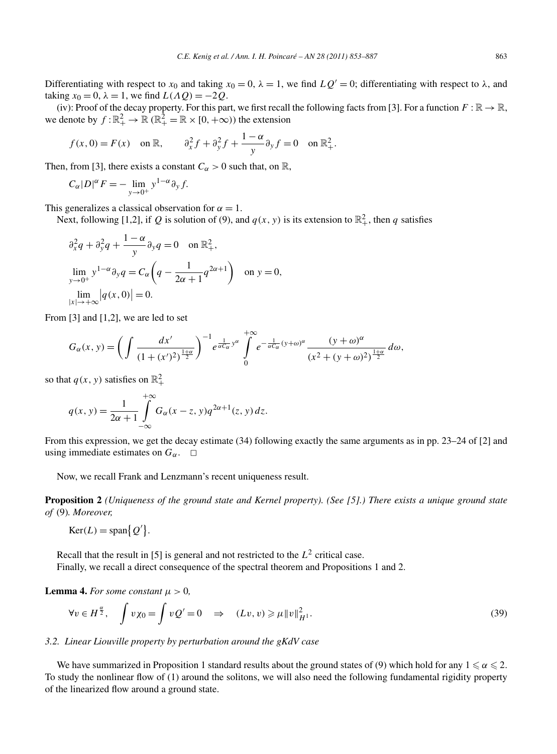Differentiating with respect to  $x_0$  and taking  $x_0 = 0$ ,  $\lambda = 1$ , we find  $LQ' = 0$ ; differentiating with respect to  $\lambda$ , and taking  $x_0 = 0$ ,  $\lambda = 1$ , we find  $L(\Lambda Q) = -2Q$ .

(iv): Proof of the decay property. For this part, we first recall the following facts from [3]. For a function  $F : \mathbb{R} \to \mathbb{R}$ , we denote by  $f : \mathbb{R}_+^2 \to \mathbb{R}$  ( $\mathbb{R}_+^2 = \mathbb{R} \times [0, +\infty)$ ) the extension

$$
f(x, 0) = F(x)
$$
 on  $\mathbb{R}$ ,  $\partial_x^2 f + \partial_y^2 f + \frac{1 - \alpha}{y} \partial_y f = 0$  on  $\mathbb{R}^2_+$ .

Then, from [3], there exists a constant  $C_{\alpha} > 0$  such that, on R,

$$
C_{\alpha}|D|^{\alpha}F = -\lim_{y \to 0^+} y^{1-\alpha} \partial_y f.
$$

This generalizes a classical observation for  $\alpha = 1$ .

Next, following [1,2], if Q is solution of (9), and  $q(x, y)$  is its extension to  $\mathbb{R}^2_+$ , then q satisfies

$$
\partial_x^2 q + \partial_y^2 q + \frac{1-\alpha}{y} \partial_y q = 0 \quad \text{on } \mathbb{R}^2_+,
$$
  
\n
$$
\lim_{y \to 0^+} y^{1-\alpha} \partial_y q = C_\alpha \left( q - \frac{1}{2\alpha + 1} q^{2\alpha + 1} \right) \quad \text{on } y = 0,
$$
  
\n
$$
\lim_{|x| \to +\infty} |q(x, 0)| = 0.
$$

From  $[3]$  and  $[1,2]$ , we are led to set

$$
G_{\alpha}(x, y) = \left(\int \frac{dx'}{(1 + (x')^2)^{\frac{1+\alpha}{2}}}\right)^{-1} e^{\frac{1}{\alpha C_{\alpha}}y^{\alpha}} \int_{0}^{+\infty} e^{-\frac{1}{\alpha C_{\alpha}}(y+\omega)^{\alpha}} \frac{(y+\omega)^{\alpha}}{(x^2 + (y+\omega)^2)^{\frac{1+\alpha}{2}}} d\omega,
$$

so that  $q(x, y)$  satisfies on  $\mathbb{R}^2_+$ 

$$
q(x, y) = \frac{1}{2\alpha + 1} \int_{-\infty}^{+\infty} G_{\alpha}(x - z, y) q^{2\alpha + 1}(z, y) dz.
$$

From this expression, we get the decay estimate (34) following exactly the same arguments as in pp. 23–24 of [2] and using immediate estimates on  $G_\alpha$ .  $\square$ 

Now, we recall Frank and Lenzmann's recent uniqueness result.

**Proposition 2** *(Uniqueness of the ground state and Kernel property). (See [5].) There exists a unique ground state of* (9)*. Moreover,*

 $\text{Ker}(L) = \text{span}\{Q'\}.$ 

Recall that the result in [5] is general and not restricted to the  $L^2$  critical case. Finally, we recall a direct consequence of the spectral theorem and Propositions 1 and 2.

**Lemma 4.** *For some constant*  $\mu > 0$ ,

$$
\forall v \in H^{\frac{\alpha}{2}}, \quad \int v\chi_0 = \int vQ' = 0 \quad \Rightarrow \quad (Lv, v) \geqslant \mu \|v\|_{H^1}^2. \tag{39}
$$

#### *3.2. Linear Liouville property by perturbation around the gKdV case*

We have summarized in Proposition 1 standard results about the ground states of (9) which hold for any  $1 \leqslant \alpha \leqslant 2.$ To study the nonlinear flow of (1) around the solitons, we will also need the following fundamental rigidity property of the linearized flow around a ground state.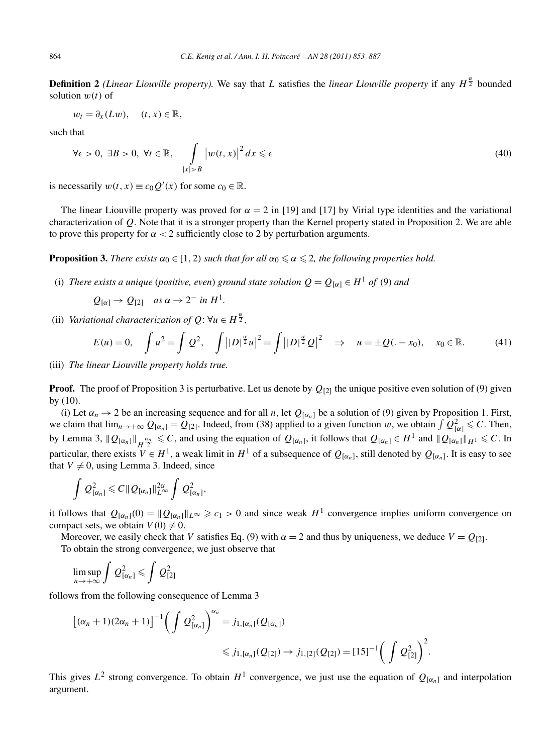**Definition 2** *(Linear Liouville property).* We say that *L* satisfies the *linear Liouville property* if any  $H^{\frac{\alpha}{2}}$  bounded solution *w(t)* of

$$
w_t = \partial_x(Lw), \quad (t, x) \in \mathbb{R},
$$

such that

$$
\forall \epsilon > 0, \ \exists B > 0, \ \forall t \in \mathbb{R}, \quad \int\limits_{|x| > B} \left| w(t, x) \right|^2 dx \leq \epsilon \tag{40}
$$

is necessarily  $w(t, x) \equiv c_0 Q'(x)$  for some  $c_0 \in \mathbb{R}$ .

The linear Liouville property was proved for  $\alpha = 2$  in [19] and [17] by Virial type identities and the variational characterization of *Q*. Note that it is a stronger property than the Kernel property stated in Proposition 2. We are able to prove this property for  $\alpha < 2$  sufficiently close to 2 by perturbation arguments.

**Proposition 3.** *There exists*  $\alpha_0 \in [1, 2)$  *such that for all*  $\alpha_0 \leq \alpha \leq 2$ , the following properties hold.

(i) *There exists a unique* (*positive, even*) *ground state solution*  $Q = Q_{[\alpha]} \in H^1$  *of* (9) *and* 

$$
Q_{[\alpha]} \rightarrow Q_{[2]}
$$
 as  $\alpha \rightarrow 2^-$  in  $H^1$ .

(ii) *Variational characterization of*  $Q: \forall u \in H^{\frac{\alpha}{2}}$ *,* 

$$
E(u) = 0, \quad \int u^2 = \int Q^2, \quad \int ||D|^{\frac{\alpha}{2}} u|^2 = \int ||D|^{\frac{\alpha}{2}} Q|^2 \quad \Rightarrow \quad u = \pm Q(-x_0), \quad x_0 \in \mathbb{R}.
$$
 (41)

(iii) *The linear Liouville property holds true.*

**Proof.** The proof of Proposition 3 is perturbative. Let us denote by  $Q_{[2]}$  the unique positive even solution of (9) given by (10).

(i) Let  $\alpha_n \to 2$  be an increasing sequence and for all *n*, let  $Q_{[\alpha_n]}$  be a solution of (9) given by Proposition 1. First, we claim that  $\lim_{n\to+\infty} Q_{[\alpha_n]} = Q_{[2]}$ . Indeed, from (38) applied to a given function *w*, we obtain  $\int Q_{[\alpha]}^2 \leq C$ . Then, by Lemma 3,  $\|Q_{[\alpha_n]}\|_{H^{\frac{\alpha_n}{2}}} \leq C$ , and using the equation of  $Q_{[\alpha_n]}$ , it follows that  $Q_{[\alpha_n]} \in H^1$  and  $\|Q_{[\alpha_n]}\|_{H^1} \leq C$ . In particular, there exists  $V \in H^1$ , a weak limit in  $H^1$  of a subsequence of  $Q_{[\alpha_n]}$ , still denoted by  $Q_{[\alpha_n]}$ . It is easy to see that  $V \neq 0$ , using Lemma 3. Indeed, since

$$
\int Q_{[\alpha_n]}^2 \leqslant C\|Q_{[\alpha_n]}\|_{L^\infty}^{2\alpha} \int Q_{[\alpha_n]}^2,
$$

it follows that  $Q_{[\alpha_n]}(0) = ||Q_{[\alpha_n]}||_{L^\infty} \ge c_1 > 0$  and since weak  $H^1$  convergence implies uniform convergence on compact sets, we obtain  $V(0) \neq 0$ .

Moreover, we easily check that *V* satisfies Eq. (9) with  $\alpha = 2$  and thus by uniqueness, we deduce  $V = Q_{[2]}$ . To obtain the strong convergence, we just observe that

$$
\limsup_{n\to+\infty}\int Q^2_{[\alpha_n]}\leqslant\int Q^2_{[2]}
$$

follows from the following consequence of Lemma 3

$$
[(\alpha_n + 1)(2\alpha_n + 1)]^{-1} \left( \int Q^2_{[\alpha_n]} \right)^{\alpha_n} = j_{1, [\alpha_n]}(Q_{[\alpha_n]})
$$
  
\$\leq j\_{1, [\alpha\_n]}(Q\_{[2]}) \to j\_{1, [2]}(Q\_{[2]}) = [15]^{-1} \left( \int Q^2\_{[2]} \right)^2.

This gives  $L^2$  strong convergence. To obtain  $H^1$  convergence, we just use the equation of  $Q_{[\alpha_n]}$  and interpolation argument.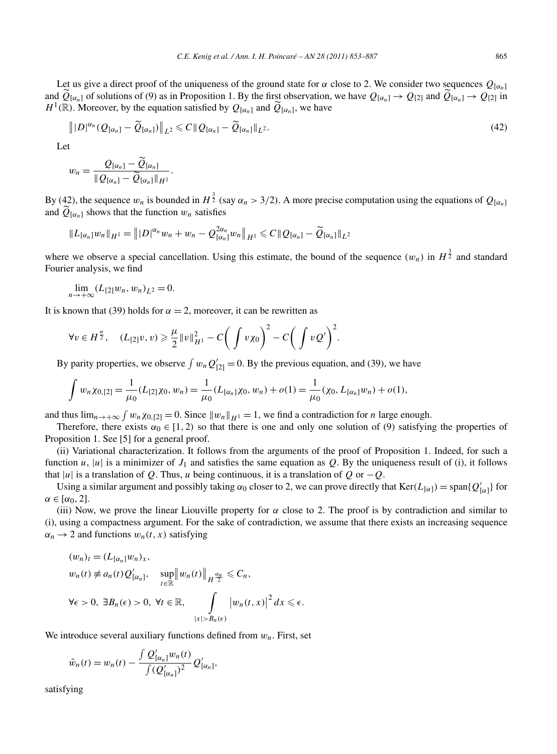Let us give a direct proof of the uniqueness of the ground state for  $\alpha$  close to 2. We consider two sequences  $Q_{[\alpha_n]}$ and  $\widetilde{Q}_{[\alpha_n]}$  of solutions of (9) as in Proposition 1. By the first observation, we have  $Q_{[\alpha_n]} \to Q_{[2]}$  and  $\widetilde{Q}_{[\alpha_n]} \to Q_{[2]}$  in  $H^1(\mathbb{R})$ . Moreover, by the equation satisfied by  $Q_{[\alpha_n]}$  and  $\overline{Q}_{[\alpha_n]}$ , we have

$$
\| |D|^{\alpha_n} (Q_{[\alpha_n]} - \widetilde{Q}_{[\alpha_n]}) \|_{L^2} \leq C \| Q_{[\alpha_n]} - \widetilde{Q}_{[\alpha_n]} \|_{L^2}.
$$
\n
$$
(42)
$$

Let

$$
w_n=\frac{Q_{[\alpha_n]}-\tilde{Q}_{[\alpha_n]}}{\|\tilde{Q}_{[\alpha_n]}-\tilde{Q}_{[\alpha_n]}\|_{H^1}}.
$$

By (42), the sequence  $w_n$  is bounded in  $H^{\frac{3}{2}}$  (say  $\alpha_n > 3/2$ ). A more precise computation using the equations of  $Q_{[\alpha_n]}$ and  $\hat{Q}_{\alpha_n}$  shows that the function  $w_n$  satisfies

$$
||L_{[\alpha_n]}w_n||_{H^1} = |||D|^{\alpha_n}w_n + w_n - Q_{[\alpha_n]}^{2\alpha_n}w_n||_{H^1} \leq C||Q_{[\alpha_n]} - \widetilde{Q}_{[\alpha_n]}||_{L^2}
$$

where we observe a special cancellation. Using this estimate, the bound of the sequence  $(w_n)$  in  $H^{\frac{3}{2}}$  and standard Fourier analysis, we find

$$
\lim_{n\to+\infty}(L_{[2]}w_n,w_n)_{L^2}=0.
$$

It is known that (39) holds for  $\alpha = 2$ , moreover, it can be rewritten as

$$
\forall v \in H^{\frac{\alpha}{2}}, \quad (L_{[2]}v, v) \geqslant \frac{\mu}{2} ||v||_{H^1}^2 - C \bigg( \int v \chi_0 \bigg)^2 - C \bigg( \int v Q' \bigg)^2.
$$

By parity properties, we observe  $\int w_n Q'_{[2]} = 0$ . By the previous equation, and (39), we have

$$
\int w_n \chi_{0,[2]} = \frac{1}{\mu_0} (L_{[2]} \chi_0, w_n) = \frac{1}{\mu_0} (L_{[\alpha_n]} \chi_0, w_n) + o(1) = \frac{1}{\mu_0} (\chi_0, L_{[\alpha_n]} w_n) + o(1),
$$

and thus  $\lim_{n\to+\infty} \int w_n \chi_{0,[2]} = 0$ . Since  $||w_n||_{H^1} = 1$ , we find a contradiction for *n* large enough.

Therefore, there exists  $\alpha_0 \in [1, 2)$  so that there is one and only one solution of (9) satisfying the properties of Proposition 1. See [5] for a general proof.

(ii) Variational characterization. It follows from the arguments of the proof of Proposition 1. Indeed, for such a function *u*, |*u*| is a minimizer of  $J_1$  and satisfies the same equation as Q. By the uniqueness result of (i), it follows that  $|u|$  is a translation of *Q*. Thus, *u* being continuous, it is a translation of *Q* or  $-Q$ .

Using a similar argument and possibly taking  $\alpha_0$  closer to 2, we can prove directly that  $Ker(L_{[\alpha]}) = span\{Q'_{[\alpha]}\}\$ for  $\alpha \in [\alpha_0, 2]$ .

(iii) Now, we prove the linear Liouville property for  $\alpha$  close to 2. The proof is by contradiction and similar to (i), using a compactness argument. For the sake of contradiction, we assume that there exists an increasing sequence  $\alpha_n \to 2$  and functions  $w_n(t, x)$  satisfying

$$
(w_n)_t = (L_{[\alpha_n]}w_n)_x,
$$
  
\n
$$
w_n(t) \neq a_n(t)Q'_{[\alpha_n]}, \quad \sup_{t \in \mathbb{R}} ||w_n(t)||_{H^{\frac{\alpha_n}{2}}} \leq C_n,
$$
  
\n
$$
\forall \epsilon > 0, \exists B_n(\epsilon) > 0, \forall t \in \mathbb{R}, \quad \int_{|x| > B_n(\epsilon)} |w_n(t,x)|^2 dx \leq \epsilon.
$$

We introduce several auxiliary functions defined from  $w_n$ . First, set

$$
\tilde{w}_n(t) = w_n(t) - \frac{\int Q'_{[\alpha_n]} w_n(t)}{\int (Q'_{[\alpha_n]})^2} Q'_{[\alpha_n]},
$$

satisfying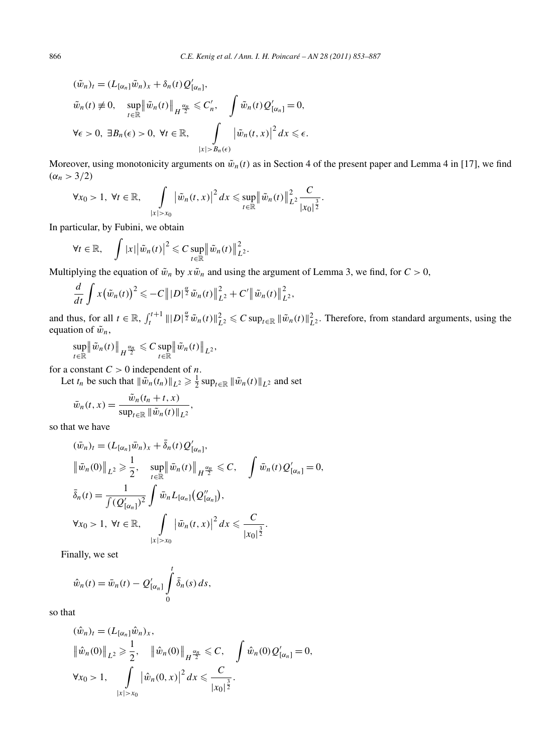$$
(\tilde{w}_n)_t = (L_{[\alpha_n]} \tilde{w}_n)_x + \delta_n(t) Q'_{[\alpha_n]},
$$
  

$$
\tilde{w}_n(t) \neq 0, \quad \sup_{t \in \mathbb{R}} \left\| \tilde{w}_n(t) \right\|_{H^{\frac{\alpha_n}{2}}} \leq C'_n, \quad \int \tilde{w}_n(t) Q'_{[\alpha_n]} = 0,
$$
  

$$
\forall \epsilon > 0, \ \exists B_n(\epsilon) > 0, \ \forall t \in \mathbb{R}, \quad \int_{|x| > B_n(\epsilon)} \left| \tilde{w}_n(t, x) \right|^2 dx \leq \epsilon.
$$

Moreover, using monotonicity arguments on  $\tilde{w}_n(t)$  as in Section 4 of the present paper and Lemma 4 in [17], we find  $(\alpha_n > 3/2)$ 

$$
\forall x_0 > 1, \ \forall t \in \mathbb{R}, \quad \int\limits_{|x| > x_0} \left| \tilde{w}_n(t,x) \right|^2 dx \leqslant \sup_{t \in \mathbb{R}} \left\| \tilde{w}_n(t) \right\|_{L^2}^2 \frac{C}{|x_0|^{\frac{3}{2}}}.
$$

In particular, by Fubini, we obtain

$$
\forall t \in \mathbb{R}, \quad \int |x| |\tilde{w}_n(t)|^2 \leqslant C \sup_{t \in \mathbb{R}} ||\tilde{w}_n(t)||_{L^2}^2.
$$

Multiplying the equation of  $\tilde{w}_n$  by  $x\tilde{w}_n$  and using the argument of Lemma 3, we find, for  $C > 0$ ,

$$
\frac{d}{dt}\int x(\tilde{w}_n(t))^2 \leq -C \| |D|^{\frac{\alpha}{2}} \tilde{w}_n(t) \|_{L^2}^2 + C' \| \tilde{w}_n(t) \|_{L^2}^2,
$$

and thus, for all  $t \in \mathbb{R}$ ,  $\int_{t}^{t+1} |||D|^{\frac{\alpha}{2}} \tilde{w}_n(t)||_{L^2}^2 \leq C \sup_{t \in \mathbb{R}} ||\tilde{w}_n(t)||_{L^2}^2$ . Therefore, from standard arguments, using the equation of  $\tilde{w}_n$ ,

$$
\sup_{t\in\mathbb{R}} \left\|\tilde{w}_n(t)\right\|_{H^{\frac{\alpha_n}{2}}}\leqslant C \sup_{t\in\mathbb{R}} \left\|\tilde{w}_n(t)\right\|_{L^2},
$$

for a constant  $C > 0$  independent of *n*.

Let  $t_n$  be such that  $\|\tilde{w}_n(t_n)\|_{L^2} \geq \frac{1}{2} \sup_{t \in \mathbb{R}} \|\tilde{w}_n(t)\|_{L^2}$  and set

$$
\bar{w}_n(t,x) = \frac{\tilde{w}_n(t_n+t,x)}{\sup_{t \in \mathbb{R}} \|\tilde{w}_n(t)\|_{L^2}},
$$

so that we have

$$
(\bar{w}_n)_t = (L_{[\alpha_n]} \bar{w}_n)_x + \bar{\delta}_n(t) Q'_{[\alpha_n]},
$$
  

$$
\|\bar{w}_n(0)\|_{L^2} \ge \frac{1}{2}, \quad \sup_{t \in \mathbb{R}} \|\bar{w}_n(t)\|_{H^{\frac{\alpha_n}{2}}} \le C, \quad \int \bar{w}_n(t) Q'_{[\alpha_n]} = 0,
$$
  

$$
\bar{\delta}_n(t) = \frac{1}{\int (Q'_{[\alpha_n]})^2} \int \bar{w}_n L_{[\alpha_n]}(Q''_{[\alpha_n]}),
$$
  

$$
\forall x_0 > 1, \forall t \in \mathbb{R}, \quad \int_{|x| > x_0} |\bar{w}_n(t, x)|^2 dx \le \frac{C}{|x_0|^{\frac{3}{2}}}.
$$

Finally, we set

$$
\hat{w}_n(t) = \bar{w}_n(t) - Q'_{[\alpha_n]}\int_0^t \bar{\delta}_n(s) ds,
$$

so that

$$
(\hat{w}_n)_t = (L_{[\alpha_n]} \hat{w}_n)_x, \n\|\hat{w}_n(0)\|_{L^2} \ge \frac{1}{2}, \quad \|\hat{w}_n(0)\|_{H^{\frac{\alpha_n}{2}}} \le C, \quad \int \hat{w}_n(0) Q'_{[\alpha_n]} = 0, \n\forall x_0 > 1, \quad \int_{|x| > x_0} |\hat{w}_n(0, x)|^2 dx \le \frac{C}{|x_0|^{\frac{3}{2}}}.
$$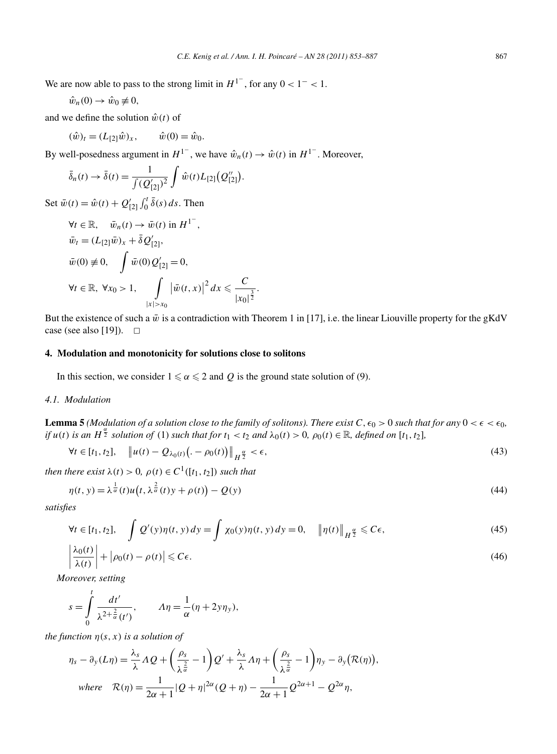We are now able to pass to the strong limit in  $H^{1-}$ , for any  $0 < 1^- < 1$ .

$$
\hat{w}_n(0) \to \hat{w}_0 \not\equiv 0,
$$

and we define the solution  $\hat{w}(t)$  of

$$
(\hat{w})_t = (L_{[2]}\hat{w})_x, \qquad \hat{w}(0) = \hat{w}_0.
$$

By well-posedness argument in  $H^{1-}$ , we have  $\hat{w}_n(t) \to \hat{w}(t)$  in  $H^{1-}$ . Moreover,

$$
\bar{\delta}_n(t) \to \bar{\delta}(t) = \frac{1}{\int (Q'_{[2]})^2} \int \hat{w}(t) L_{[2]}(Q''_{[2]}).
$$

Set  $\bar{w}(t) = \hat{w}(t) + Q'_{[2]} \int_0^t \bar{\delta}(s) ds$ . Then

$$
\forall t \in \mathbb{R}, \quad \bar{w}_n(t) \to \bar{w}(t) \text{ in } H^{1^-},
$$
  
\n
$$
\bar{w}_t = (L_{[2]}\bar{w})_x + \bar{\delta} Q'_{[2]},
$$
  
\n
$$
\bar{w}(0) \neq 0, \quad \int \bar{w}(0) Q'_{[2]} = 0,
$$
  
\n
$$
\forall t \in \mathbb{R}, \forall x_0 > 1, \quad \int_{|x| > x_0} |\bar{w}(t, x)|^2 dx \leq \frac{C}{|x_0|^{\frac{3}{2}}}.
$$

But the existence of such a  $\bar{w}$  is a contradiction with Theorem 1 in [17], i.e. the linear Liouville property for the gKdV case (see also [19]).  $\Box$ 

# **4. Modulation and monotonicity for solutions close to solitons**

In this section, we consider  $1 \le \alpha \le 2$  and Q is the ground state solution of (9).

# *4.1. Modulation*

**Lemma 5** *(Modulation of a solution close to the family of solitons). There exist*  $C, \epsilon_0 > 0$  *such that for any*  $0 < \epsilon < \epsilon_0$ , if  $u(t)$  is an  $H^{\frac{\alpha}{2}}$  solution of (1) such that for  $t_1 < t_2$  and  $\lambda_0(t) > 0$ ,  $\rho_0(t) \in \mathbb{R}$ , defined on [ $t_1, t_2$ ],

$$
\forall t \in [t_1, t_2], \quad \|u(t) - Q_{\lambda_0(t)}\left( -\rho_0(t) \right)\|_{H^{\frac{\alpha}{2}}} < \epsilon,
$$
\n(43)

*then there exist*  $\lambda(t) > 0$ ,  $\rho(t) \in C^1([t_1, t_2])$  *such that* 

$$
\eta(t, y) = \lambda^{\frac{1}{\alpha}}(t)u\left(t, \lambda^{\frac{2}{\alpha}}(t)y + \rho(t)\right) - Q(y)
$$
\n(44)

*satisfies*

$$
\forall t \in [t_1, t_2], \quad \int Q'(y)\eta(t, y) dy = \int \chi_0(y)\eta(t, y) dy = 0, \quad \|\eta(t)\|_{H^{\frac{\alpha}{2}}} \leq C\epsilon,
$$
\n(45)

$$
\left|\frac{\lambda_0(t)}{\lambda(t)}\right| + \left|\rho_0(t) - \rho(t)\right| \leqslant C\epsilon.
$$
\n(46)

*,*

*Moreover, setting*

$$
s = \int_{0}^{t} \frac{dt'}{\lambda^{2+\frac{2}{\alpha}}(t')}, \qquad A\eta = \frac{1}{\alpha}(\eta + 2y\eta_{y}),
$$

*the function*  $\eta(s, x)$  *is a solution of* 

$$
\eta_s - \partial_y(L\eta) = \frac{\lambda_s}{\lambda} \Lambda Q + \left(\frac{\rho_s}{\lambda^{\frac{2}{\alpha}}} - 1\right) Q' + \frac{\lambda_s}{\lambda} \Lambda \eta + \left(\frac{\rho_s}{\lambda^{\frac{2}{\alpha}}} - 1\right) \eta_y - \partial_y(\mathcal{R}(\eta))
$$
  
where  $\mathcal{R}(\eta) = \frac{1}{2\alpha + 1} |Q + \eta|^{2\alpha} (Q + \eta) - \frac{1}{2\alpha + 1} Q^{2\alpha + 1} - Q^{2\alpha} \eta,$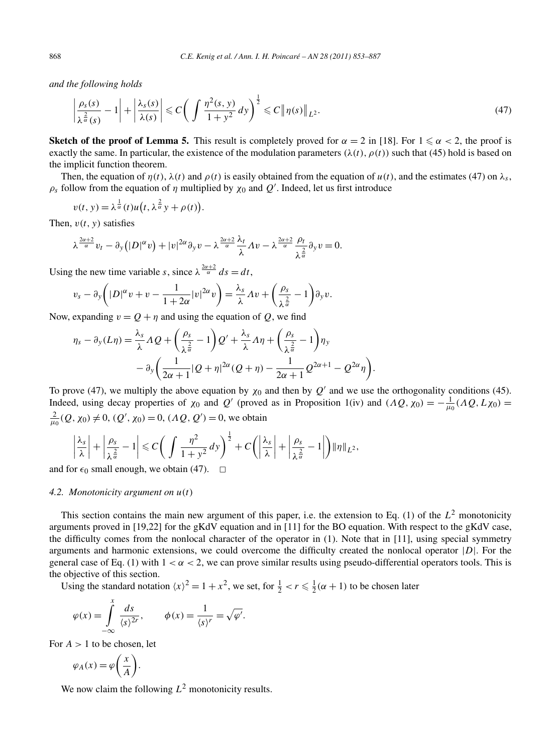*and the following holds*

$$
\left|\frac{\rho_s(s)}{\lambda^{\frac{2}{\alpha}}(s)}-1\right|+\left|\frac{\lambda_s(s)}{\lambda(s)}\right|\leqslant C\bigg(\int\frac{\eta^2(s,y)}{1+y^2}dy\bigg)^{\frac{1}{2}}\leqslant C\|\eta(s)\|_{L^2}.\tag{47}
$$

**Sketch of the proof of Lemma 5.** This result is completely proved for  $\alpha = 2$  in [18]. For  $1 \le \alpha < 2$ , the proof is exactly the same. In particular, the existence of the modulation parameters  $(\lambda(t), \rho(t))$  such that (45) hold is based on the implicit function theorem.

Then, the equation of  $\eta(t)$ ,  $\lambda(t)$  and  $\rho(t)$  is easily obtained from the equation of  $u(t)$ , and the estimates (47) on  $\lambda_s$ ,  $\rho_s$  follow from the equation of *η* multiplied by  $\chi_0$  and  $Q'$ . Indeed, let us first introduce

$$
v(t, y) = \lambda^{\frac{1}{\alpha}}(t)u(t, \lambda^{\frac{2}{\alpha}}y + \rho(t)).
$$

Then,  $v(t, y)$  satisfies

$$
\lambda^{\frac{2\alpha+2}{\alpha}}v_t - \partial_y(|D|^{\alpha}v) + |v|^{2\alpha}\partial_yv - \lambda^{\frac{2\alpha+2}{\alpha}}\frac{\lambda_t}{\lambda}Av - \lambda^{\frac{2\alpha+2}{\alpha}}\frac{\rho_t}{\lambda^{\frac{2}{\alpha}}}\partial_yv = 0.
$$

Using the new time variable *s*, since  $\lambda^{\frac{2\alpha+2}{\alpha}} ds = dt$ ,

$$
v_s - \partial_y \left( |D|^\alpha v + v - \frac{1}{1+2\alpha} |v|^{2\alpha} v \right) = \frac{\lambda_s}{\lambda} \Lambda v + \left( \frac{\rho_s}{\lambda^{\frac{2}{\alpha}}} - 1 \right) \partial_y v.
$$

Now, expanding  $v = Q + \eta$  and using the equation of Q, we find

$$
\eta_s - \partial_y(L\eta) = \frac{\lambda_s}{\lambda} \Lambda Q + \left(\frac{\rho_s}{\lambda^{\frac{2}{\alpha}}} - 1\right) Q' + \frac{\lambda_s}{\lambda} \Lambda \eta + \left(\frac{\rho_s}{\lambda^{\frac{2}{\alpha}}} - 1\right) \eta_y
$$

$$
- \partial_y \left(\frac{1}{2\alpha + 1} |Q + \eta|^{2\alpha} (Q + \eta) - \frac{1}{2\alpha + 1} Q^{2\alpha + 1} - Q^{2\alpha} \eta\right).
$$

To prove (47), we multiply the above equation by  $\chi_0$  and then by  $Q'$  and we use the orthogonality conditions (45). Indeed, using decay properties of  $\chi_0$  and *Q*<sup>'</sup> (proved as in Proposition 1(iv) and  $(\Lambda Q, \chi_0) = -\frac{1}{\mu_0}(\Lambda Q, L\chi_0)$  $\frac{2}{\mu_0}(Q, \chi_0) \neq 0$ ,  $(Q', \chi_0) = 0$ ,  $(\Lambda Q, Q') = 0$ , we obtain

$$
\left|\frac{\lambda_s}{\lambda}\right| + \left|\frac{\rho_s}{\lambda^{\frac{2}{\alpha}}}-1\right| \leqslant C\bigg(\int \frac{\eta^2}{1+\gamma^2}dy\bigg)^{\frac{1}{2}} + C\bigg(\bigg|\frac{\lambda_s}{\lambda}\bigg| + \bigg|\frac{\rho_s}{\lambda^{\frac{2}{\alpha}}}-1\bigg|\bigg) \|\eta\|_{L^2},
$$

and for  $\epsilon_0$  small enough, we obtain (47).  $\Box$ 

### *4.2. Monotonicity argument on u(t)*

This section contains the main new argument of this paper, i.e. the extension to Eq. (1) of the *L*<sup>2</sup> monotonicity arguments proved in [19,22] for the gKdV equation and in [11] for the BO equation. With respect to the gKdV case, the difficulty comes from the nonlocal character of the operator in (1). Note that in [11], using special symmetry arguments and harmonic extensions, we could overcome the difficulty created the nonlocal operator |*D*|. For the general case of Eq. (1) with  $1 < \alpha < 2$ , we can prove similar results using pseudo-differential operators tools. This is the objective of this section.

Using the standard notation  $\langle x \rangle^2 = 1 + x^2$ , we set, for  $\frac{1}{2} < r \leq \frac{1}{2}(\alpha + 1)$  to be chosen later

$$
\varphi(x) = \int_{-\infty}^{x} \frac{ds}{\langle s \rangle^{2r}}, \qquad \phi(x) = \frac{1}{\langle s \rangle^{r}} = \sqrt{\varphi'}.
$$

For  $A > 1$  to be chosen, let

$$
\varphi_A(x) = \varphi\bigg(\frac{x}{A}\bigg).
$$

We now claim the following  $L^2$  monotonicity results.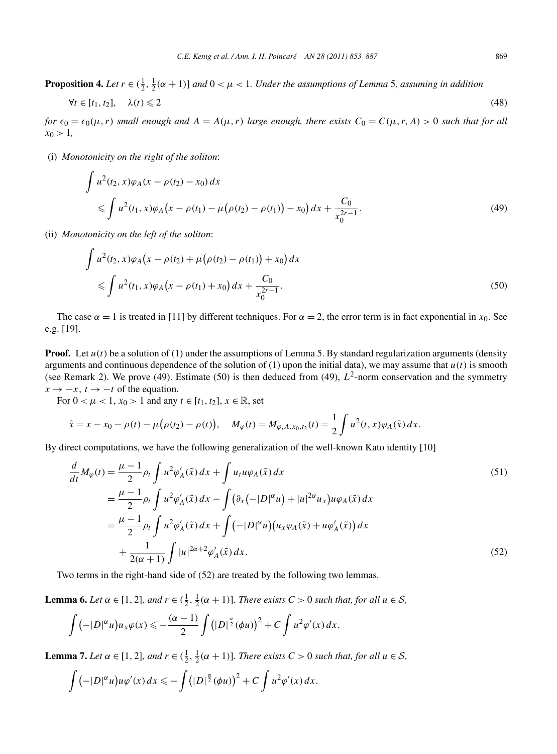**Proposition 4.** Let  $r \in (\frac{1}{2}, \frac{1}{2}(\alpha + 1)]$  and  $0 < \mu < 1$ . Under the assumptions of Lemma 5, assuming in addition

$$
\forall t \in [t_1, t_2], \quad \lambda(t) \leq 2 \tag{48}
$$

*for*  $\epsilon_0 = \epsilon_0(\mu, r)$  *small enough and*  $A = A(\mu, r)$  *large enough, there exists*  $C_0 = C(\mu, r, A) > 0$  *such that for all*  $x_0 > 1$ ,

(i) *Monotonicity on the right of the soliton*:

$$
\int u^2(t_2, x)\varphi_A(x - \rho(t_2) - x_0) dx
$$
  
\$\leqslant \int u^2(t\_1, x)\varphi\_A(x - \rho(t\_1) - \mu(\rho(t\_2) - \rho(t\_1)) - x\_0) dx + \frac{C\_0}{x\_0^{2r - 1}}.\$

(ii) *Monotonicity on the left of the soliton*:

$$
\int u^2(t_2, x)\varphi_A(x - \rho(t_2) + \mu(\rho(t_2) - \rho(t_1)) + x_0) dx
$$
  
\$\leqslant \int u^2(t\_1, x)\varphi\_A(x - \rho(t\_1) + x\_0) dx + \frac{C\_0}{x\_0^{2r-1}}.\$ (50)

The case  $\alpha = 1$  is treated in [11] by different techniques. For  $\alpha = 2$ , the error term is in fact exponential in  $x_0$ . See e.g. [19].

**Proof.** Let  $u(t)$  be a solution of (1) under the assumptions of Lemma 5. By standard regularization arguments (density arguments and continuous dependence of the solution of  $(1)$  upon the initial data), we may assume that  $u(t)$  is smooth (see Remark 2). We prove (49). Estimate (50) is then deduced from (49),  $L^2$ -norm conservation and the symmetry  $x \rightarrow -x$ ,  $t \rightarrow -t$  of the equation.

For  $0 < \mu < 1$ ,  $x_0 > 1$  and any  $t \in [t_1, t_2]$ ,  $x \in \mathbb{R}$ , set

$$
\tilde{x} = x - x_0 - \rho(t) - \mu(\rho(t_2) - \rho(t)), \quad M_{\varphi}(t) = M_{\varphi, A, x_0, t_2}(t) = \frac{1}{2} \int u^2(t, x) \varphi_A(\tilde{x}) dx.
$$

By direct computations, we have the following generalization of the well-known Kato identity [10]

$$
\frac{d}{dt}M_{\varphi}(t) = \frac{\mu - 1}{2} \rho_t \int u^2 \varphi_A'(\tilde{x}) dx + \int u_t u \varphi_A(\tilde{x}) dx \n= \frac{\mu - 1}{2} \rho_t \int u^2 \varphi_A'(\tilde{x}) dx - \int (\partial_x (-|D|^{\alpha} u) + |u|^{2\alpha} u_x) u \varphi_A(\tilde{x}) dx \n= \frac{\mu - 1}{2} \rho_t \int u^2 \varphi_A'(\tilde{x}) dx + \int (-|D|^{\alpha} u) (u_x \varphi_A(\tilde{x}) + u \varphi_A'(\tilde{x})) dx \n+ \frac{1}{2(\alpha + 1)} \int |u|^{2\alpha + 2} \varphi_A'(\tilde{x}) dx.
$$
\n(52)

Two terms in the right-hand side of (52) are treated by the following two lemmas.

**Lemma 6.** *Let*  $\alpha \in [1, 2]$ *, and*  $r \in (\frac{1}{2}, \frac{1}{2}(\alpha + 1))$ *. There exists*  $C > 0$  *such that, for all*  $u \in S$ *,* 

$$
\int \left(-|D|^{\alpha}u\right)u_{x}\varphi(x) \leqslant -\frac{(\alpha-1)}{2}\int \left(|D|^{\frac{\alpha}{2}}(\phi u)\right)^{2}+C\int u^{2}\varphi'(x)\,dx.
$$

**Lemma 7.** *Let*  $\alpha \in [1, 2]$ *, and*  $r \in (\frac{1}{2}, \frac{1}{2}(\alpha + 1))$ *. There exists*  $C > 0$  *such that, for all*  $u \in S$ *,* 

$$
\int \left(-|D|^{\alpha}u\right)u\varphi'(x)\,dx \leqslant -\int \left(|D|^{\frac{\alpha}{2}}(\phi u)\right)^2 + C\int u^2\varphi'(x)\,dx.
$$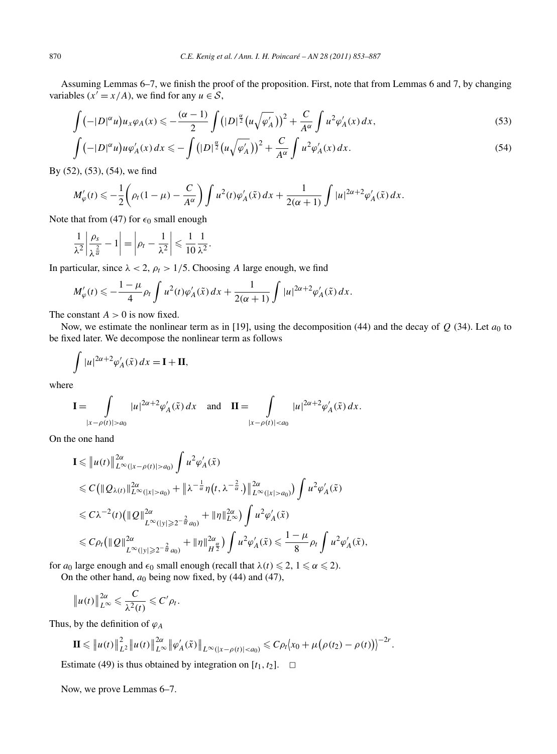Assuming Lemmas 6–7, we finish the proof of the proposition. First, note that from Lemmas 6 and 7, by changing variables ( $x' = x/A$ ), we find for any  $u \in S$ ,

$$
\int \left(-|D|^{\alpha}u\right)u_{x}\varphi_{A}(x) \leqslant -\frac{(\alpha-1)}{2}\int \left(|D|^{\frac{\alpha}{2}}\left(u\sqrt{\varphi_{A}'}\right)\right)^{2} + \frac{C}{A^{\alpha}}\int u^{2}\varphi_{A}'(x)\,dx,\tag{53}
$$

$$
\int \left(-|D|^{\alpha}u\right)u\varphi_A'(x)\,dx \leqslant -\int \left(|D|^{\frac{\alpha}{2}}\left(u\sqrt{\varphi_A'}\right)\right)^2 + \frac{C}{A^{\alpha}}\int u^2\varphi_A'(x)\,dx. \tag{54}
$$

By (52), (53), (54), we find

$$
M_{\varphi}'(t) \leqslant -\frac{1}{2} \left( \rho_t (1-\mu) - \frac{C}{A^{\alpha}} \right) \int u^2(t) \varphi_A'(\tilde{x}) \, dx + \frac{1}{2(\alpha+1)} \int |u|^{2\alpha+2} \varphi_A'(\tilde{x}) \, dx.
$$

Note that from (47) for  $\epsilon_0$  small enough

$$
\frac{1}{\lambda^2} \left| \frac{\rho_s}{\lambda^{\frac{2}{\alpha}}} - 1 \right| = \left| \rho_t - \frac{1}{\lambda^2} \right| \leqslant \frac{1}{10} \frac{1}{\lambda^2}.
$$

In particular, since  $\lambda < 2$ ,  $\rho_t > 1/5$ . Choosing *A* large enough, we find

$$
M_{\varphi}'(t) \leq -\frac{1-\mu}{4} \rho_t \int u^2(t) \varphi'_A(\tilde{x}) dx + \frac{1}{2(\alpha+1)} \int |u|^{2\alpha+2} \varphi'_A(\tilde{x}) dx.
$$

The constant  $A > 0$  is now fixed.

Now, we estimate the nonlinear term as in [19], using the decomposition (44) and the decay of  $Q$  (34). Let  $a_0$  to be fixed later. We decompose the nonlinear term as follows

$$
\int |u|^{2\alpha+2} \varphi'_A(\tilde{x}) dx = \mathbf{I} + \mathbf{II},
$$

where

$$
\mathbf{I} = \int_{|x - \rho(t)| > a_0} |u|^{2\alpha + 2} \varphi'_A(\tilde{x}) dx \text{ and } \mathbf{II} = \int_{|x - \rho(t)| < a_0} |u|^{2\alpha + 2} \varphi'_A(\tilde{x}) dx.
$$

On the one hand

$$
\mathbf{I} \leq \|u(t)\|_{L^{\infty}(|x-\rho(t)|>a_0)}^{2\alpha} \int u^2 \varphi'_A(\tilde{x})
$$
  
\n
$$
\leq C (\|\mathcal{Q}_{\lambda(t)}\|_{L^{\infty}(|x|>a_0)}^{2\alpha} + \|\lambda^{-\frac{1}{\alpha}}\eta(t,\lambda^{-\frac{2}{\alpha}} \cdot)\|_{L^{\infty}(|x|>a_0)}^{2\alpha}) \int u^2 \varphi'_A(\tilde{x})
$$
  
\n
$$
\leq C\lambda^{-2}(t) (\|\mathcal{Q}\|_{L^{\infty}(|y|\geq 2^{-\frac{2}{\alpha}}a_0)}^{2\alpha} + \|\eta\|_{L^{\infty}}^{2\alpha}) \int u^2 \varphi'_A(\tilde{x})
$$
  
\n
$$
\leq C\rho_t (\|\mathcal{Q}\|_{L^{\infty}(|y|\geq 2^{-\frac{2}{\alpha}}a_0)}^{2\alpha} + \|\eta\|_{H^{\frac{2\alpha}{2}}}^{2\alpha}) \int u^2 \varphi'_A(\tilde{x}) \leq \frac{1-\mu}{8} \rho_t \int u^2 \varphi'_A(\tilde{x}),
$$

for  $a_0$  large enough and  $\epsilon_0$  small enough (recall that  $\lambda(t) \leq 2$ ,  $1 \leq \alpha \leq 2$ ). On the other hand,  $a_0$  being now fixed, by (44) and (47),

$$
||u(t)||_{L^{\infty}}^{2\alpha} \leqslant \frac{C}{\lambda^2(t)} \leqslant C'\rho_t.
$$

Thus, by the definition of  $\varphi_A$ 

$$
\mathbf{II} \leq \|u(t)\|_{L^2}^2 \|u(t)\|_{L^\infty}^{2\alpha} \|\varphi'_A(\tilde{x})\|_{L^\infty(|x-\rho(t)|
$$

Estimate (49) is thus obtained by integration on  $[t_1, t_2]$ .  $\Box$ 

Now, we prove Lemmas 6–7.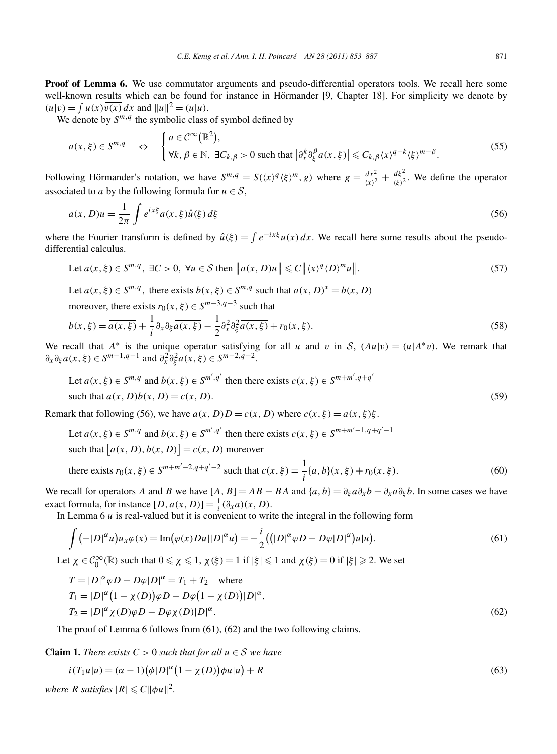**Proof of Lemma 6.** We use commutator arguments and pseudo-differential operators tools. We recall here some well-known results which can be found for instance in Hörmander [9, Chapter 18]. For simplicity we denote by  $(u|v) = \int u(x)\overline{v(x)} dx$  and  $||u||^2 = (u|u)$ .

We denote by  $S^{m,q}$  the symbolic class of symbol defined by

$$
a(x,\xi) \in S^{m,q} \quad \Leftrightarrow \quad \begin{cases} a \in \mathcal{C}^{\infty}(\mathbb{R}^2), \\ \forall k, \beta \in \mathbb{N}, \ \exists C_{k,\beta} > 0 \text{ such that } \left| \partial_x^k \partial_{\xi}^{\beta} a(x,\xi) \right| \leq C_{k,\beta} \langle x \rangle^{q-k} \langle \xi \rangle^{m-\beta}. \end{cases} \tag{55}
$$

Following Hörmander's notation, we have  $S^{m,q} = S(\langle x \rangle^q \langle \xi \rangle^m, g)$  where  $g = \frac{dx^2}{\langle x \rangle^2} + \frac{d\xi^2}{\langle \xi \rangle^2}$ . We define the operator associated to *a* by the following formula for  $u \in S$ ,

$$
a(x,D)u = \frac{1}{2\pi} \int e^{ix\xi} a(x,\xi) \hat{u}(\xi) d\xi
$$
\n(56)

where the Fourier transform is defined by  $\hat{u}(\xi) = \int e^{-ix\xi} u(x) dx$ . We recall here some results about the pseudodifferential calculus.

Let 
$$
a(x, \xi) \in S^{m,q}
$$
,  $\exists C > 0$ ,  $\forall u \in S$  then  $||a(x, D)u|| \le C ||\langle x \rangle^q \langle D \rangle^m u||$ . (57)

Let  $a(x, \xi) \in S^{m,q}$ , there exists  $b(x, \xi) \in S^{m,q}$  such that  $a(x, D)^* = b(x, D)$ 

moreover, there exists  $r_0(x, \xi) \in S^{m-3, q-3}$  such that

$$
b(x,\xi) = \overline{a(x,\xi)} + \frac{1}{i}\partial_x\partial_\xi \overline{a(x,\xi)} - \frac{1}{2}\partial_x^2\partial_\xi^2 \overline{a(x,\xi)} + r_0(x,\xi). \tag{58}
$$

We recall that  $A^*$  is the unique operator satisfying for all *u* and *v* in S,  $(Au|v) = (u|A^*v)$ . We remark that  $\partial_x \partial_{\xi} \overline{a(x,\xi)} \in S^{m-1,q-1}$  and  $\partial_x^2 \partial_{\xi}^2 \overline{a(x,\xi)} \in S^{m-2,q-2}$ .

Let 
$$
a(x, \xi) \in S^{m,q}
$$
 and  $b(x, \xi) \in S^{m',q'}$  then there exists  $c(x, \xi) \in S^{m+m', q+q'}$   
such that  $a(x, D)b(x, D) = c(x, D)$ . (59)

Remark that following (56), we have  $a(x, D)D = c(x, D)$  where  $c(x, \xi) = a(x, \xi)\xi$ .

Let  $a(x, \xi) \in S^{m,q}$  and  $b(x, \xi) \in S^{m', q'}$  then there exists  $c(x, \xi) \in S^{m+m'-1, q+q'-1}$ such that  $[a(x, D), b(x, D)] = c(x, D)$  moreover

there exists 
$$
r_0(x, \xi) \in S^{m+m'-2, q+q'-2}
$$
 such that  $c(x, \xi) = \frac{1}{i} \{a, b\}(x, \xi) + r_0(x, \xi)$ . (60)

We recall for operators *A* and *B* we have  $[A, B] = AB - BA$  and  $\{a, b\} = \partial_{\xi}a\partial_{x}b - \partial_{x}a\partial_{\xi}b$ . In some cases we have exact formula, for instance  $[D, a(x, D)] = \frac{1}{i}(\partial_x a)(x, D)$ .

In Lemma 6 *u* is real-valued but it is convenient to write the integral in the following form

$$
\int \left( -|D|^{\alpha} u \right) u_x \varphi(x) = \operatorname{Im} \left( \varphi(x) D u ||D|^{\alpha} u \right) = -\frac{i}{2} \left( \left( |D|^{\alpha} \varphi D - D \varphi |D|^{\alpha} \right) u |u \right). \tag{61}
$$

Let  $\chi \in C_0^{\infty}(\mathbb{R})$  such that  $0 \le \chi \le 1$ ,  $\chi(\xi) = 1$  if  $|\xi| \le 1$  and  $\chi(\xi) = 0$  if  $|\xi| \ge 2$ . We set

$$
T = |D|^{\alpha} \varphi D - D\varphi |D|^{\alpha} = T_1 + T_2 \quad \text{where}
$$
  
\n
$$
T_1 = |D|^{\alpha} (1 - \chi(D)) \varphi D - D\varphi (1 - \chi(D)) |D|^{\alpha},
$$
  
\n
$$
T_2 = |D|^{\alpha} \chi(D) \varphi D - D\varphi \chi(D) |D|^{\alpha}.
$$
\n(62)

The proof of Lemma 6 follows from (61), (62) and the two following claims.

**Claim 1.** *There exists*  $C > 0$  *such that for all*  $u \in S$  *we have* 

$$
i(T_1u|u) = (\alpha - 1)(\phi|D|^{\alpha}(1 - \chi(D))\phi u|u) + R
$$
\n(63)

*where R satisfies*  $|R| \leq C \|\phi u\|^2$ .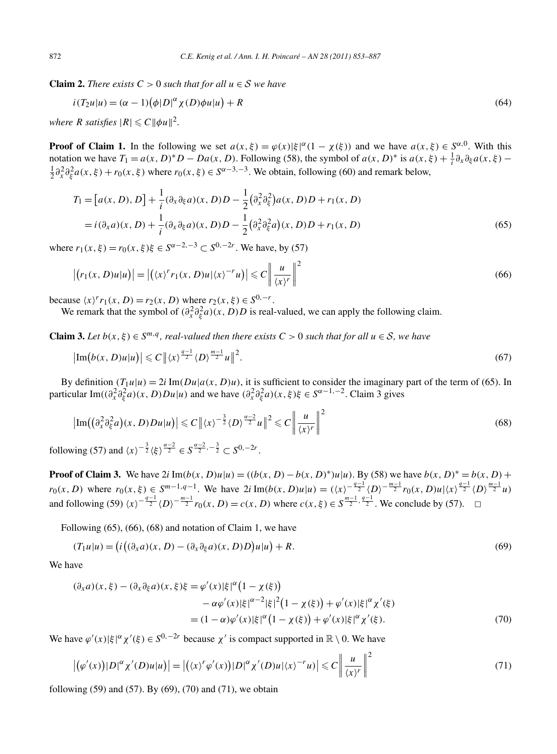**Claim 2.** *There exists*  $C > 0$  *such that for all*  $u \in S$  *we have* 

$$
i(T_2u|u) = (\alpha - 1)(\phi|D|^{\alpha}\chi(D)\phi u|u) + R
$$
\n(64)

*where R satisfies*  $|R| \leq C \|\phi u\|^2$ .

**Proof of Claim 1.** In the following we set  $a(x, \xi) = \varphi(x) |\xi|^{\alpha} (1 - \chi(\xi))$  and we have  $a(x, \xi) \in S^{\alpha,0}$ . With this notation we have  $T_1 = a(x, D)^*D - Da(x, D)$ . Following (58), the symbol of  $a(x, D)^*$  is  $a(x, \xi) + \frac{1}{i}\partial_x\partial_\xi a(x, \xi) - \frac{1}{2}\partial_x^2 a(x, \xi) + r_0(x, \xi)$  where  $r_0(x, \xi) \in S^{\alpha-3,-3}$ . We obtain following (60) and remark below  $\frac{1}{2}\partial_x^2 \partial_{\xi}^2 a(x,\xi) + r_0(x,\xi)$  where  $r_0(x,\xi) \in S^{\alpha-3,-3}$ . We obtain, following (60) and remark below,

$$
T_1 = [a(x, D), D] + \frac{1}{i} (\partial_x \partial_{\xi} a)(x, D)D - \frac{1}{2} (\partial_x^2 \partial_{\xi}^2) a(x, D)D + r_1(x, D)
$$
  
=  $i(\partial_x a)(x, D) + \frac{1}{i} (\partial_x \partial_{\xi} a)(x, D)D - \frac{1}{2} (\partial_x^2 \partial_{\xi}^2 a)(x, D)D + r_1(x, D)$  (65)

where  $r_1(x,\xi) = r_0(x,\xi)\xi \in S^{\alpha-2,-3} \subset S^{0,-2r}$ . We have, by (57)

$$
\left| \left( r_1(x, D)u | u \right) \right| = \left| \left( \langle x \rangle^r r_1(x, D)u | \langle x \rangle^{-r} u \right) \right| \leq C \left| \frac{u}{\langle x \rangle^r} \right|^2 \tag{66}
$$

because  $\langle x \rangle^r r_1(x, D) = r_2(x, D)$  where  $r_2(x, \xi) \in S^{0, -r}$ .

We remark that the symbol of  $(\partial_x^2 \partial_{\xi}^2 a)(x, D)D$  is real-valued, we can apply the following claim.

**Claim 3.** *Let*  $b(x, \xi) \in S^{m,q}$ , *real-valued then there exists*  $C > 0$  *such that for all*  $u \in S$ *, we have* 

$$
\left|\operatorname{Im}\left(b(x,D)u|u\right)\right| \leqslant C\left\|\left\langle x\right\rangle^{\frac{q-1}{2}}\left\langle D\right\rangle^{\frac{m-1}{2}}u\right\|^2. \tag{67}
$$

By definition  $(T_1u|u) = 2i \text{Im}(Du|a(x,D)u)$ , it is sufficient to consider the imaginary part of the term of (65). In particular Im( $(\partial_x^2 \partial_{\xi}^2 a)(x, D)Du|u)$  and we have  $(\partial_x^2 \partial_{\xi}^2 a)(x, \xi)\xi \in S^{\alpha-1,-2}$ . Claim 3 gives

$$
\left|\operatorname{Im}\left(\left(\partial_x^2 \partial_\xi^2 a\right)(x, D)Du|u\right)\right| \leq C \left\|\langle x\rangle^{-\frac{3}{2}} \langle D\rangle^{\frac{\alpha-2}{2}} u\right\|^2 \leq C \left\|\frac{u}{\langle x\rangle^r}\right\|^2
$$
\n(68)

\nving (57) and  $\langle x\rangle^{-\frac{3}{2}} \langle \xi \rangle^{\frac{\alpha-2}{2}} \leq S^{\frac{\alpha-2}{2}, -\frac{3}{2}} \subseteq S^{0, -2r}$ 

following (57) and  $\langle x \rangle^{-\frac{3}{2}} \langle \xi \rangle^{\frac{\alpha-2}{2}} \in S^{\frac{\alpha-2}{2}, -\frac{3}{2}} \subset S^{0, -2r}$ .

**Proof of Claim 3.** We have  $2i \text{Im}(b(x, D)u|u) = ((b(x, D) - b(x, D)^*)u|u)$ . By (58) we have  $b(x, D)^* = b(x, D) +$  $r_0(x, D)$  where  $r_0(x, \xi) \in S^{m-1, q-1}$ . We have  $2i \operatorname{Im}(b(x, D)u|u) = (\langle x \rangle)^{-\frac{q-1}{2}} \langle D \rangle^{-\frac{m-1}{2}} r_0(x, D)u|\langle x \rangle^{\frac{q-1}{2}} \langle D \rangle^{\frac{m-1}{2}} u$ and following (59)  $\langle x \rangle^{-\frac{q-1}{2}}$   $\langle D \rangle^{-\frac{m-1}{2}}$   $r_0(x, D) = c(x, D)$  where  $c(x, \xi) \in S^{\frac{m-1}{2}, \frac{q-1}{2}}$ . We conclude by (57). **□** 

Following (65), (66), (68) and notation of Claim 1, we have

$$
(T_1u|u) = (i((\partial_x a)(x, D) - (\partial_x \partial_{\xi} a)(x, D)D)u|u) + R.
$$
\n(69)

We have

$$
(\partial_x a)(x,\xi) - (\partial_x \partial_{\xi} a)(x,\xi)\xi = \varphi'(x)|\xi|^{\alpha} (1 - \chi(\xi))
$$
  

$$
- \alpha \varphi'(x)|\xi|^{\alpha - 2} |\xi|^2 (1 - \chi(\xi)) + \varphi'(x)|\xi|^{\alpha} \chi'(\xi)
$$
  

$$
= (1 - \alpha)\varphi'(x)|\xi|^{\alpha} (1 - \chi(\xi)) + \varphi'(x)|\xi|^{\alpha} \chi'(\xi).
$$
 (70)

We have  $\varphi'(x)|\xi|^{\alpha}\chi'(\xi) \in S^{0,-2r}$  because  $\chi'$  is compact supported in  $\mathbb{R}\setminus 0$ . We have

$$
\left| \left( \varphi'(x) \right) |D|^{\alpha} \chi'(D) u |u \right| \right| = \left| \left( \langle x \rangle^{r} \varphi'(x) \right) |D|^{\alpha} \chi'(D) u | \langle x \rangle^{-r} u \right| \leq C \left| \frac{u}{\langle x \rangle^{r}} \right|^{2}
$$
\n
$$
(71)
$$

following (59) and (57). By (69), (70) and (71), we obtain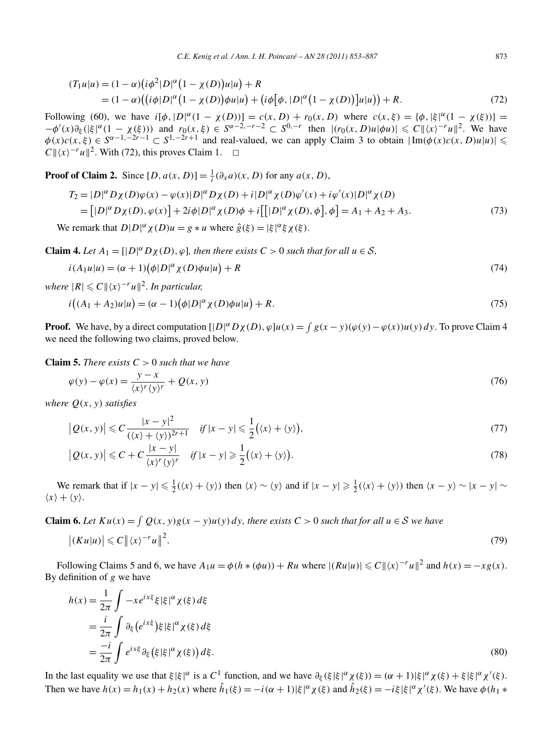$$
(T_1u|u) = (1 - \alpha)(i\phi^2|D|^{\alpha}(1 - \chi(D))u|u) + R
$$
  
=  $(1 - \alpha)((i\phi|D|^{\alpha}(1 - \chi(D))\phi u|u) + (i\phi[\phi, |D|^{\alpha}(1 - \chi(D))]u|u)) + R.$  (72)

Following (60), we have  $i[\phi, |D|^{\alpha}(1 - \chi(D))] = c(x, D) + r_0(x, D)$  where  $c(x, \xi) = {\phi, |\xi|^{\alpha}(1 - \chi(\xi))}$  $-\phi'(x)\partial_{\xi}(|\xi|^{\alpha}(1-\chi(\xi)))$  and  $r_0(x,\xi) \in S^{\alpha-2,-r-2} \subset S^{0,-r}$  then  $|(r_0(x,D)u|\phi u)| \leq C ||\langle x \rangle^{-r}u||^2$ . We have  $\phi(x)c(x,\xi) \in S^{\alpha-1,-2r-1} \subset S^{1,-2r+1}$  and real-valued, we can apply Claim 3 to obtain  $|\text{Im}(\phi(x)c(x,D)u|u)| \leq$  $C \frac{||}{||x|}$ <sup>-*ru*</sup>  $||^2$ . With (72), this proves Claim 1. <del>□</del>

**Proof of Claim 2.** Since  $[D, a(x, D)] = \frac{1}{i}(\partial_x a)(x, D)$  for any  $a(x, D)$ ,

$$
T_2 = |D|^{\alpha} D\chi(D)\varphi(x) - \varphi(x)|D|^{\alpha} D\chi(D) + i|D|^{\alpha} \chi(D)\varphi'(x) + i\varphi'(x)|D|^{\alpha} \chi(D)
$$
  
= 
$$
[|D|^{\alpha} D\chi(D), \varphi(x)] + 2i\varphi|D|^{\alpha} \chi(D)\varphi + i[[|D|^{\alpha} \chi(D), \varphi], \varphi] = A_1 + A_2 + A_3.
$$
 (73)

We remark that  $D|D|^{\alpha} \chi(D)u = g * u$  where  $\hat{g}(\xi) = |\xi|^{\alpha} \xi \chi(\xi)$ .

**Claim 4.** Let  $A_1 = [|D|^\alpha D_X(D), \varphi]$ , then there exists  $C > 0$  such that for all  $u \in S$ ,

$$
i(A_1u|u) = (\alpha+1)(\phi|D|^{\alpha}\chi(D)\phi u|u) + R
$$
\n(74)

 $where \, |R| \leqslant C ||\langle x \rangle^{-r} u||^2$ . In particular,

$$
i((A_1 + A_2)u|u) = (\alpha - 1)(\phi|D|^{\alpha}\chi(D)\phi u|u) + R.
$$
\n(75)

**Proof.** We have, by a direct computation  $[|D|^{\alpha}D\chi(D), \varphi]u(x) = \int g(x - y)(\varphi(y) - \varphi(x))u(y) dy$ . To prove Claim 4 we need the following two claims, proved below.

**Claim 5.** *There exists*  $C > 0$  *such that we have* 

$$
\varphi(y) - \varphi(x) = \frac{y - x}{\langle x \rangle^r \langle y \rangle^r} + Q(x, y) \tag{76}
$$

*where*  $O(x, y)$  *satisfies* 

$$
\left|Q(x,y)\right| \leqslant C \frac{|x-y|^2}{(\langle x\rangle + \langle y\rangle)^{2r+1}} \quad \text{if } |x-y| \leqslant \frac{1}{2}(\langle x\rangle + \langle y\rangle),\tag{77}
$$

$$
\left| Q(x, y) \right| \leq C + C \frac{|x - y|}{\langle x \rangle^r \langle y \rangle^r} \quad \text{if } |x - y| \geq \frac{1}{2} (\langle x \rangle + \langle y \rangle). \tag{78}
$$

We remark that if  $|x - y| \le \frac{1}{2}(\langle x \rangle + \langle y \rangle)$  then  $\langle x \rangle \sim \langle y \rangle$  and if  $|x - y| \ge \frac{1}{2}(\langle x \rangle + \langle y \rangle)$  then  $\langle x - y \rangle \sim |x - y|$  $\langle x \rangle + \langle y \rangle$ .

**Claim 6.** Let  $Ku(x) = \int Q(x, y)g(x - y)u(y) dy$ , there exists  $C > 0$  such that for all  $u \in S$  we have

$$
\left| \left( K u | u \right) \right| \leqslant C \left\| \left\langle x \right\rangle^{-r} u \right\|^2. \tag{79}
$$

Following Claims 5 and 6, we have  $A_1u = \phi(h * (\phi u)) + Ru$  where  $|(Ru|u)| \leq C ||\langle x \rangle^{-r}u||^2$  and  $h(x) = -xg(x)$ . By definition of *g* we have

$$
h(x) = \frac{1}{2\pi} \int -xe^{ix\xi} \xi |\xi|^{\alpha} \chi(\xi) d\xi
$$
  
= 
$$
\frac{i}{2\pi} \int \partial_{\xi} (e^{ix\xi}) \xi |\xi|^{\alpha} \chi(\xi) d\xi
$$
  
= 
$$
\frac{-i}{2\pi} \int e^{ix\xi} \partial_{\xi} (\xi |\xi|^{\alpha} \chi(\xi)) d\xi.
$$
 (80)

In the last equality we use that  $\xi |\xi|^{\alpha}$  is a C<sup>1</sup> function, and we have  $\partial_{\xi} (\xi |\xi|^{\alpha} \chi(\xi)) = (\alpha + 1)|\xi|^{\alpha} \chi(\xi) + \xi |\xi|^{\alpha} \chi'(\xi)$ . Then we have  $h(x) = h_1(x) + h_2(x)$  where  $\hat{h}_1(\xi) = -i(\alpha + 1)|\xi|^\alpha \chi(\xi)$  and  $\hat{h}_2(\xi) = -i\xi|\xi|^\alpha \chi'(\xi)$ . We have  $\phi(h_1 * h_2)$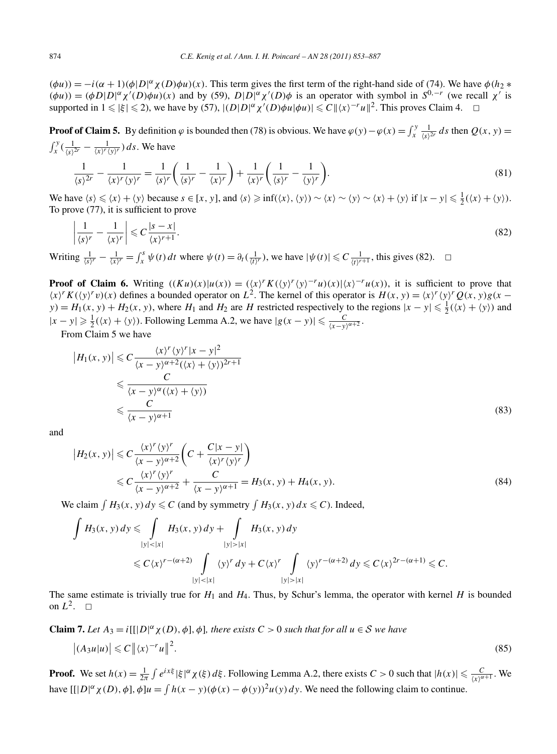$(\phi u)$ ) =  $-i(\alpha + 1)(\phi|D|^{\alpha}\chi(D)\phi u)(x)$ . This term gives the first term of the right-hand side of (74). We have  $\phi(h_2 * h_1)$  $(\phi u)$  =  $(\phi D|D|^{\alpha} \chi'(D) \phi u)(x)$  and by (59),  $D|D|^{\alpha} \chi'(D) \phi$  is an operator with symbol in  $S^{0,-r}$  (we recall  $\chi'$  is supported in  $1 \leq \frac{1}{5} \leq 2$ , we have by (57),  $|(D|D|^{\alpha} \chi'(D)\phi u|\phi u)| \leq C ||\langle x \rangle^{-r} u||^2$ . This proves Claim 4.  $\Box$ 

**Proof of Claim 5.** By definition  $\varphi$  is bounded then (78) is obvious. We have  $\varphi(y) - \varphi(x) = \int_x^y \frac{1}{\langle s \rangle^{2r}} ds$  then  $Q(x, y) = \int_x^y \left(\frac{1}{\langle s \rangle^2} - \frac{1}{\langle s \rangle^2}x\right) ds$ . We have  $\int_x^y (\frac{1}{\langle s \rangle^{2r}} - \frac{1}{\langle x \rangle^r \langle y \rangle^r}) ds$ . We have

$$
\frac{1}{\langle s \rangle^{2r}} - \frac{1}{\langle x \rangle^r \langle y \rangle^r} = \frac{1}{\langle s \rangle^r} \left( \frac{1}{\langle s \rangle^r} - \frac{1}{\langle x \rangle^r} \right) + \frac{1}{\langle x \rangle^r} \left( \frac{1}{\langle s \rangle^r} - \frac{1}{\langle y \rangle^r} \right).
$$
(81)

We have  $\langle s \rangle \le \langle x \rangle + \langle y \rangle$  because  $s \in [x, y]$ , and  $\langle s \rangle \ge \inf(\langle x \rangle, \langle y \rangle) \sim \langle x \rangle \sim \langle y \rangle \sim \langle x \rangle + \langle y \rangle$  if  $|x - y| \le \frac{1}{2}(\langle x \rangle + \langle y \rangle)$ . To prove (77), it is sufficient to prove

$$
\left|\frac{1}{\langle s\rangle^r} - \frac{1}{\langle x\rangle^r}\right| \leqslant C \frac{|s-x|}{\langle x\rangle^{r+1}}.\tag{82}
$$

Writing  $\frac{1}{\langle s \rangle^r} - \frac{1}{\langle x \rangle^r} = \int_x^s \psi(t) dt$  where  $\psi(t) = \partial_t(\frac{1}{\langle t \rangle^r})$ , we have  $|\psi(t)| \leq C \frac{1}{\langle t \rangle^{r+1}}$ , this gives (82).  $\Box$ 

**Proof of Claim 6.** Writing  $((Ku)(x))u(x) = (\langle x \rangle K(\langle y \rangle^r \langle y \rangle^{-r}u)(x)|\langle x \rangle^{-r}u(x))$ , it is sufficient to prove that  $\langle x \rangle^r K(\langle y \rangle^r v)(x)$  defines a bounded operator on  $L^2$ . The kernel of this operator is  $H(x, y) = \langle x \rangle^r \langle y \rangle^r Q(x, y) g(x - y)$  $y$ ) =  $H_1(x, y) + H_2(x, y)$ , where  $H_1$  and  $H_2$  are  $H$  restricted respectively to the regions  $|x - y| \le \frac{1}{2}(\langle x \rangle + \langle y \rangle)$  and  $|x - y|$  ≥  $\frac{1}{2}(\langle x \rangle + \langle y \rangle)$ . Following Lemma A.2, we have  $|g(x - y)| \leq \frac{C}{\langle x - y \rangle^{\alpha + 2}}$ .

From Claim 5 we have

$$
|H_1(x, y)| \leq C \frac{\langle x \rangle^r \langle y \rangle^r |x - y|^2}{\langle x - y \rangle^{\alpha+2} (\langle x \rangle + \langle y \rangle)^{2r+1}}
$$
  
\n
$$
\leq \frac{C}{\langle x - y \rangle^{\alpha} (\langle x \rangle + \langle y \rangle)}
$$
  
\n
$$
\leq \frac{C}{\langle x - y \rangle^{\alpha+1}}
$$
 (83)

and

$$
\left|H_2(x,y)\right| \leq C \frac{\langle x \rangle^r \langle y \rangle^r}{\langle x-y \rangle^{\alpha+2}} \left(C + \frac{C|x-y|}{\langle x \rangle^r \langle y \rangle^r}\right)
$$
  

$$
\leq C \frac{\langle x \rangle^r \langle y \rangle^r}{\langle x-y \rangle^{\alpha+2}} + \frac{C}{\langle x-y \rangle^{\alpha+1}} = H_3(x,y) + H_4(x,y).
$$
 (84)

We claim  $\int H_3(x, y) dy \leq C$  (and by symmetry  $\int H_3(x, y) dx \leq C$ ). Indeed,

$$
\int H_3(x, y) dy \leq \int_{|y| < |x|} H_3(x, y) dy + \int_{|y| > |x|} H_3(x, y) dy
$$
\n
$$
\leq C \langle x \rangle^{r - (\alpha + 2)} \int_{|y| < |x|} \langle y \rangle^r dy + C \langle x \rangle^r \int_{|y| > |x|} \langle y \rangle^{r - (\alpha + 2)} dy \leq C \langle x \rangle^{2r - (\alpha + 1)} \leq C.
$$

The same estimate is trivially true for  $H_1$  and  $H_4$ . Thus, by Schur's lemma, the operator with kernel  $H$  is bounded on  $L^2$ .  $\Box$ 

**Claim 7.** Let 
$$
A_3 = i[[|D|^{\alpha} \chi(D), \phi], \phi]
$$
, there exists  $C > 0$  such that for all  $u \in S$  we have  $|(A_3 u|u)| \leq C ||\langle x \rangle^{-r} u||^2$ . (85)

**Proof.** We set  $h(x) = \frac{1}{2\pi} \int e^{ix\xi} |\xi|^{\alpha} \chi(\xi) d\xi$ . Following Lemma A.2, there exists  $C > 0$  such that  $|h(x)| \leq \frac{C}{\langle x^{\alpha+1} \cdot \mathcal{R}^{\alpha+1}}$ . We have  $[ [ |D|^\alpha \chi(D), \phi], \phi] u = \int h(x - y) (\phi(x) - \phi(y))^2 u(y) dy$ . We need the following claim to continue.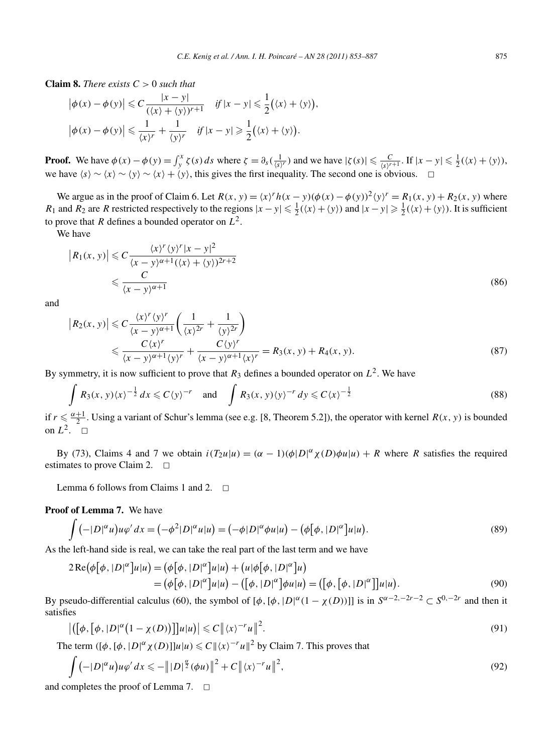**Claim 8.** *There exists*  $C > 0$  *such that* 

$$
\left|\phi(x) - \phi(y)\right| \leq C \frac{|x - y|}{(\langle x \rangle + \langle y \rangle)^{r+1}} \quad \text{if } |x - y| \leq \frac{1}{2} (\langle x \rangle + \langle y \rangle),
$$

$$
\left|\phi(x) - \phi(y)\right| \leq \frac{1}{\langle x \rangle^r} + \frac{1}{\langle y \rangle^r} \quad \text{if } |x - y| \geq \frac{1}{2} (\langle x \rangle + \langle y \rangle).
$$

**Proof.** We have  $\phi(x) - \phi(y) = \int_y^x \zeta(s) ds$  where  $\zeta = \partial_s(\frac{1}{\langle s \rangle^r})$  and we have  $|\zeta(s)| \leq \frac{C}{\langle s \rangle^{r+1}}$ . If  $|x - y| \leq \frac{1}{2}(\langle x \rangle + \langle y \rangle)$ , we have  $\langle s \rangle \sim \langle x \rangle \sim \langle y \rangle \sim \langle x \rangle + \langle y \rangle$ , this gives the first inequality. The second one is obvious.  $\Box$ 

We argue as in the proof of Claim 6. Let  $R(x, y) = \frac{x}{^r h(x - y) (\phi(x) - \phi(y))^2 \langle y \rangle^r} = R_1(x, y) + R_2(x, y)$  where *R*<sub>1</sub> and *R*<sub>2</sub> are *R* restricted respectively to the regions  $|x - y| \le \frac{1}{2}(\langle x \rangle + \langle y \rangle)$  and  $|x - y| \ge \frac{1}{2}(\langle x \rangle + \langle y \rangle)$ . It is sufficient to prove that *R* defines a bounded operator on  $L^2$ .

We have

$$
|R_1(x, y)| \leq C \frac{\langle x \rangle^r \langle y \rangle^r |x - y|^2}{\langle x - y \rangle^{\alpha+1} (\langle x \rangle + \langle y \rangle)^{2r+2}}
$$
  

$$
\leq C \frac{C}{\langle x - y \rangle^{\alpha+1}}
$$
 (86)

and

$$
\left| R_2(x, y) \right| \leqslant C \frac{\langle x \rangle^r \langle y \rangle^r}{\langle x - y \rangle^{\alpha + 1}} \left( \frac{1}{\langle x \rangle^{2r}} + \frac{1}{\langle y \rangle^{2r}} \right)
$$
  
 
$$
\leqslant \frac{C \langle x \rangle^r}{\langle x - y \rangle^{\alpha + 1} \langle y \rangle^r} + \frac{C \langle y \rangle^r}{\langle x - y \rangle^{\alpha + 1} \langle x \rangle^r} = R_3(x, y) + R_4(x, y).
$$
 (87)

By symmetry, it is now sufficient to prove that  $R_3$  defines a bounded operator on  $L^2$ . We have

$$
\int R_3(x, y) \langle x \rangle^{-\frac{1}{2}} dx \leq C \langle y \rangle^{-r} \quad \text{and} \quad \int R_3(x, y) \langle y \rangle^{-r} dy \leq C \langle x \rangle^{-\frac{1}{2}} \tag{88}
$$

if  $r \leq \frac{\alpha+1}{2}$ . Using a variant of Schur's lemma (see e.g. [8, Theorem 5.2]), the operator with kernel  $R(x, y)$  is bounded on  $L^2$ .  $\Box$ 

By (73), Claims 4 and 7 we obtain  $i(T_2u|u) = (\alpha - 1)(\phi|D|^{\alpha} \chi(D)\phi u|u) + R$  where *R* satisfies the required estimates to prove Claim 2.  $\Box$ 

Lemma 6 follows from Claims 1 and 2.  $\Box$ 

# **Proof of Lemma 7.** We have

$$
\int \left(\left(-|D|^{\alpha}u\right)u\varphi'\,dx\right) = \left(-\phi^2|D|^{\alpha}u|u\right) = \left(-\phi|D|^{\alpha}\phi u|u\right) - \left(\phi\big[\phi,|D|^{\alpha}\big]u|u\right). \tag{89}
$$

As the left-hand side is real, we can take the real part of the last term and we have

$$
2\operatorname{Re}(\phi[\phi, |D|^{\alpha}]u|u) = (\phi[\phi, |D|^{\alpha}]u|u) + (u|\phi[\phi, |D|^{\alpha}]u)
$$
  
=  $(\phi[\phi, |D|^{\alpha}]u|u) - ([\phi, |D|^{\alpha}]\phi u|u) = ([\phi, [\phi, |D|^{\alpha}]]u|u).$  (90)

By pseudo-differential calculus (60), the symbol of  $[\phi, [\phi, [D]^{\alpha}(1 - \chi(D))]]$  is in  $S^{\alpha-2,-2r-2} \subset S^{0,-2r}$  and then it satisfies

$$
\left| \left( \left[ \phi, \left[ \phi, |D|^\alpha \left( 1 - \chi(D) \right) \right] \right] u | u \right) \right| \leq C \| \langle x \rangle^{-r} u \|^2. \tag{91}
$$

The term  $([\phi, [\phi, D]^{\alpha} \chi(D)]]u|u) \leq C ||\langle x \rangle^{-r} u||^2$  by Claim 7. This proves that

$$
\int \left( -|D|^{\alpha} u \right) u \varphi' dx \leqslant -\left\| |D|^{\frac{\alpha}{2}} (\phi u) \right\|^2 + C \left\| \langle x \rangle^{-r} u \right\|^2, \tag{92}
$$

and completes the proof of Lemma 7.  $\Box$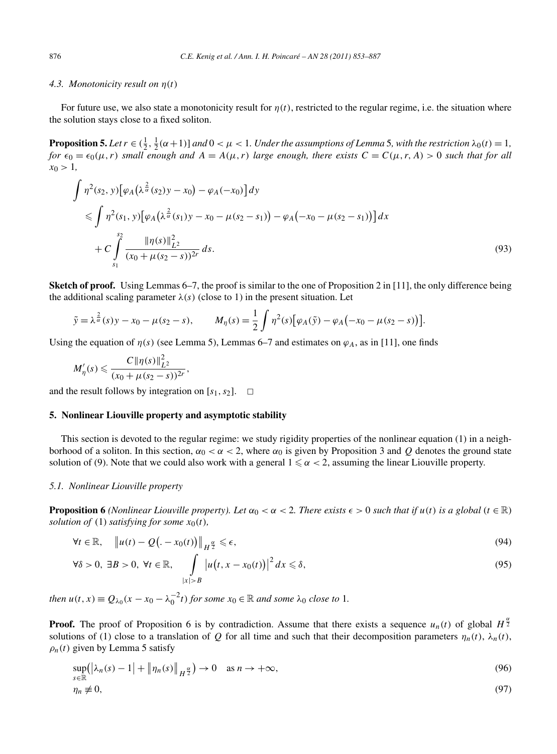#### *4.3. Monotonicity result on η(t)*

For future use, we also state a monotonicity result for  $\eta(t)$ , restricted to the regular regime, i.e. the situation where the solution stays close to a fixed soliton.

**Proposition 5.** Let  $r \in (\frac{1}{2}, \frac{1}{2}(\alpha+1))$  and  $0 < \mu < 1$ . Under the assumptions of Lemma 5, with the restriction  $\lambda_0(t) = 1$ , *for*  $\epsilon_0 = \epsilon_0(\mu, r)$  *small enough and*  $A = A(\mu, r)$  *large enough, there exists*  $C = C(\mu, r, A) > 0$  *such that for all*  $x_0 > 1$ ,

$$
\int \eta^2(s_2, y) \left[ \varphi_A \left( \lambda^{\frac{2}{\alpha}}(s_2) y - x_0 \right) - \varphi_A(-x_0) \right] dy
$$
\n
$$
\leq \int \eta^2(s_1, y) \left[ \varphi_A \left( \lambda^{\frac{2}{\alpha}}(s_1) y - x_0 - \mu(s_2 - s_1) \right) - \varphi_A(-x_0 - \mu(s_2 - s_1)) \right] dx
$$
\n
$$
+ C \int_{s_1}^{s_2} \frac{\|\eta(s)\|_{L^2}^2}{(x_0 + \mu(s_2 - s))^{2r}} ds. \tag{93}
$$

**Sketch of proof.** Using Lemmas 6–7, the proof is similar to the one of Proposition 2 in [11], the only difference being the additional scaling parameter  $\lambda(s)$  (close to 1) in the present situation. Let

$$
\tilde{y} = \lambda^{\frac{2}{\alpha}}(s)y - x_0 - \mu(s_2 - s),
$$
  $M_{\eta}(s) = \frac{1}{2} \int \eta^2(s) [\varphi_A(\tilde{y}) - \varphi_A(-x_0 - \mu(s_2 - s))].$ 

Using the equation of  $\eta(s)$  (see Lemma 5), Lemmas 6–7 and estimates on  $\varphi_A$ , as in [11], one finds

$$
M'_{\eta}(s) \leqslant \frac{C \|\eta(s)\|_{L^2}^2}{(x_0 + \mu (s_2 - s))^{2r}},
$$

and the result follows by integration on  $[s_1, s_2]$ .  $\Box$ 

# **5. Nonlinear Liouville property and asymptotic stability**

This section is devoted to the regular regime: we study rigidity properties of the nonlinear equation (1) in a neighborhood of a soliton. In this section,  $α_0 < α < 2$ , where  $α_0$  is given by Proposition 3 and *Q* denotes the ground state solution of (9). Note that we could also work with a general  $1 \le \alpha < 2$ , assuming the linear Liouville property.

#### *5.1. Nonlinear Liouville property*

**Proposition 6** *(Nonlinear Liouville property). Let*  $\alpha_0 < \alpha < 2$ . There exists  $\epsilon > 0$  such that if  $u(t)$  is a global  $(t \in \mathbb{R})$ *solution of* (1) *satisfying for some*  $x_0(t)$ *,* 

$$
\forall t \in \mathbb{R}, \quad \left\| u(t) - Q\left( -x_0(t) \right) \right\|_{H^{\frac{\alpha}{2}}} \leq \epsilon,
$$
\n
$$
(94)
$$

$$
\forall \delta > 0, \ \exists B > 0, \ \forall t \in \mathbb{R}, \quad \int\limits_{|x| > B} \left| u\big(t, x - x_0(t)\big) \right|^2 dx \leq \delta, \tag{95}
$$

*then*  $u(t, x) \equiv Q_{\lambda_0}(x - x_0 - \lambda_0^{-2}t)$  *for some*  $x_0 \in \mathbb{R}$  *and some*  $\lambda_0$  *close to* 1*.* 

**Proof.** The proof of Proposition 6 is by contradiction. Assume that there exists a sequence  $u_n(t)$  of global  $H^{\frac{3}{2}}$ solutions of (1) close to a translation of *Q* for all time and such that their decomposition parameters  $\eta_n(t)$ ,  $\lambda_n(t)$ ,  $\rho_n(t)$  given by Lemma 5 satisfy

$$
\sup_{s \in \mathbb{R}} (|\lambda_n(s) - 1| + ||\eta_n(s)||_{H^{\frac{\alpha}{2}}}) \to 0 \quad \text{as } n \to +\infty,
$$
\n
$$
\eta_n \neq 0,
$$
\n(96)

$$
\eta_n \neq 0
$$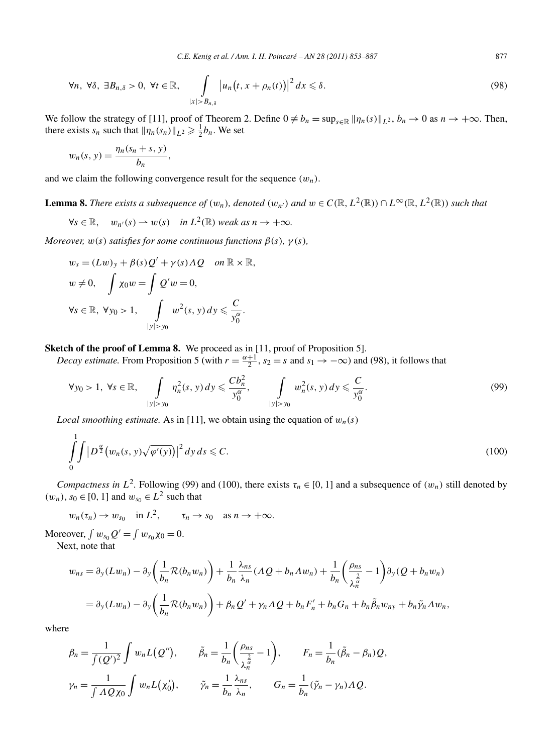$$
\forall n, \ \forall \delta, \ \exists B_{n,\delta} > 0, \ \forall t \in \mathbb{R}, \quad \int\limits_{|x| > B_{n,\delta}} \left| u_n\big(t, x + \rho_n(t)\big) \right|^2 dx \leq \delta. \tag{98}
$$

We follow the strategy of [11], proof of Theorem 2. Define  $0 \neq b_n = \sup_{s \in \mathbb{R}} ||\eta_n(s)||_{L^2}$ ,  $b_n \to 0$  as  $n \to +\infty$ . Then, there exists  $s_n$  such that  $\|\eta_n(s_n)\|_{L^2} \geq \frac{1}{2}b_n$ . We set

$$
w_n(s, y) = \frac{\eta_n(s_n + s, y)}{b_n},
$$

and we claim the following convergence result for the sequence *(wn)*.

**Lemma 8.** There exists a subsequence of  $(w_n)$ , denoted  $(w_{n'})$  and  $w \in C(\mathbb{R}, L^2(\mathbb{R})) \cap L^\infty(\mathbb{R}, L^2(\mathbb{R}))$  such that

$$
\forall s \in \mathbb{R}, \quad w_{n'}(s) \to w(s) \quad \text{in } L^2(\mathbb{R}) \text{ weak as } n \to +\infty.
$$

*Moreover,*  $w(s)$  *satisfies for some continuous functions*  $\beta(s)$ *,*  $\gamma(s)$ *,* 

$$
w_s = (Lw)_y + \beta(s)Q' + \gamma(s)AQ \quad on \mathbb{R} \times \mathbb{R},
$$
  
\n
$$
w \neq 0, \quad \int \chi_0 w = \int Q'w = 0,
$$
  
\n
$$
\forall s \in \mathbb{R}, \ \forall y_0 > 1, \quad \int_{|y| > y_0} w^2(s, y) dy \leq \frac{C}{y_0^{\alpha}}.
$$

**Sketch of the proof of Lemma 8.** We proceed as in [11, proof of Proposition 5].

*Decay estimate.* From Proposition 5 (with  $r = \frac{\alpha+1}{2}$ ,  $s_2 = s$  and  $s_1 \to -\infty$ ) and (98), it follows that

$$
\forall y_0 > 1, \ \forall s \in \mathbb{R}, \quad \int_{|y| > y_0} \eta_n^2(s, y) \, dy \leqslant \frac{Cb_n^2}{y_0^\alpha}, \quad \int_{|y| > y_0} w_n^2(s, y) \, dy \leqslant \frac{C}{y_0^\alpha}.
$$
\n(99)

*Local smoothing estimate.* As in [11], we obtain using the equation of  $w_n(s)$ 

$$
\int_{0}^{1} \int |D^{\frac{\alpha}{2}}(w_n(s, y)\sqrt{\varphi'(y)})|^2 dy ds \leq C.
$$
\n(100)

*Compactness in*  $L^2$ . Following (99) and (100), there exists  $\tau_n \in [0, 1]$  and a subsequence of  $(w_n)$  still denoted by *(w<sub>n</sub>*), *s*<sub>0</sub> ∈ [0, 1] and  $w_{s_0}$  ∈  $L^2$  such that

 $w_n(\tau_n) \to w_{s_0}$  in  $L^2$ ,  $\tau_n \to s_0$  as  $n \to +\infty$ .

Moreover,  $\int w_{s_0} Q' = \int w_{s_0} \chi_0 = 0$ . Next, note that

$$
w_{ns} = \partial_y(Lw_n) - \partial_y\left(\frac{1}{b_n}\mathcal{R}(b_nw_n)\right) + \frac{1}{b_n}\frac{\lambda_{ns}}{\lambda_n}(AQ + b_n\Lambda w_n) + \frac{1}{b_n}\left(\frac{\rho_{ns}}{\lambda_n^{\frac{2}{\alpha}}} - 1\right)\partial_y(Q + b_nw_n)
$$
  
=  $\partial_y(Lw_n) - \partial_y\left(\frac{1}{b_n}\mathcal{R}(b_nw_n)\right) + \beta_nQ' + \gamma_n\Lambda Q + b_nF'_n + b_nG_n + b_n\tilde{\beta}_nw_n + b_n\tilde{\gamma}_n\Lambda w_n,$ 

where

$$
\beta_n = \frac{1}{\int (Q')^2} \int w_n L(Q''), \qquad \tilde{\beta}_n = \frac{1}{b_n} \left( \frac{\rho_{ns}}{\lambda_n^{\frac{2}{\alpha}}} - 1 \right), \qquad F_n = \frac{1}{b_n} (\tilde{\beta}_n - \beta_n) Q,
$$
  

$$
\gamma_n = \frac{1}{\int \Lambda Q \chi_0} \int w_n L(\chi'_0), \qquad \tilde{\gamma}_n = \frac{1}{b_n} \frac{\lambda_{ns}}{\lambda_n}, \qquad G_n = \frac{1}{b_n} (\tilde{\gamma}_n - \gamma_n) \Lambda Q.
$$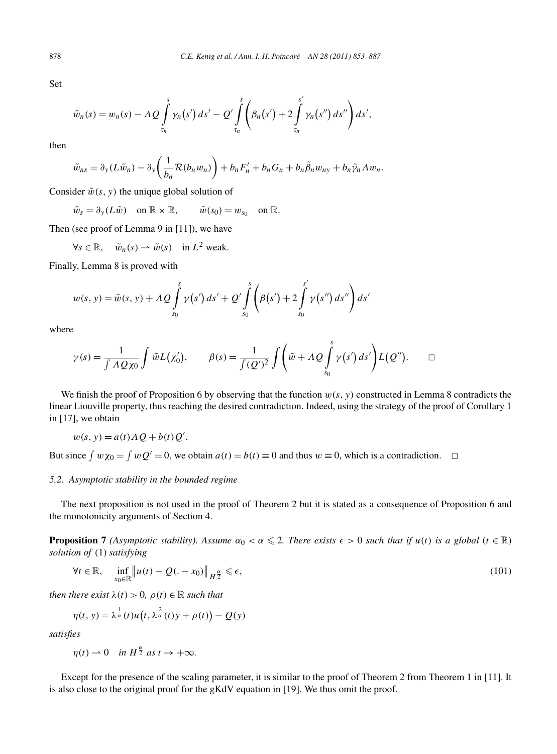Set

$$
\tilde{w}_n(s) = w_n(s) - \Lambda Q \int_{\tau_n}^s \gamma_n(s') ds' - Q' \int_{\tau_n}^s \left( \beta_n(s') + 2 \int_{\tau_n}^{s'} \gamma_n(s'') ds'' \right) ds',
$$

then

$$
\tilde{w}_{ns} = \partial_y (L\tilde{w}_n) - \partial_y \left(\frac{1}{b_n} \mathcal{R}(b_n w_n)\right) + b_n F'_n + b_n G_n + b_n \tilde{\beta}_n w_{ny} + b_n \tilde{\gamma}_n A w_n.
$$

Consider  $\tilde{w}(s, y)$  the unique global solution of

 $\tilde{w}_s = \partial_y(L\tilde{w})$  on  $\mathbb{R} \times \mathbb{R}$ ,  $\tilde{w}(s_0) = w_{s_0}$  on  $\mathbb{R}$ .

Then (see proof of Lemma 9 in [11]), we have

 $\forall s \in \mathbb{R}, \quad \tilde{w}_n(s) \to \tilde{w}(s) \quad \text{in } L^2 \text{ weak.}$ 

Finally, Lemma 8 is proved with

$$
w(s, y) = \tilde{w}(s, y) + A Q \int_{s_0}^{s} \gamma(s') ds' + Q' \int_{s_0}^{s} \left( \beta(s') + 2 \int_{s_0}^{s'} \gamma(s'') ds'' \right) ds'
$$

where

$$
\gamma(s) = \frac{1}{\int A Q \chi_0} \int \tilde{w} L(\chi'_0), \qquad \beta(s) = \frac{1}{\int (Q')^2} \int \left( \tilde{w} + A Q \int_{s_0}^s \gamma(s') ds' \right) L(Q''). \qquad \Box
$$

We finish the proof of Proposition 6 by observing that the function  $w(s, y)$  constructed in Lemma 8 contradicts the linear Liouville property, thus reaching the desired contradiction. Indeed, using the strategy of the proof of Corollary 1 in [17], we obtain

$$
w(s, y) = a(t) \Lambda Q + b(t) Q'.
$$

But since  $\int w\chi_0 = \int wQ' = 0$ , we obtain  $a(t) = b(t) \equiv 0$  and thus  $w \equiv 0$ , which is a contradiction.  $\Box$ 

## *5.2. Asymptotic stability in the bounded regime*

The next proposition is not used in the proof of Theorem 2 but it is stated as a consequence of Proposition 6 and the monotonicity arguments of Section 4.

**Proposition 7** *(Asymptotic stability). Assume*  $\alpha_0 < \alpha \leq 2$ . There exists  $\epsilon > 0$  such that if  $u(t)$  is a global  $(t \in \mathbb{R})$ *solution of* (1) *satisfying*

$$
\forall t \in \mathbb{R}, \quad \inf_{x_0 \in \mathbb{R}} \| u(t) - Q(\theta - x_0) \|_{H^{\frac{\alpha}{2}}} \leq \epsilon,
$$
\n(101)

*then there exist*  $\lambda(t) > 0$ ,  $\rho(t) \in \mathbb{R}$  *such that* 

1

$$
\eta(t, y) = \lambda^{\frac{1}{\alpha}}(t)u(t, \lambda^{\frac{2}{\alpha}}(t)y + \rho(t)) - Q(y)
$$

*satisfies*

 $\eta(t) \rightharpoonup 0$  *in*  $H^{\frac{\alpha}{2}}$  *as*  $t \rightarrow +\infty$ *.* 

Except for the presence of the scaling parameter, it is similar to the proof of Theorem 2 from Theorem 1 in [11]. It is also close to the original proof for the gKdV equation in [19]. We thus omit the proof.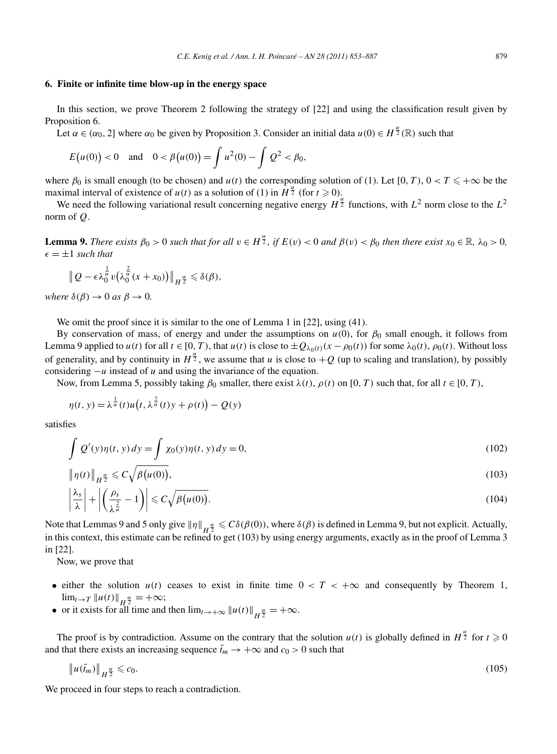# **6. Finite or infinite time blow-up in the energy space**

In this section, we prove Theorem 2 following the strategy of [22] and using the classification result given by Proposition 6.

Let  $\alpha \in (\alpha_0, 2]$  where  $\alpha_0$  be given by Proposition 3. Consider an initial data  $u(0) \in H^{\frac{\alpha}{2}}(\mathbb{R})$  such that

$$
E(u(0)) < 0
$$
 and  $0 < \beta(u(0)) = \int u^2(0) - \int Q^2 < \beta_0$ ,

where  $\beta_0$  is small enough (to be chosen) and  $u(t)$  the corresponding solution of (1). Let [0, T),  $0 < T \leq +\infty$  be the maximal interval of existence of  $u(t)$  as a solution of (1) in  $H^{\frac{\alpha}{2}}$  (for  $t \ge 0$ ).

We need the following variational result concerning negative energy  $H^{\frac{\alpha}{2}}$  functions, with  $L^2$  norm close to the  $L^2$ norm of *Q*.

**Lemma 9.** There exists  $\beta_0 > 0$  such that for all  $v \in H^{\frac{\alpha}{2}}$ , if  $E(v) < 0$  and  $\beta(v) < \beta_0$  then there exist  $x_0 \in \mathbb{R}$ ,  $\lambda_0 > 0$ ,  $\epsilon = \pm 1$  *such that* 

$$
\|Q-\epsilon\lambda_0^{\frac{1}{\alpha}}v(\lambda_0^{\frac{2}{\alpha}}(x+x_0))\|_{H^{\frac{\alpha}{2}}}\leq \delta(\beta),
$$

*where*  $\delta(\beta) \rightarrow 0$  *as*  $\beta \rightarrow 0$ *.* 

We omit the proof since it is similar to the one of Lemma 1 in [22], using (41).

By conservation of mass, of energy and under the assumptions on  $u(0)$ , for  $\beta_0$  small enough, it follows from Lemma 9 applied to  $u(t)$  for all  $t \in [0, T)$ , that  $u(t)$  is close to  $\pm Q_{\lambda_0(t)}(x - \rho_0(t))$  for some  $\lambda_0(t)$ ,  $\rho_0(t)$ . Without loss of generality, and by continuity in  $H^{\frac{\alpha}{2}}$ , we assume that *u* is close to  $+Q$  (up to scaling and translation), by possibly considering −*u* instead of *u* and using the invariance of the equation.

Now, from Lemma 5, possibly taking  $\beta_0$  smaller, there exist  $\lambda(t)$ ,  $\rho(t)$  on [0, T) such that, for all  $t \in [0, T)$ ,

$$
\eta(t, y) = \lambda^{\frac{1}{\alpha}}(t)u(t, \lambda^{\frac{2}{\alpha}}(t)y + \rho(t)) - Q(y)
$$

satisfies

$$
\int Q'(y)\eta(t, y) dy = \int \chi_0(y)\eta(t, y) dy = 0,
$$
\n(102)

$$
\|\eta(t)\|_{H^{\frac{\alpha}{2}}} \leqslant C\sqrt{\beta(u(0))},\tag{103}
$$

$$
\left|\frac{\lambda_s}{\lambda}\right| + \left|\left(\frac{\rho_s}{\lambda^{\frac{2}{\alpha}}}-1\right)\right| \leqslant C\sqrt{\beta\big(\mu(0)\big)}.
$$
\n(104)

Note that Lemmas 9 and 5 only give  $\|\eta\|_{H^{\frac{\alpha}{2}}} \leq C\delta(\beta(0))$ , where  $\delta(\beta)$  is defined in Lemma 9, but not explicit. Actually, in this context, this estimate can be refined to get (103) by using energy arguments, exactly as in the proof of Lemma 3 in [22].

Now, we prove that

- either the solution  $u(t)$  ceases to exist in finite time  $0 < T < +\infty$  and consequently by Theorem 1,  $\lim_{t\to T} \|u(t)\|_{H^{\frac{\alpha}{2}}} = +\infty;$
- or it exists for all time and then  $\lim_{t\to+\infty} ||u(t)||_{H^{\frac{\alpha}{2}}} = +\infty$ .

The proof is by contradiction. Assume on the contrary that the solution  $u(t)$  is globally defined in  $H^{\frac{\alpha}{2}}$  for  $t \geq 0$ and that there exists an increasing sequence  $\bar{t}_m \to +\infty$  and  $c_0 > 0$  such that

$$
\|u(\bar{t}_m)\|_{H^{\frac{\alpha}{2}}}\leqslant c_0.\tag{105}
$$

We proceed in four steps to reach a contradiction.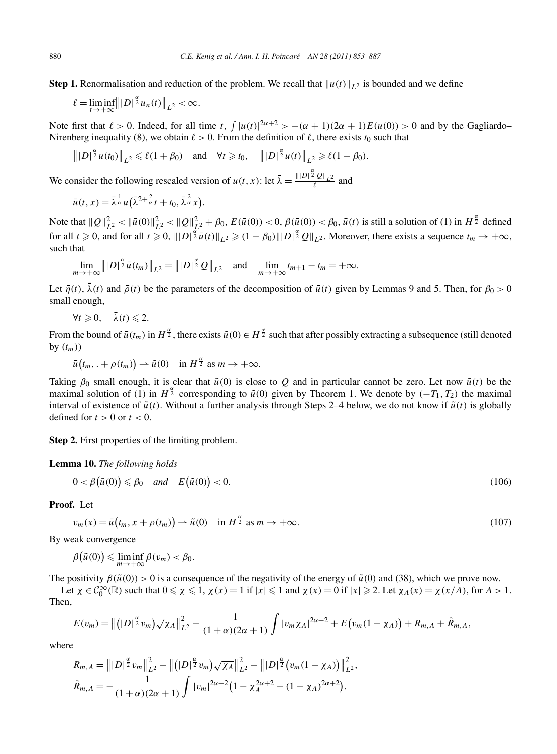**Step 1.** Renormalisation and reduction of the problem. We recall that  $||u(t)||_{L^2}$  is bounded and we define

$$
\ell = \liminf_{t \to +\infty} ||D|^{\frac{\alpha}{2}} u_n(t)||_{L^2} < \infty.
$$

Note first that  $\ell > 0$ . Indeed, for all time t,  $\int |u(t)|^{2\alpha+2} > -(\alpha+1)(2\alpha+1)E(u(0)) > 0$  and by the Gagliardo– Nirenberg inequality (8), we obtain  $\ell > 0$ . From the definition of  $\ell$ , there exists  $t_0$  such that

$$
||D|^{\frac{\alpha}{2}}u(t_0)||_{L^2} \le \ell(1+\beta_0)
$$
 and  $\forall t \ge t_0$ ,  $||D|^{\frac{\alpha}{2}}u(t)||_{L^2} \ge \ell(1-\beta_0)$ .

We consider the following rescaled version of  $u(t, x)$ : let  $\bar{\lambda} = \frac{||D||^{\frac{\alpha}{2}}Q||_{L^2}}{\ell}$  and

$$
\bar{u}(t,x) = \bar{\lambda}^{\frac{1}{\alpha}} u(\bar{\lambda}^{2+\frac{2}{\alpha}}t + t_0, \bar{\lambda}^{\frac{2}{\alpha}}x).
$$

Note that  $||Q||^2_{L^2} < ||\bar{u}(0)||^2_{L^2} < ||Q||^2_{L^2} + \beta_0$ ,  $E(\bar{u}(0)) < 0$ ,  $\beta(\bar{u}(0)) < \beta_0$ ,  $\bar{u}(t)$  is still a solution of (1) in  $H^{\frac{\alpha}{2}}$  defined for all  $t \ge 0$ , and for all  $t \ge 0$ ,  $||D|^{\frac{\alpha}{2}}\bar{u}(t)||_{L^2} \ge (1 - \beta_0)||D|^{\frac{\alpha}{2}}Q||_{L^2}$ . Moreover, there exists a sequence  $t_m \to +\infty$ , such that

$$
\lim_{m \to +\infty} ||D|^{\frac{\alpha}{2}} \bar{u}(t_m)||_{L^2} = ||D|^{\frac{\alpha}{2}} Q||_{L^2} \text{ and } \lim_{m \to +\infty} t_{m+1} - t_m = +\infty.
$$

Let  $\bar{\eta}(t)$ ,  $\bar{\lambda}(t)$  and  $\bar{\rho}(t)$  be the parameters of the decomposition of  $\bar{u}(t)$  given by Lemmas 9 and 5. Then, for  $\beta_0 > 0$ small enough,

 $\forall t \geqslant 0, \quad \bar{\lambda}(t) \leqslant 2.$ 

From the bound of  $\bar{u}(t_m)$  in  $H^{\frac{\alpha}{2}}$ , there exists  $\tilde{u}(0) \in H^{\frac{\alpha}{2}}$  such that after possibly extracting a subsequence (still denoted by  $(t_m)$ 

 $\bar{u}(t_m, . + \rho(t_m)) \to \tilde{u}(0) \text{ in } H^{\frac{\alpha}{2}} \text{ as } m \to +\infty.$ 

Taking  $\beta_0$  small enough, it is clear that  $\tilde{u}(0)$  is close to Q and in particular cannot be zero. Let now  $\tilde{u}(t)$  be the maximal solution of (1) in  $H^{\frac{\alpha}{2}}$  corresponding to  $\tilde{u}(0)$  given by Theorem 1. We denote by  $(-T_1, T_2)$  the maximal interval of existence of  $\tilde{u}(t)$ . Without a further analysis through Steps 2–4 below, we do not know if  $\tilde{u}(t)$  is globally defined for  $t > 0$  or  $t < 0$ .

**Step 2.** First properties of the limiting problem.

## **Lemma 10.** *The following holds*

$$
0 < \beta(\tilde{u}(0)) \leq \beta_0 \quad \text{and} \quad E(\tilde{u}(0)) < 0. \tag{106}
$$

**Proof.** Let

$$
v_m(x) = \bar{u}\left(t_m, x + \rho(t_m)\right) \to \tilde{u}(0) \quad \text{in } H^{\frac{\alpha}{2}} \text{ as } m \to +\infty. \tag{107}
$$

By weak convergence

$$
\beta(\tilde{u}(0)) \leq \liminf_{m \to +\infty} \beta(v_m) < \beta_0.
$$

The positivity  $\beta(\tilde{u}(0)) > 0$  is a consequence of the negativity of the energy of  $\tilde{u}(0)$  and (38), which we prove now.

Let  $\chi \in C_0^{\infty}(\mathbb{R})$  such that  $0 \le \chi \le 1$ ,  $\chi(x) = 1$  if  $|x| \le 1$  and  $\chi(x) = 0$  if  $|x| \ge 2$ . Let  $\chi_A(x) = \chi(x/A)$ , for  $A > 1$ . Then,

$$
E(v_m) = \left\| (|D|^{\frac{\alpha}{2}}v_m)\sqrt{\chi_A} \right\|_{L^2}^2 - \frac{1}{(1+\alpha)(2\alpha+1)}\int |v_m\chi_A|^{2\alpha+2} + E(v_m(1-\chi_A)) + R_{m,A} + \tilde{R}_{m,A},
$$

where

$$
R_{m,A} = ||D|^{\frac{\alpha}{2}}v_m||_{L^2}^2 - ||(|D|^{\frac{\alpha}{2}}v_m)\sqrt{\chi_A}||_{L^2}^2 - ||D|^{\frac{\alpha}{2}}(v_m(1-\chi_A))||_{L^2}^2,
$$
  

$$
\tilde{R}_{m,A} = -\frac{1}{(1+\alpha)(2\alpha+1)}\int |v_m|^{2\alpha+2}(1-\chi_A^{2\alpha+2}-(1-\chi_A)^{2\alpha+2}).
$$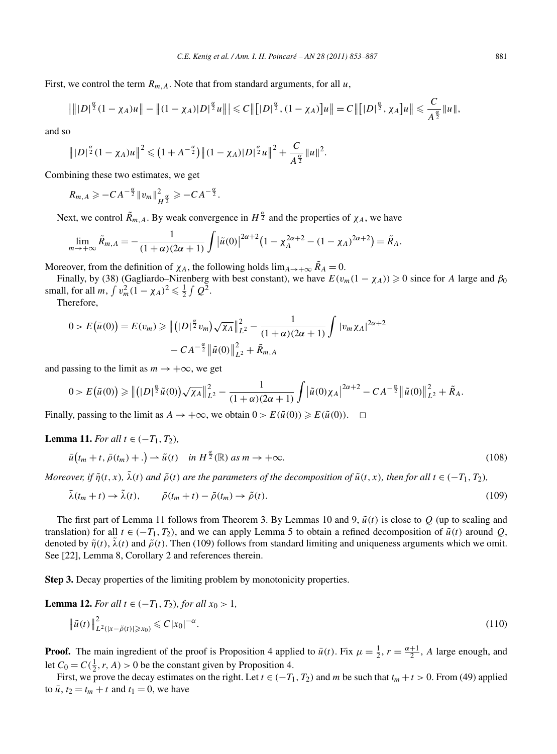First, we control the term *Rm,A*. Note that from standard arguments, for all *u*,

$$
\left|\| |D|^{\frac{\alpha}{2}}(1-\chi_A)u\|-\|(1-\chi_A)|D|^{\frac{\alpha}{2}}u\|\right|\leq C\left\| [|D|^{\frac{\alpha}{2}},(1-\chi_A)]u\right\|=C\left\| [|D|^{\frac{\alpha}{2}},\chi_A]u\right\|\leq C\frac{C}{A^{\frac{\alpha}{2}}}\|u\|,
$$

and so

$$
||D|^{\frac{\alpha}{2}}(1-\chi_A)u||^2 \leq (1+A^{-\frac{\alpha}{2}})||(1-\chi_A)|D|^{\frac{\alpha}{2}}u||^2+\frac{C}{A^{\frac{\alpha}{2}}}||u||^2.
$$

Combining these two estimates, we get

$$
R_{m,A}\geqslant -CA^{-\frac{\alpha}{2}}\|v_m\|_{H^{\frac{\alpha}{2}}}^2\geqslant -CA^{-\frac{\alpha}{2}}.
$$

Next, we control  $\tilde{R}_{m,A}$ . By weak convergence in  $H^{\frac{\alpha}{2}}$  and the properties of  $\chi_A$ , we have

$$
\lim_{m \to +\infty} \tilde{R}_{m,A} = -\frac{1}{(1+\alpha)(2\alpha+1)} \int |\tilde{u}(0)|^{2\alpha+2} \left(1 - \chi_A^{2\alpha+2} - (1 - \chi_A)^{2\alpha+2}\right) = \tilde{R}_A.
$$

Moreover, from the definition of  $\chi_A$ , the following holds  $\lim_{A\to+\infty} \tilde{R}_A = 0$ .

Finally, by (38) (Gagliardo–Nirenberg with best constant), we have  $E(v_m(1 - \chi_A)) \ge 0$  since for *A* large and  $\beta_0$ small, for all *m*,  $\int v_m^2 (1 - \chi_A)^2 \leq \frac{1}{2} \int Q^2$ .

Therefore,

$$
0 > E(\bar{u}(0)) = E(v_m) \ge ||\left(|D|^{\frac{\alpha}{2}}v_m\right)\sqrt{\chi_A}||_{L^2}^2 - \frac{1}{(1+\alpha)(2\alpha+1)}\int |v_m\chi_A|^{2\alpha+2} -CA^{-\frac{\alpha}{2}}\|\tilde{u}(0)\|_{L^2}^2 + \tilde{R}_{m,A}
$$

and passing to the limit as  $m \to +\infty$ , we get

$$
0 > E(\bar{u}(0)) \geq \left\| (|D|^{\frac{\alpha}{2}} \tilde{u}(0)) \sqrt{\chi_A} \right\|_{L^2}^2 - \frac{1}{(1+\alpha)(2\alpha+1)} \int |\tilde{u}(0)\chi_A|^{2\alpha+2} - CA^{-\frac{\alpha}{2}} \left\| \tilde{u}(0) \right\|_{L^2}^2 + \tilde{R}_A.
$$

Finally, passing to the limit as  $A \to +\infty$ , we obtain  $0 > E(\bar{u}(0)) \ge E(\tilde{u}(0))$ .  $\Box$ 

*Lemma 11. For all t* ∈  $(-T_1, T_2)$ *,* 

$$
\bar{u}\left(t_m+t,\,\bar{\rho}\left(t_m\right)+\ldots\right)\rightharpoonup\tilde{u}\left(t\right)\quad\text{in}\,\,H^{\frac{\alpha}{2}}(\mathbb{R})\text{ as }m\to+\infty.\tag{108}
$$

Moreover, if  $\tilde{\eta}(t, x)$ ,  $\tilde{\lambda}(t)$  and  $\tilde{\rho}(t)$  are the parameters of the decomposition of  $\tilde{u}(t, x)$ , then for all  $t \in (-T_1, T_2)$ ,

$$
\bar{\lambda}(t_m + t) \to \tilde{\lambda}(t), \qquad \bar{\rho}(t_m + t) - \bar{\rho}(t_m) \to \tilde{\rho}(t). \tag{109}
$$

The first part of Lemma 11 follows from Theorem 3. By Lemmas 10 and 9,  $\tilde{u}(t)$  is close to  $Q$  (up to scaling and translation) for all  $t \in (-T_1, T_2)$ , and we can apply Lemma 5 to obtain a refined decomposition of  $\tilde{u}(t)$  around *Q*, denoted by  $\tilde{\eta}(t)$ ,  $\lambda(t)$  and  $\tilde{\rho}(t)$ . Then (109) follows from standard limiting and uniqueness arguments which we omit. See [22], Lemma 8, Corollary 2 and references therein.

**Step 3.** Decay properties of the limiting problem by monotonicity properties.

**Lemma 12.** For all 
$$
t \in (-T_1, T_2)
$$
, for all  $x_0 > 1$ ,  
\n
$$
\|\tilde{u}(t)\|^2_{L^2(|x - \tilde{\rho}(t)| \ge x_0)} \le C|x_0|^{-\alpha}.
$$
\n(110)

**Proof.** The main ingredient of the proof is Proposition 4 applied to  $\bar{u}(t)$ . Fix  $\mu = \frac{1}{2}$ ,  $r = \frac{\alpha+1}{2}$ , A large enough, and let  $C_0 = C(\frac{1}{2}, r, A) > 0$  be the constant given by Proposition 4.

First, we prove the decay estimates on the right. Let  $t \in (-T_1, T_2)$  and *m* be such that  $t_m + t > 0$ . From (49) applied to  $\bar{u}$ ,  $t_2 = t_m + t$  and  $t_1 = 0$ , we have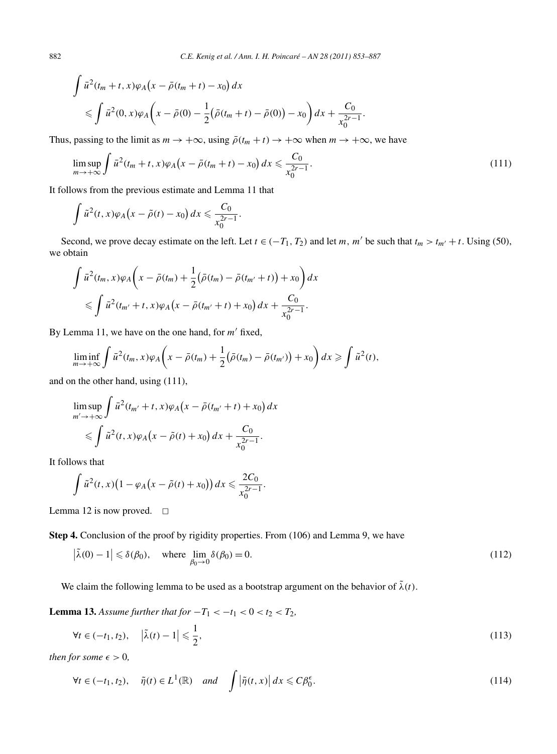$$
\int \bar{u}^2(t_m + t, x)\varphi_A(x - \bar{\rho}(t_m + t) - x_0) dx
$$
  
\$\leqslant \int \bar{u}^2(0, x)\varphi\_A(x - \bar{\rho}(0) - \frac{1}{2}(\bar{\rho}(t\_m + t) - \bar{\rho}(0)) - x\_0\bigg) dx + \frac{C\_0}{x\_0^{2r-1}}.\$

Thus, passing to the limit as  $m \to +\infty$ , using  $\bar{\rho}(t_m + t) \to +\infty$  when  $m \to +\infty$ , we have

$$
\limsup_{m \to +\infty} \int \bar{u}^2(t_m + t, x)\varphi_A(x - \bar{\rho}(t_m + t) - x_0) dx \leq \frac{C_0}{x_0^{2r - 1}}.
$$
\n(111)

It follows from the previous estimate and Lemma 11 that

$$
\int \tilde{u}^2(t,x)\varphi_A\big(x-\tilde{\rho}(t)-x_0\big)\,dx\leqslant \frac{C_0}{x_0^{2r-1}}.
$$

Second, we prove decay estimate on the left. Let  $t \in (-T_1, T_2)$  and let *m*, *m'* be such that  $t_m > t_{m'} + t$ . Using (50), we obtain

$$
\int \bar{u}^2(t_m, x)\varphi_A\bigg(x - \bar{\rho}(t_m) + \frac{1}{2}(\bar{\rho}(t_m) - \bar{\rho}(t_{m'} + t)) + x_0\bigg) dx
$$
  
\$\leqslant \int \bar{u}^2(t\_{m'} + t, x)\varphi\_A\big(x - \bar{\rho}(t\_{m'} + t) + x\_0\big) dx + \frac{C\_0}{x\_0^{2r-1}}.\$

By Lemma 11, we have on the one hand, for  $m'$  fixed,

$$
\liminf_{m\to+\infty}\int \bar{u}^2(t_m,x)\varphi_A\bigg(x-\bar{\rho}(t_m)+\frac{1}{2}(\bar{\rho}(t_m)-\bar{\rho}(t_{m'}))+x_0\bigg)dx\geqslant \int \tilde{u}^2(t),
$$

and on the other hand, using (111),

$$
\limsup_{m'\to+\infty} \int \bar{u}^2(t_{m'}+t,x)\varphi_A\big(x-\bar{\rho}(t_{m'}+t)+x_0\big)dx
$$
  
\$\leqslant \int \tilde{u}^2(t,x)\varphi\_A\big(x-\tilde{\rho}(t)+x\_0\big)dx+\frac{C\_0}{x\_0^{2r-1}}}.\$

It follows that

$$
\int \tilde{u}^2(t,x)\big(1-\varphi_A\big(x-\tilde{\rho}(t)+x_0\big)\big)\,dx\leqslant \frac{2C_0}{x_0^{2r-1}}.
$$

Lemma 12 is now proved.  $\square$ 

**Step 4.** Conclusion of the proof by rigidity properties. From (106) and Lemma 9, we have

$$
\left|\tilde{\lambda}(0) - 1\right| \leq \delta(\beta_0), \quad \text{where } \lim_{\beta_0 \to 0} \delta(\beta_0) = 0. \tag{112}
$$

We claim the following lemma to be used as a bootstrap argument on the behavior of  $\tilde{\lambda}(t)$ .

**Lemma 13.** *Assume further that for*  $-T_1 < -t_1 < 0 < t_2 < T_2$ *,* 

$$
\forall t \in (-t_1, t_2), \quad |\tilde{\lambda}(t) - 1| \leqslant \frac{1}{2},\tag{113}
$$

*then for some*  $\epsilon > 0$ ,

$$
\forall t \in (-t_1, t_2), \quad \tilde{\eta}(t) \in L^1(\mathbb{R}) \quad and \quad \int \left| \tilde{\eta}(t, x) \right| dx \leqslant C \beta_0^{\epsilon}.
$$
 (114)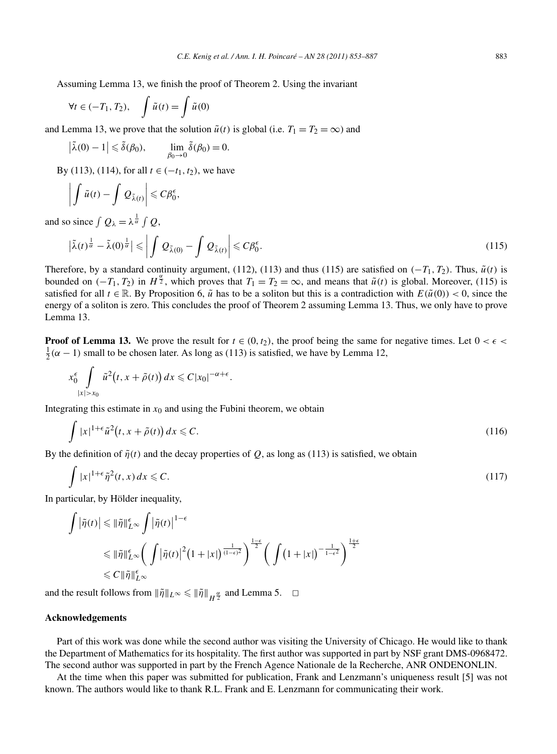Assuming Lemma 13, we finish the proof of Theorem 2. Using the invariant

$$
\forall t \in (-T_1, T_2), \quad \int \tilde{u}(t) = \int \tilde{u}(0)
$$

and Lemma 13, we prove that the solution  $\tilde{u}(t)$  is global (i.e.  $T_1 = T_2 = \infty$ ) and

$$
\left|\tilde{\lambda}(0)-1\right|\leqslant \tilde{\delta}(\beta_0), \qquad \lim_{\beta_0\to 0} \tilde{\delta}(\beta_0)=0.
$$

By (113), (114), for all *t* ∈  $(-t_1, t_2)$ , we have

$$
\left|\int \tilde{u}(t)-\int Q_{\tilde{\lambda}(t)}\right|\leqslant C\beta_0^{\epsilon},
$$

and so since  $\int Q_{\lambda} = \lambda^{\frac{1}{\alpha}} \int Q$ ,

$$
\left|\tilde{\lambda}(t)^{\frac{1}{\alpha}} - \tilde{\lambda}(0)^{\frac{1}{\alpha}}\right| \leq \left|\int Q_{\tilde{\lambda}(0)} - \int Q_{\tilde{\lambda}(t)}\right| \leqslant C\beta_0^{\epsilon}.
$$
\n(115)

Therefore, by a standard continuity argument, (112), (113) and thus (115) are satisfied on  $(-T_1, T_2)$ . Thus,  $\tilde{u}(t)$  is bounded on  $(-T_1, T_2)$  in  $H^{\frac{\alpha}{2}}$ , which proves that  $T_1 = T_2 = \infty$ , and means that  $\tilde{u}(t)$  is global. Moreover, (115) is satisfied for all  $t \in \mathbb{R}$ . By Proposition 6,  $\tilde{u}$  has to be a soliton but this is a contradiction with  $E(\tilde{u}(0)) < 0$ , since the energy of a soliton is zero. This concludes the proof of Theorem 2 assuming Lemma 13. Thus, we only have to prove Lemma 13.

**Proof of Lemma 13.** We prove the result for  $t \in (0, t_2)$ , the proof being the same for negative times. Let  $0 < \epsilon <$  $\frac{1}{2}(\alpha - 1)$  small to be chosen later. As long as (113) is satisfied, we have by Lemma 12,

$$
x_0^{\epsilon} \int\limits_{|x|>x_0} \tilde{u}^2(t,x+\tilde{\rho}(t)) dx \leqslant C|x_0|^{-\alpha+\epsilon}.
$$

Integrating this estimate in  $x_0$  and using the Fubini theorem, we obtain

$$
\int |x|^{1+\epsilon} \tilde{u}^2(t, x + \tilde{\rho}(t)) dx \leq C. \tag{116}
$$

By the definition of  $\tilde{\eta}(t)$  and the decay properties of *Q*, as long as (113) is satisfied, we obtain

$$
\int |x|^{1+\epsilon} \tilde{\eta}^2(t, x) dx \leqslant C. \tag{117}
$$

In particular, by Hölder inequality,

$$
\int \left| \tilde{\eta}(t) \right| \leq \left\| \tilde{\eta} \right\|_{L^{\infty}}^{\epsilon} \int \left| \tilde{\eta}(t) \right|^{1-\epsilon} \leq \left\| \tilde{\eta}(t) \right\|_{L^{\infty}}^{\epsilon} \left( \int \left| \tilde{\eta}(t) \right|^2 (1+|x|)^{\frac{1}{(1-\epsilon)^2}} \right)^{\frac{1-\epsilon}{2}} \left( \int \left( 1+|x| \right)^{-\frac{1}{1-\epsilon^2}} \right)^{\frac{1+\epsilon}{2}} \leq C \left\| \tilde{\eta} \right\|_{L^{\infty}}^{\epsilon}
$$

and the result follows from  $\|\tilde{\eta}\|_{L^{\infty}} \le \|\tilde{\eta}\|_{H^{\frac{\alpha}{2}}}$  and Lemma 5.  $\Box$ 

#### **Acknowledgements**

Part of this work was done while the second author was visiting the University of Chicago. He would like to thank the Department of Mathematics for its hospitality. The first author was supported in part by NSF grant DMS-0968472. The second author was supported in part by the French Agence Nationale de la Recherche, ANR ONDENONLIN.

At the time when this paper was submitted for publication, Frank and Lenzmann's uniqueness result [5] was not known. The authors would like to thank R.L. Frank and E. Lenzmann for communicating their work.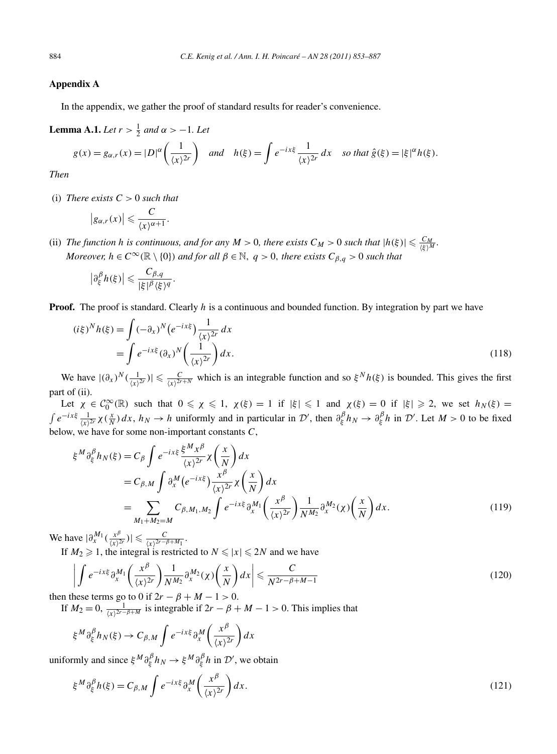## **Appendix A**

In the appendix, we gather the proof of standard results for reader's convenience.

**Lemma A.1.** *Let*  $r > \frac{1}{2}$  *and*  $\alpha > -1$ *. Let* 

$$
g(x) = g_{\alpha,r}(x) = |D|^{\alpha} \left(\frac{1}{\langle x \rangle^{2r}}\right) \quad \text{and} \quad h(\xi) = \int e^{-ix\xi} \frac{1}{\langle x \rangle^{2r}} dx \quad \text{so that } \hat{g}(\xi) = |\xi|^{\alpha} h(\xi).
$$

*Then*

(i) *There exists*  $C > 0$  *such that* 

$$
|g_{\alpha,r}(x)| \leqslant \frac{C}{\langle x \rangle^{\alpha+1}}.
$$

(ii) *The function h is continuous, and for any*  $M > 0$ *, there exists*  $C_M > 0$  *such that*  $|h(\xi)| \leqslant \frac{C_M}{\langle \xi \rangle^M}$ *. Moreover,*  $h \in C^{\infty}(\mathbb{R} \setminus \{0\})$  *and for all*  $\beta \in \mathbb{N}$ *, q > 0, there exists*  $C_{\beta,q}$  > 0 *such that* 

$$
\left|\partial_{\xi}^{\beta}h(\xi)\right|\leqslant \frac{C_{\beta,q}}{|\xi|^{\beta}\langle\xi\rangle^{q}}.
$$

**Proof.** The proof is standard. Clearly *h* is a continuous and bounded function. By integration by part we have

$$
(i\xi)^N h(\xi) = \int (-\partial_x)^N \left( e^{-ix\xi} \right) \frac{1}{\langle x \rangle^{2r}} dx
$$
  
= 
$$
\int e^{-ix\xi} \left( \partial_x \right)^N \left( \frac{1}{\langle x \rangle^{2r}} \right) dx.
$$
 (118)

We have  $|(\partial_x)^N(\frac{1}{\langle x \rangle^{2r}})| \leq \frac{C}{\langle x \rangle^{2r+N}}$  which is an integrable function and so  $\xi^N h(\xi)$  is bounded. This gives the first part of (ii).

Let  $\chi \in C_0^{\infty}(\mathbb{R})$  such that  $0 \le \chi \le 1$ ,  $\chi(\xi) = 1$  if  $|\xi| \le 1$  and  $\chi(\xi) = 0$  if  $|\xi| \ge 2$ , we set  $h_N(\xi) =$  $\int e^{-ix\xi} \frac{1}{\langle x \rangle^{2r}} \chi(\frac{x}{N}) dx$ ,  $h_N \to h$  uniformly and in particular in  $\mathcal{D}'$ , then  $\partial_{\xi}^{\beta} h_N \to \partial_{\xi}^{\beta} h$  in  $\mathcal{D}'$ . Let  $M > 0$  to be fixed below, we have for some non-important constants *C*,

$$
\xi^{M} \partial_{\xi}^{\beta} h_{N}(\xi) = C_{\beta} \int e^{-ix\xi} \frac{\xi^{M} x^{\beta}}{\langle x \rangle^{2r}} \chi\left(\frac{x}{N}\right) dx
$$
  
\n
$$
= C_{\beta,M} \int \partial_{x}^{M} \left(e^{-ix\xi}\right) \frac{x^{\beta}}{\langle x \rangle^{2r}} \chi\left(\frac{x}{N}\right) dx
$$
  
\n
$$
= \sum_{M_{1}+M_{2}=M} C_{\beta,M_{1},M_{2}} \int e^{-ix\xi} \partial_{x}^{M_{1}} \left(\frac{x^{\beta}}{\langle x \rangle^{2r}}\right) \frac{1}{N^{M_{2}}} \partial_{x}^{M_{2}}(\chi) \left(\frac{x}{N}\right) dx.
$$
 (119)

We have  $|\partial_x^{M_1}(\frac{x^{\beta}}{\langle x \rangle^{2r}})| \leqslant \frac{C}{\langle x \rangle^{2r-\beta+M_1}}$ .

If  $M_2 \ge 1$ , the integral is restricted to  $N \le |x| \le 2N$  and we have

$$
\left| \int e^{-ix\xi} \partial_x^{M_1} \left( \frac{x^{\beta}}{\langle x \rangle^{2r}} \right) \frac{1}{N^{M_2}} \partial_x^{M_2}(\chi) \left( \frac{x}{N} \right) dx \right| \leq \frac{C}{N^{2r - \beta + M - 1}}
$$
\nthus terms so to 0 if 2x - \beta + M = 1 > 0.

then these terms go to 0 if  $2r - \beta + M - 1 > 0$ .

If  $M_2 = 0$ ,  $\frac{1}{\langle x \rangle^{2r-\beta+M}}$  is integrable if  $2r - \beta + M - 1 > 0$ . This implies that

$$
\xi^M \partial_{\xi}^{\beta} h_N(\xi) \to C_{\beta,M} \int e^{-ix\xi} \partial_{x}^{M} \left( \frac{x^{\beta}}{\langle x \rangle^{2r}} \right) dx
$$

uniformly and since  $\xi^M \partial_{\xi}^{\beta} h_N \to \xi^M \partial_{\xi}^{\beta} h$  in  $\mathcal{D}'$ , we obtain

$$
\xi^M \partial_{\xi}^{\beta} h(\xi) = C_{\beta,M} \int e^{-ix\xi} \partial_{x}^{M} \left( \frac{x^{\beta}}{\langle x \rangle^{2r}} \right) dx.
$$
\n(121)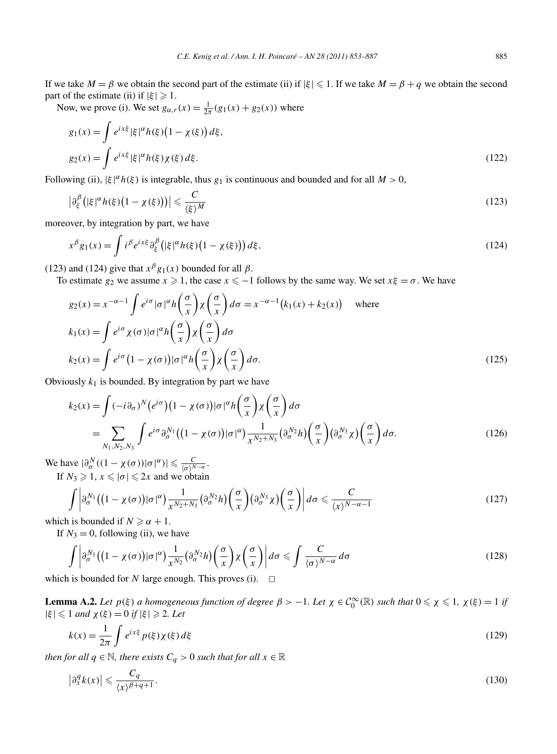If we take  $M = \beta$  we obtain the second part of the estimate (ii) if  $|\xi| \leq 1$ . If we take  $M = \beta + q$  we obtain the second part of the estimate (ii) if  $|\xi| \geq 1$ .

Now, we prove (i). We set  $g_{\alpha,r}(x) = \frac{1}{2\pi}(g_1(x) + g_2(x))$  where

$$
g_1(x) = \int e^{ix\xi} |\xi|^{\alpha} h(\xi) (1 - \chi(\xi)) d\xi,
$$
  
\n
$$
g_2(x) = \int e^{ix\xi} |\xi|^{\alpha} h(\xi) \chi(\xi) d\xi.
$$
\n(122)

Following (ii),  $|\xi|^{\alpha} h(\xi)$  is integrable, thus  $g_1$  is continuous and bounded and for all  $M > 0$ ,

$$
\left|\partial_{\xi}^{\beta}\left(|\xi|^{\alpha}h(\xi)\left(1-\chi(\xi)\right)\right)\right| \leqslant \frac{C}{\langle\xi\rangle^M} \tag{123}
$$

moreover, by integration by part, we have

$$
x^{\beta}g_1(x) = \int i^{\beta} e^{ix\xi} \partial_{\xi}^{\beta} \left( |\xi|^{\alpha} h(\xi) \left( 1 - \chi(\xi) \right) \right) d\xi, \tag{124}
$$

(123) and (124) give that  $x^{\beta}g_1(x)$  bounded for all  $\beta$ .

To estimate  $g_2$  we assume  $x \ge 1$ , the case  $x \le -1$  follows by the same way. We set  $x\xi = \sigma$ . We have

$$
g_2(x) = x^{-\alpha - 1} \int e^{i\sigma} |\sigma|^{\alpha} h\left(\frac{\sigma}{x}\right) \chi\left(\frac{\sigma}{x}\right) d\sigma = x^{-\alpha - 1} (k_1(x) + k_2(x)) \quad \text{where}
$$
  
\n
$$
k_1(x) = \int e^{i\sigma} \chi(\sigma) |\sigma|^{\alpha} h\left(\frac{\sigma}{x}\right) \chi\left(\frac{\sigma}{x}\right) d\sigma
$$
  
\n
$$
k_2(x) = \int e^{i\sigma} (1 - \chi(\sigma)) |\sigma|^{\alpha} h\left(\frac{\sigma}{x}\right) \chi\left(\frac{\sigma}{x}\right) d\sigma.
$$
\n(125)

Obviously  $k_1$  is bounded. By integration by part we have

$$
k_2(x) = \int (-i\partial_{\sigma})^N (e^{i\sigma}) (1 - \chi(\sigma)) |\sigma|^{\alpha} h\left(\frac{\sigma}{x}\right) \chi\left(\frac{\sigma}{x}\right) d\sigma
$$
  
= 
$$
\sum_{N_1, N_2, N_3} \int e^{i\sigma} \partial_{\sigma}^{N_1} ((1 - \chi(\sigma)) |\sigma|^{\alpha}) \frac{1}{x^{N_2 + N_3}} (\partial_{\sigma}^{N_2} h) \left(\frac{\sigma}{x}\right) (\partial_{\sigma}^{N_3} \chi) \left(\frac{\sigma}{x}\right) d\sigma.
$$
 (126)

We have  $|\partial_{\sigma}^{N}((1 - \chi(\sigma))|\sigma|^{\alpha})| \leq \frac{C}{\langle \sigma \rangle^{N-\alpha}}$ . If  $N_3 \geq 1$ ,  $x \leq |\sigma| \leq 2x$  and we obtain

$$
\int \left| \partial_{\sigma}^{N_1} \left( (1 - \chi(\sigma)) |\sigma|^{\alpha} \right) \frac{1}{x^{N_2 + N_3}} \left( \partial_{\sigma}^{N_2} h \right) \left( \frac{\sigma}{x} \right) \left( \partial_{\sigma}^{N_3} \chi \right) \left( \frac{\sigma}{x} \right) \right| d\sigma \leq \frac{C}{\langle x \rangle^{N - \alpha - 1}} \tag{127}
$$

which is bounded if  $N \ge \alpha + 1$ .

If  $N_3 = 0$ , following (ii), we have

$$
\int \left| \partial_{\sigma}^{N_1} \left( (1 - \chi(\sigma)) |\sigma|^{\alpha} \right) \frac{1}{x^{N_2}} (\partial_{\sigma}^{N_2} h) \left( \frac{\sigma}{x} \right) \chi \left( \frac{\sigma}{x} \right) \right| d\sigma \le \int \frac{C}{\langle \sigma \rangle^{N - \alpha}} d\sigma \tag{128}
$$

which is bounded for *N* large enough. This proves (i).  $\Box$ 

**Lemma A.2.** Let  $p(\xi)$  a homogeneous function of degree  $\beta > -1$ . Let  $\chi \in C_0^{\infty}(\mathbb{R})$  such that  $0 \le \chi \le 1$ ,  $\chi(\xi) = 1$  if  $|\xi| \leq 1$  *and*  $\chi(\xi) = 0$  *if*  $|\xi| \geq 2$ *. Let* 

$$
k(x) = \frac{1}{2\pi} \int e^{ix\xi} p(\xi) \chi(\xi) d\xi
$$
\n(129)

*then for all*  $q \in \mathbb{N}$ *, there exists*  $C_q > 0$  *such that for all*  $x \in \mathbb{R}$ 

$$
\left|\partial_x^q k(x)\right| \leqslant \frac{C_q}{\langle x \rangle^{\beta+q+1}}.\tag{130}
$$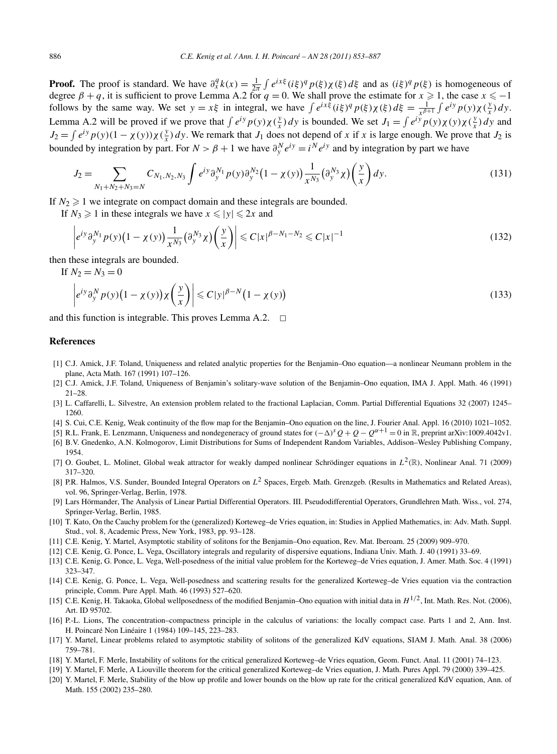**Proof.** The proof is standard. We have  $\partial_x^q k(x) = \frac{1}{2\pi} \int e^{ix\xi} (i\xi)^q p(\xi) \chi(\xi) d\xi$  and as  $(i\xi)^q p(\xi)$  is homogeneous of degree  $\beta + q$ , it is sufficient to prove Lemma A.2 for  $q = 0$ . We shall prove the estimate for  $x \ge 1$ , the case  $x \le -1$ follows by the same way. We set  $y = x\xi$  in integral, we have  $\int e^{ix\xi} (i\xi)^q p(\xi) \chi(\xi) d\xi = \frac{1}{x^{\beta+1}} \int e^{iy} p(y) \chi(\frac{y}{x}) dy$ . Lemma A.2 will be proved if we prove that  $\int e^{iy} p(y) \chi(\frac{y}{x}) dy$  is bounded. We set  $J_1 = \int e^{iy} p(y) \chi(y) \chi(\frac{y}{x}) dy$  and  $J_2 = \int e^{iy} p(y) (1 - \chi(y)) \chi(\frac{y}{x}) dy$ . We remark that  $J_1$  does not depend of *x* if *x* is large enough. We prove that  $J_2$  is bounded by integration by part. For  $N > \beta + 1$  we have  $\partial_y^N e^{iy} = i^N e^{iy}$  and by integration by part we have

$$
J_2 = \sum_{N_1 + N_2 + N_3 = N} C_{N_1, N_2, N_3} \int e^{iy} \partial_y^{N_1} p(y) \partial_y^{N_2} (1 - \chi(y)) \frac{1}{x^{N_3}} (\partial_y^{N_3} \chi) \left(\frac{y}{x}\right) dy.
$$
 (131)

If  $N_2 \geq 1$  we integrate on compact domain and these integrals are bounded.

If  $N_3 \ge 1$  in these integrals we have  $x \le |y| \le 2x$  and

$$
\left| e^{iy} \partial_y^{N_1} p(y) \left( 1 - \chi(y) \right) \frac{1}{x^{N_3}} \left( \partial_y^{N_3} \chi \right) \left( \frac{y}{x} \right) \right| \leq C |x|^{\beta - N_1 - N_2} \leq C |x|^{-1}
$$
\n(132)

then these integrals are bounded.

If  $N_2 = N_3 = 0$ 

$$
\left| e^{iy} \partial_y^N p(y) \left( 1 - \chi(y) \right) \chi \left( \frac{y}{x} \right) \right| \leqslant C |y|^{\beta - N} \left( 1 - \chi(y) \right) \tag{133}
$$

and this function is integrable. This proves Lemma A.2.  $\Box$ 

#### **References**

- [1] C.J. Amick, J.F. Toland, Uniqueness and related analytic properties for the Benjamin–Ono equation—a nonlinear Neumann problem in the plane, Acta Math. 167 (1991) 107–126.
- [2] C.J. Amick, J.F. Toland, Uniqueness of Benjamin's solitary-wave solution of the Benjamin–Ono equation, IMA J. Appl. Math. 46 (1991) 21–28.
- [3] L. Caffarelli, L. Silvestre, An extension problem related to the fractional Laplacian, Comm. Partial Differential Equations 32 (2007) 1245– 1260.
- [4] S. Cui, C.E. Kenig, Weak continuity of the flow map for the Benjamin–Ono equation on the line, J. Fourier Anal. Appl. 16 (2010) 1021–1052.
- [5] R.L. Frank, E. Lenzmann, Uniqueness and nondegeneracy of ground states for *(*−*)sQ* + *Q* − *Qα*<sup>+</sup><sup>1</sup> = 0 in R, preprint arXiv:1009.4042v1.
- [6] B.V. Gnedenko, A.N. Kolmogorov, Limit Distributions for Sums of Independent Random Variables, Addison–Wesley Publishing Company, 1954.
- [7] O. Goubet, L. Molinet, Global weak attractor for weakly damped nonlinear Schrödinger equations in *L*2*(*R*)*, Nonlinear Anal. 71 (2009) 317–320.
- [8] P.R. Halmos, V.S. Sunder, Bounded Integral Operators on *L*<sup>2</sup> Spaces, Ergeb. Math. Grenzgeb. (Results in Mathematics and Related Areas), vol. 96, Springer-Verlag, Berlin, 1978.
- [9] Lars Hörmander, The Analysis of Linear Partial Differential Operators. III. Pseudodifferential Operators, Grundlehren Math. Wiss., vol. 274, Springer-Verlag, Berlin, 1985.
- [10] T. Kato, On the Cauchy problem for the (generalized) Korteweg–de Vries equation, in: Studies in Applied Mathematics, in: Adv. Math. Suppl. Stud., vol. 8, Academic Press, New York, 1983, pp. 93–128.
- [11] C.E. Kenig, Y. Martel, Asymptotic stability of solitons for the Benjamin–Ono equation, Rev. Mat. Iberoam. 25 (2009) 909–970.
- [12] C.E. Kenig, G. Ponce, L. Vega, Oscillatory integrals and regularity of dispersive equations, Indiana Univ. Math. J. 40 (1991) 33–69.
- [13] C.E. Kenig, G. Ponce, L. Vega, Well-posedness of the initial value problem for the Korteweg–de Vries equation, J. Amer. Math. Soc. 4 (1991) 323–347.
- [14] C.E. Kenig, G. Ponce, L. Vega, Well-posedness and scattering results for the generalized Korteweg–de Vries equation via the contraction principle, Comm. Pure Appl. Math. 46 (1993) 527–620.
- [15] C.E. Kenig, H. Takaoka, Global wellposedness of the modified Benjamin–Ono equation with initial data in *H*1*/*2, Int. Math. Res. Not. (2006), Art. ID 95702.
- [16] P.-L. Lions, The concentration–compactness principle in the calculus of variations: the locally compact case. Parts 1 and 2, Ann. Inst. H. Poincaré Non Linéaire 1 (1984) 109–145, 223–283.
- [17] Y. Martel, Linear problems related to asymptotic stability of solitons of the generalized KdV equations, SIAM J. Math. Anal. 38 (2006) 759–781.
- [18] Y. Martel, F. Merle, Instability of solitons for the critical generalized Korteweg–de Vries equation, Geom. Funct. Anal. 11 (2001) 74–123.
- [19] Y. Martel, F. Merle, A Liouville theorem for the critical generalized Korteweg–de Vries equation, J. Math. Pures Appl. 79 (2000) 339–425.
- [20] Y. Martel, F. Merle, Stability of the blow up profile and lower bounds on the blow up rate for the critical generalized KdV equation, Ann. of Math. 155 (2002) 235–280.